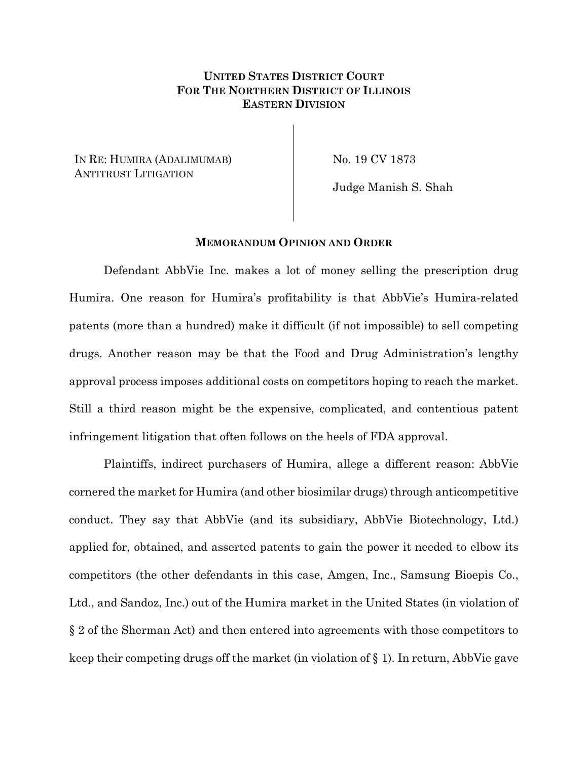# **UNITED STATES DISTRICT COURT FOR THE NORTHERN DISTRICT OF ILLINOIS EASTERN DIVISION**

IN RE: HUMIRA (ADALIMUMAB) ANTITRUST LITIGATION

No. 19 CV 1873

Judge Manish S. Shah

#### **MEMORANDUM OPINION AND ORDER**

Defendant AbbVie Inc. makes a lot of money selling the prescription drug Humira. One reason for Humira's profitability is that AbbVie's Humira-related patents (more than a hundred) make it difficult (if not impossible) to sell competing drugs. Another reason may be that the Food and Drug Administration's lengthy approval process imposes additional costs on competitors hoping to reach the market. Still a third reason might be the expensive, complicated, and contentious patent infringement litigation that often follows on the heels of FDA approval.

Plaintiffs, indirect purchasers of Humira, allege a different reason: AbbVie cornered the market for Humira (and other biosimilar drugs) through anticompetitive conduct. They say that AbbVie (and its subsidiary, AbbVie Biotechnology, Ltd.) applied for, obtained, and asserted patents to gain the power it needed to elbow its competitors (the other defendants in this case, Amgen, Inc., Samsung Bioepis Co., Ltd., and Sandoz, Inc.) out of the Humira market in the United States (in violation of § 2 of the Sherman Act) and then entered into agreements with those competitors to keep their competing drugs off the market (in violation of § 1). In return, AbbVie gave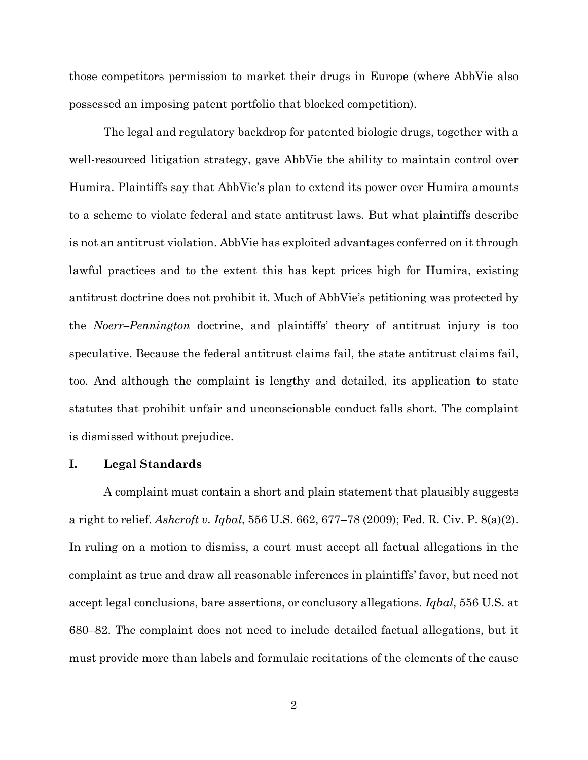those competitors permission to market their drugs in Europe (where AbbVie also possessed an imposing patent portfolio that blocked competition).

The legal and regulatory backdrop for patented biologic drugs, together with a well-resourced litigation strategy, gave AbbVie the ability to maintain control over Humira. Plaintiffs say that AbbVie's plan to extend its power over Humira amounts to a scheme to violate federal and state antitrust laws. But what plaintiffs describe is not an antitrust violation. AbbVie has exploited advantages conferred on it through lawful practices and to the extent this has kept prices high for Humira, existing antitrust doctrine does not prohibit it. Much of AbbVie's petitioning was protected by the *Noerr–Pennington* doctrine, and plaintiffs' theory of antitrust injury is too speculative. Because the federal antitrust claims fail, the state antitrust claims fail, too. And although the complaint is lengthy and detailed, its application to state statutes that prohibit unfair and unconscionable conduct falls short. The complaint is dismissed without prejudice.

## **I. Legal Standards**

A complaint must contain a short and plain statement that plausibly suggests a right to relief. *Ashcroft v. Iqbal*, 556 U.S. 662, 677–78 (2009); Fed. R. Civ. P. 8(a)(2). In ruling on a motion to dismiss, a court must accept all factual allegations in the complaint as true and draw all reasonable inferences in plaintiffs' favor, but need not accept legal conclusions, bare assertions, or conclusory allegations. *Iqbal*, 556 U.S. at 680–82. The complaint does not need to include detailed factual allegations, but it must provide more than labels and formulaic recitations of the elements of the cause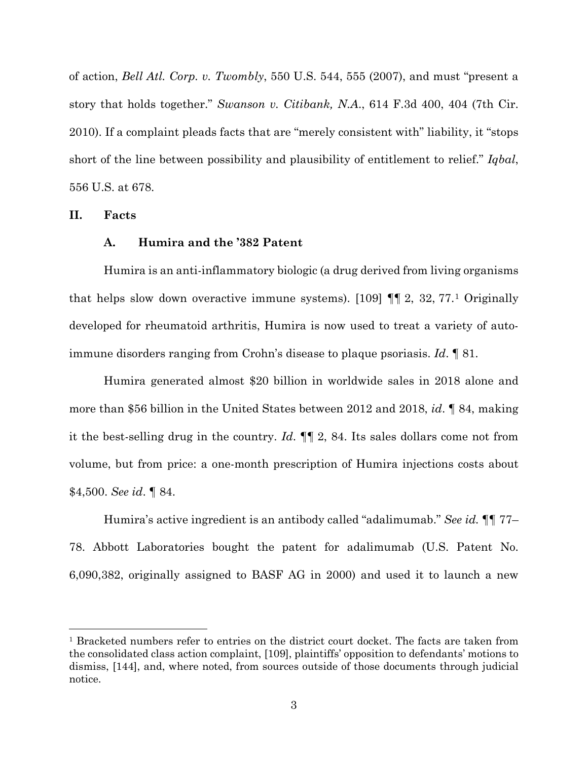of action, *Bell Atl. Corp. v. Twombly*, 550 U.S. 544, 555 (2007), and must "present a story that holds together." *Swanson v. Citibank, N.A*., 614 F.3d 400, 404 (7th Cir. 2010). If a complaint pleads facts that are "merely consistent with" liability, it "stops short of the line between possibility and plausibility of entitlement to relief." *Iqbal*, 556 U.S. at 678.

**II. Facts**

### **A. Humira and the '382 Patent**

Humira is an anti-inflammatory biologic (a drug derived from living organisms that helps slow down overactive immune systems). [[1](#page-2-0)09]  $\P$  2, 32, 77.<sup>1</sup> Originally developed for rheumatoid arthritis, Humira is now used to treat a variety of autoimmune disorders ranging from Crohn's disease to plaque psoriasis. *Id*. ¶ 81.

Humira generated almost \$20 billion in worldwide sales in 2018 alone and more than \$56 billion in the United States between 2012 and 2018, *id*. ¶ 84, making it the best-selling drug in the country. *Id*. ¶¶ 2, 84. Its sales dollars come not from volume, but from price: a one-month prescription of Humira injections costs about \$4,500. *See id*. ¶ 84.

Humira's active ingredient is an antibody called "adalimumab." *See id.* ¶¶ 77– 78. Abbott Laboratories bought the patent for adalimumab (U.S. Patent No. 6,090,382, originally assigned to BASF AG in 2000) and used it to launch a new

<span id="page-2-0"></span><sup>1</sup> Bracketed numbers refer to entries on the district court docket. The facts are taken from the consolidated class action complaint, [109], plaintiffs' opposition to defendants' motions to dismiss, [144], and, where noted, from sources outside of those documents through judicial notice.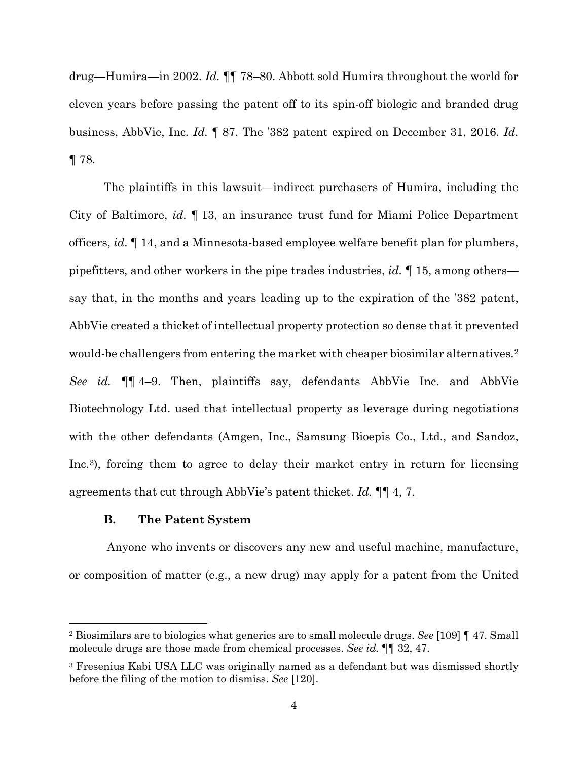drug—Humira—in 2002. *Id.* ¶¶ 78–80. Abbott sold Humira throughout the world for eleven years before passing the patent off to its spin-off biologic and branded drug business, AbbVie, Inc. *Id.* ¶ 87. The '382 patent expired on December 31, 2016. *Id.* ¶ 78.

The plaintiffs in this lawsuit—indirect purchasers of Humira, including the City of Baltimore, *id*. ¶ 13, an insurance trust fund for Miami Police Department officers, *id*. ¶ 14, and a Minnesota-based employee welfare benefit plan for plumbers, pipefitters, and other workers in the pipe trades industries, *id.* ¶ 15, among others say that, in the months and years leading up to the expiration of the '382 patent, AbbVie created a thicket of intellectual property protection so dense that it prevented would-be challengers from entering the market with cheaper biosimilar alternatives.<sup>[2](#page-3-0)</sup> *See id.* ¶¶ 4–9. Then, plaintiffs say, defendants AbbVie Inc. and AbbVie Biotechnology Ltd. used that intellectual property as leverage during negotiations with the other defendants (Amgen, Inc., Samsung Bioepis Co., Ltd., and Sandoz, Inc.[3\)](#page-3-1), forcing them to agree to delay their market entry in return for licensing agreements that cut through AbbVie's patent thicket. *Id.* ¶¶ 4, 7.

## **B. The Patent System**

Anyone who invents or discovers any new and useful machine, manufacture, or composition of matter (e.g., a new drug) may apply for a patent from the United

<span id="page-3-0"></span><sup>2</sup> Biosimilars are to biologics what generics are to small molecule drugs. *See* [109] ¶ 47. Small molecule drugs are those made from chemical processes. *See id.* ¶¶ 32, 47.

<span id="page-3-1"></span><sup>3</sup> Fresenius Kabi USA LLC was originally named as a defendant but was dismissed shortly before the filing of the motion to dismiss. *See* [120].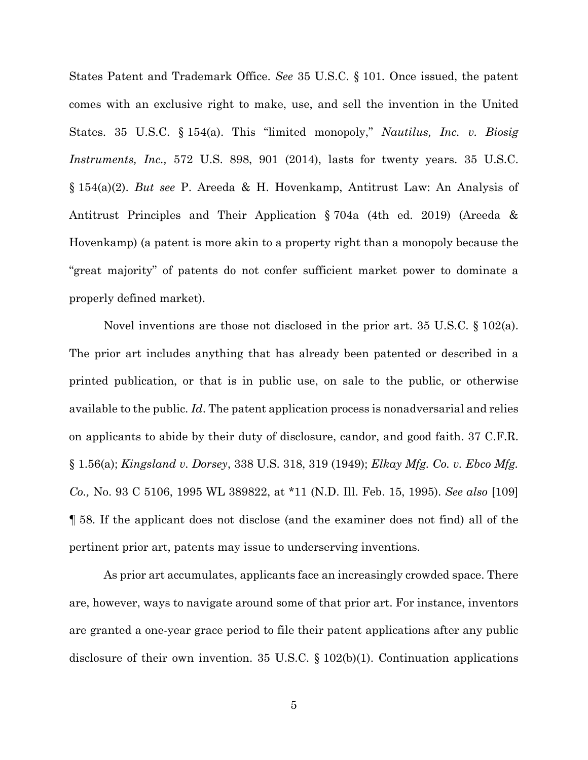States Patent and Trademark Office. *See* 35 U.S.C. § 101*.* Once issued, the patent comes with an exclusive right to make, use, and sell the invention in the United States. 35 U.S.C. § 154(a). This "limited monopoly," *Nautilus, Inc. v. Biosig Instruments, Inc.,* 572 U.S. 898, 901 (2014), lasts for twenty years. 35 U.S.C. § 154(a)(2). *But see* P. Areeda & H. Hovenkamp, Antitrust Law: An Analysis of Antitrust Principles and Their Application § 704a (4th ed. 2019) (Areeda & Hovenkamp) (a patent is more akin to a property right than a monopoly because the "great majority" of patents do not confer sufficient market power to dominate a properly defined market).

Novel inventions are those not disclosed in the prior art. 35 U.S.C. § 102(a). The prior art includes anything that has already been patented or described in a printed publication, or that is in public use, on sale to the public, or otherwise available to the public. *Id*. The patent application process is nonadversarial and relies on applicants to abide by their duty of disclosure, candor, and good faith. 37 C.F.R. § 1.56(a); *Kingsland v. Dorsey*, 338 U.S. 318, 319 (1949); *Elkay Mfg. Co. v. Ebco Mfg. Co.,* No. 93 C 5106, 1995 WL 389822, at \*11 (N.D. Ill. Feb. 15, 1995). *See also* [109] ¶ 58. If the applicant does not disclose (and the examiner does not find) all of the pertinent prior art, patents may issue to underserving inventions.

As prior art accumulates, applicants face an increasingly crowded space. There are, however, ways to navigate around some of that prior art. For instance, inventors are granted a one-year grace period to file their patent applications after any public disclosure of their own invention. 35 U.S.C. § 102(b)(1). Continuation applications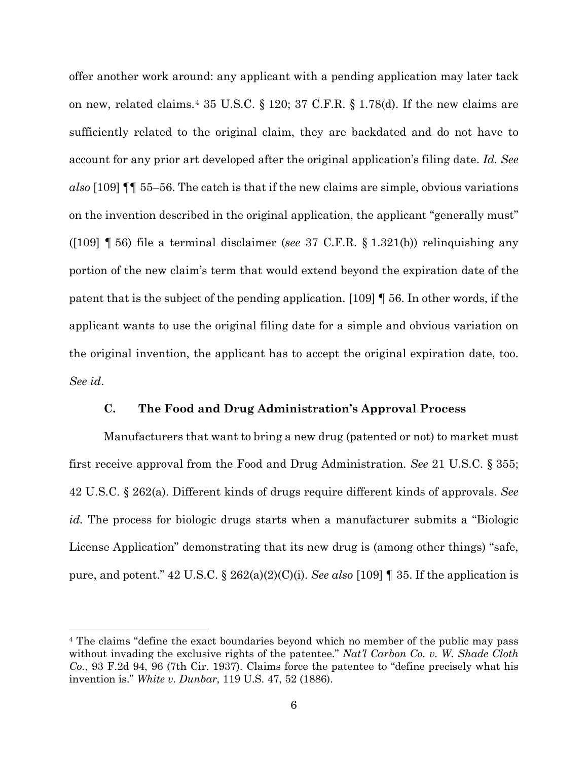offer another work around: any applicant with a pending application may later tack on new, related claims.[4](#page-5-0) 35 U.S.C. § 120; 37 C.F.R. § 1.78(d). If the new claims are sufficiently related to the original claim, they are backdated and do not have to account for any prior art developed after the original application's filing date. *Id. See also* [109] ¶¶ 55–56. The catch is that if the new claims are simple, obvious variations on the invention described in the original application, the applicant "generally must" ([109] ¶ 56) file a terminal disclaimer (*see* 37 C.F.R. § 1.321(b)) relinquishing any portion of the new claim's term that would extend beyond the expiration date of the patent that is the subject of the pending application. [109] ¶ 56. In other words, if the applicant wants to use the original filing date for a simple and obvious variation on the original invention, the applicant has to accept the original expiration date, too. *See id*.

## **C. The Food and Drug Administration's Approval Process**

Manufacturers that want to bring a new drug (patented or not) to market must first receive approval from the Food and Drug Administration. *See* 21 U.S.C. § 355; 42 U.S.C. § 262(a). Different kinds of drugs require different kinds of approvals. *See id.* The process for biologic drugs starts when a manufacturer submits a "Biologic License Application" demonstrating that its new drug is (among other things) "safe, pure, and potent." 42 U.S.C. § 262(a)(2)(C)(i). *See also* [109] ¶ 35. If the application is

<span id="page-5-0"></span><sup>4</sup> The claims "define the exact boundaries beyond which no member of the public may pass without invading the exclusive rights of the patentee." *Nat'l Carbon Co. v. W. Shade Cloth Co.*, 93 F.2d 94, 96 (7th Cir. 1937). Claims force the patentee to "define precisely what his invention is." *White v. Dunbar*, 119 U.S. 47, 52 (1886).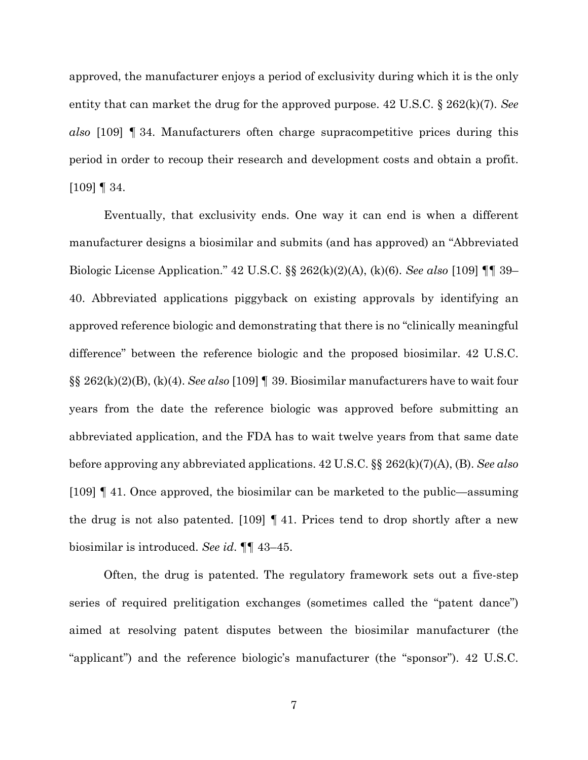approved, the manufacturer enjoys a period of exclusivity during which it is the only entity that can market the drug for the approved purpose. 42 U.S.C. § 262(k)(7). *See also* [109] ¶ 34. Manufacturers often charge supracompetitive prices during this period in order to recoup their research and development costs and obtain a profit. [109] ¶ 34.

Eventually, that exclusivity ends. One way it can end is when a different manufacturer designs a biosimilar and submits (and has approved) an "Abbreviated Biologic License Application." 42 U.S.C. §§ 262(k)(2)(A), (k)(6). *See also* [109] ¶¶ 39– 40. Abbreviated applications piggyback on existing approvals by identifying an approved reference biologic and demonstrating that there is no "clinically meaningful difference" between the reference biologic and the proposed biosimilar. 42 U.S.C. §§ 262(k)(2)(B), (k)(4). *See also* [109] ¶ 39. Biosimilar manufacturers have to wait four years from the date the reference biologic was approved before submitting an abbreviated application, and the FDA has to wait twelve years from that same date before approving any abbreviated applications. 42 U.S.C. §§ 262(k)(7)(A), (B). *See also*  [109] ¶ 41. Once approved, the biosimilar can be marketed to the public—assuming the drug is not also patented. [109] ¶ 41. Prices tend to drop shortly after a new biosimilar is introduced. *See id*. ¶¶ 43–45.

Often, the drug is patented. The regulatory framework sets out a five-step series of required prelitigation exchanges (sometimes called the "patent dance") aimed at resolving patent disputes between the biosimilar manufacturer (the "applicant") and the reference biologic's manufacturer (the "sponsor"). 42 U.S.C.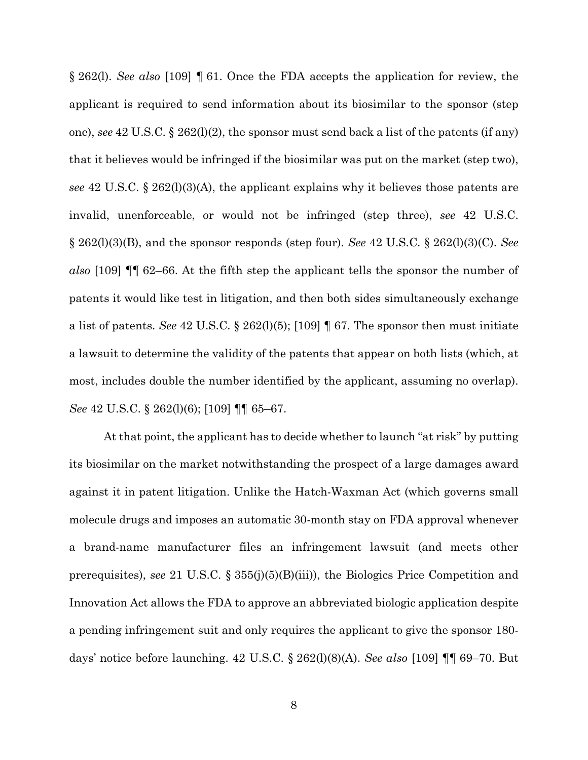§ 262(l). *See also* [109] ¶ 61. Once the FDA accepts the application for review, the applicant is required to send information about its biosimilar to the sponsor (step one), *see* 42 U.S.C. § 262(l)(2), the sponsor must send back a list of the patents (if any) that it believes would be infringed if the biosimilar was put on the market (step two), *see* 42 U.S.C. § 262(l)(3)(A), the applicant explains why it believes those patents are invalid, unenforceable, or would not be infringed (step three), *see* 42 U.S.C. § 262(l)(3)(B), and the sponsor responds (step four). *See* 42 U.S.C. § 262(l)(3)(C). *See also* [109] ¶¶ 62–66. At the fifth step the applicant tells the sponsor the number of patents it would like test in litigation, and then both sides simultaneously exchange a list of patents. *See* 42 U.S.C. § 262(l)(5); [109] ¶ 67. The sponsor then must initiate a lawsuit to determine the validity of the patents that appear on both lists (which, at most, includes double the number identified by the applicant, assuming no overlap). *See* 42 U.S.C. § 262(l)(6); [109] ¶¶ 65–67.

At that point, the applicant has to decide whether to launch "at risk" by putting its biosimilar on the market notwithstanding the prospect of a large damages award against it in patent litigation. Unlike the Hatch-Waxman Act (which governs small molecule drugs and imposes an automatic 30-month stay on FDA approval whenever a brand-name manufacturer files an infringement lawsuit (and meets other prerequisites), *see* 21 U.S.C. § 355(j)(5)(B)(iii)), the Biologics Price Competition and Innovation Act allows the FDA to approve an abbreviated biologic application despite a pending infringement suit and only requires the applicant to give the sponsor 180 days' notice before launching. 42 U.S.C. § 262(l)(8)(A). *See also* [109] ¶¶ 69–70. But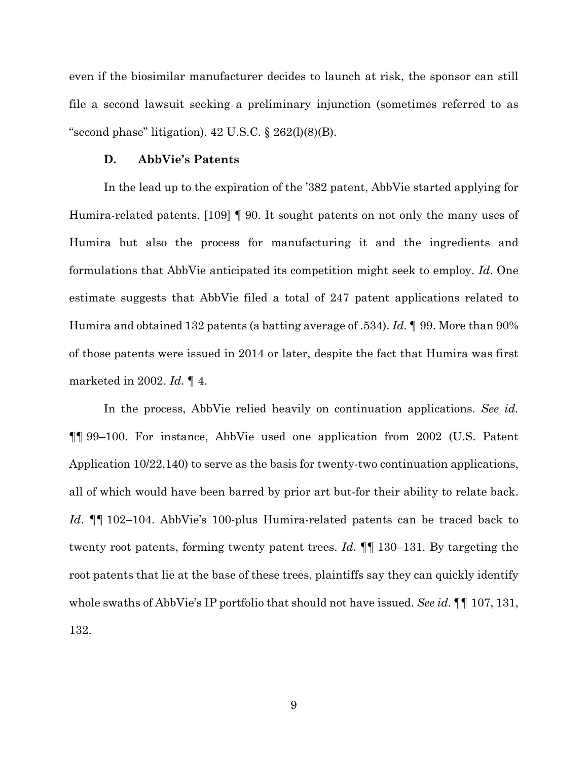even if the biosimilar manufacturer decides to launch at risk, the sponsor can still file a second lawsuit seeking a preliminary injunction (sometimes referred to as "second phase" litigation).  $42 \text{ U.S.C.}$  §  $262 \text{ (I)}(8) \text{ (B)}$ .

### **D. AbbVie's Patents**

In the lead up to the expiration of the '382 patent, AbbVie started applying for Humira-related patents. [109] ¶ 90. It sought patents on not only the many uses of Humira but also the process for manufacturing it and the ingredients and formulations that AbbVie anticipated its competition might seek to employ. *Id*. One estimate suggests that AbbVie filed a total of 247 patent applications related to Humira and obtained 132 patents (a batting average of .534). *Id.* ¶ 99. More than 90% of those patents were issued in 2014 or later, despite the fact that Humira was first marketed in 2002. *Id.* ¶ 4.

In the process, AbbVie relied heavily on continuation applications. *See id.* ¶¶ 99–100. For instance, AbbVie used one application from 2002 (U.S. Patent Application 10/22,140) to serve as the basis for twenty-two continuation applications, all of which would have been barred by prior art but-for their ability to relate back. *Id*. ¶¶ 102–104. AbbVie's 100-plus Humira-related patents can be traced back to twenty root patents, forming twenty patent trees. *Id.* ¶¶ 130–131. By targeting the root patents that lie at the base of these trees, plaintiffs say they can quickly identify whole swaths of AbbVie's IP portfolio that should not have issued. *See id.* ¶¶ 107, 131, 132.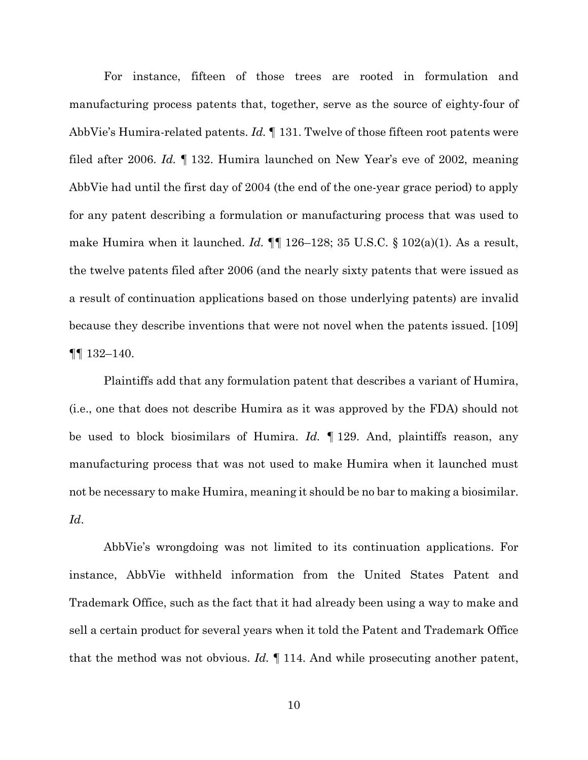For instance, fifteen of those trees are rooted in formulation and manufacturing process patents that, together, serve as the source of eighty-four of AbbVie's Humira-related patents. *Id.* ¶ 131. Twelve of those fifteen root patents were filed after 2006. *Id.* ¶ 132. Humira launched on New Year's eve of 2002, meaning AbbVie had until the first day of 2004 (the end of the one-year grace period) to apply for any patent describing a formulation or manufacturing process that was used to make Humira when it launched. *Id.*  $\P\P$  126–128; 35 U.S.C. § 102(a)(1). As a result, the twelve patents filed after 2006 (and the nearly sixty patents that were issued as a result of continuation applications based on those underlying patents) are invalid because they describe inventions that were not novel when the patents issued. [109] ¶¶ 132–140.

Plaintiffs add that any formulation patent that describes a variant of Humira, (i.e., one that does not describe Humira as it was approved by the FDA) should not be used to block biosimilars of Humira. *Id.* ¶ 129. And, plaintiffs reason, any manufacturing process that was not used to make Humira when it launched must not be necessary to make Humira, meaning it should be no bar to making a biosimilar. *Id*.

AbbVie's wrongdoing was not limited to its continuation applications. For instance, AbbVie withheld information from the United States Patent and Trademark Office, such as the fact that it had already been using a way to make and sell a certain product for several years when it told the Patent and Trademark Office that the method was not obvious. *Id.* ¶ 114. And while prosecuting another patent,

10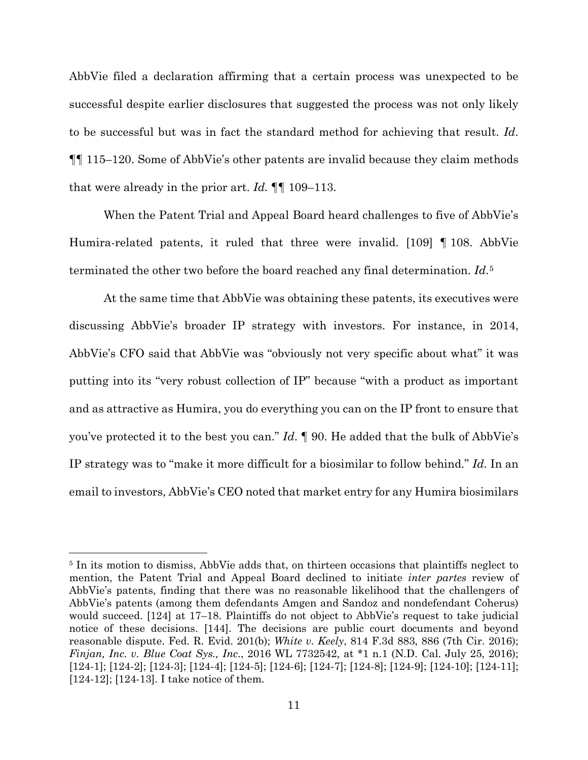AbbVie filed a declaration affirming that a certain process was unexpected to be successful despite earlier disclosures that suggested the process was not only likely to be successful but was in fact the standard method for achieving that result. *Id*. ¶¶ 115–120. Some of AbbVie's other patents are invalid because they claim methods that were already in the prior art. *Id.* ¶¶ 109–113.

When the Patent Trial and Appeal Board heard challenges to five of AbbVie's Humira-related patents, it ruled that three were invalid. [109] ¶ 108. AbbVie terminated the other two before the board reached any final determination. *Id*.[5](#page-10-0)

At the same time that AbbVie was obtaining these patents, its executives were discussing AbbVie's broader IP strategy with investors. For instance, in 2014, AbbVie's CFO said that AbbVie was "obviously not very specific about what" it was putting into its "very robust collection of IP" because "with a product as important and as attractive as Humira, you do everything you can on the IP front to ensure that you've protected it to the best you can." *Id*. ¶ 90. He added that the bulk of AbbVie's IP strategy was to "make it more difficult for a biosimilar to follow behind." *Id.* In an email to investors, AbbVie's CEO noted that market entry for any Humira biosimilars

<span id="page-10-0"></span><sup>&</sup>lt;sup>5</sup> In its motion to dismiss, AbbVie adds that, on thirteen occasions that plaintiffs neglect to mention, the Patent Trial and Appeal Board declined to initiate *inter partes* review of AbbVie's patents, finding that there was no reasonable likelihood that the challengers of AbbVie's patents (among them defendants Amgen and Sandoz and nondefendant Coherus) would succeed. [124] at 17–18. Plaintiffs do not object to AbbVie's request to take judicial notice of these decisions. [144]. The decisions are public court documents and beyond reasonable dispute. Fed. R. Evid. 201(b); *White v. Keely*, 814 F.3d 883, 886 (7th Cir. 2016); *Finjan, Inc. v. Blue Coat Sys., Inc*., 2016 WL 7732542, at \*1 n.1 (N.D. Cal. July 25, 2016); [124-1]; [124-2]; [124-3]; [124-4]; [124-5]; [124-6]; [124-7]; [124-8]; [124-9]; [124-10]; [124-11]; [124-12]; [124-13]. I take notice of them.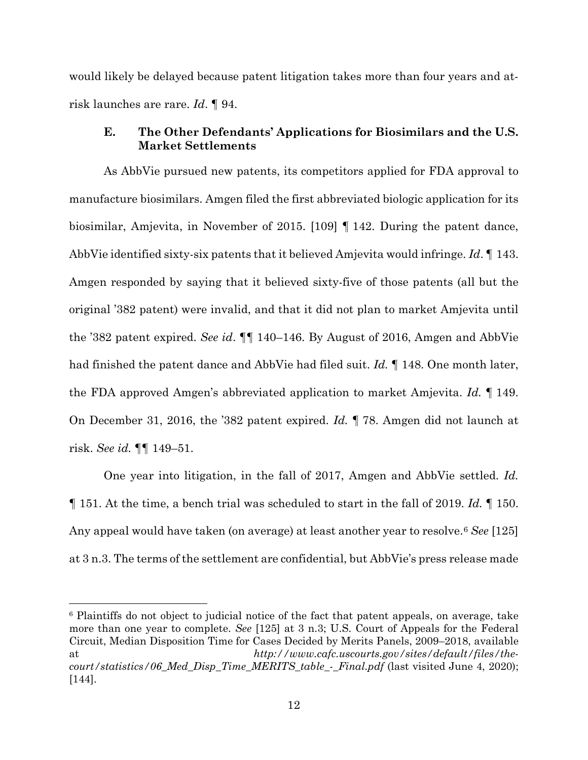would likely be delayed because patent litigation takes more than four years and atrisk launches are rare. *Id*. ¶ 94.

# **E. The Other Defendants' Applications for Biosimilars and the U.S. Market Settlements**

As AbbVie pursued new patents, its competitors applied for FDA approval to manufacture biosimilars. Amgen filed the first abbreviated biologic application for its biosimilar, Amjevita, in November of 2015. [109] ¶ 142. During the patent dance, AbbVie identified sixty-six patents that it believed Amjevita would infringe. *Id*. ¶ 143. Amgen responded by saying that it believed sixty-five of those patents (all but the original '382 patent) were invalid, and that it did not plan to market Amjevita until the '382 patent expired. *See id*. ¶¶ 140–146. By August of 2016, Amgen and AbbVie had finished the patent dance and AbbVie had filed suit. *Id.* ¶ 148. One month later, the FDA approved Amgen's abbreviated application to market Amjevita. *Id.* ¶ 149. On December 31, 2016, the '382 patent expired. *Id.* ¶ 78. Amgen did not launch at risk. *See id.* ¶¶ 149–51.

One year into litigation, in the fall of 2017, Amgen and AbbVie settled. *Id.*  ¶ 151. At the time, a bench trial was scheduled to start in the fall of 2019. *Id.* ¶ 150. Any appeal would have taken (on average) at least another year to resolve.[6](#page-11-0) *See* [125] at 3 n.3. The terms of the settlement are confidential, but AbbVie's press release made

<span id="page-11-0"></span><sup>6</sup> Plaintiffs do not object to judicial notice of the fact that patent appeals, on average, take more than one year to complete. *See* [125] at 3 n.3; U.S. Court of Appeals for the Federal Circuit, Median Disposition Time for Cases Decided by Merits Panels, 2009–2018, available at *http://www.cafc.uscourts.gov/sites/default/files/thecourt/statistics/06\_Med\_Disp\_Time\_MERITS\_table\_-\_Final.pdf* (last visited June 4, 2020); [144].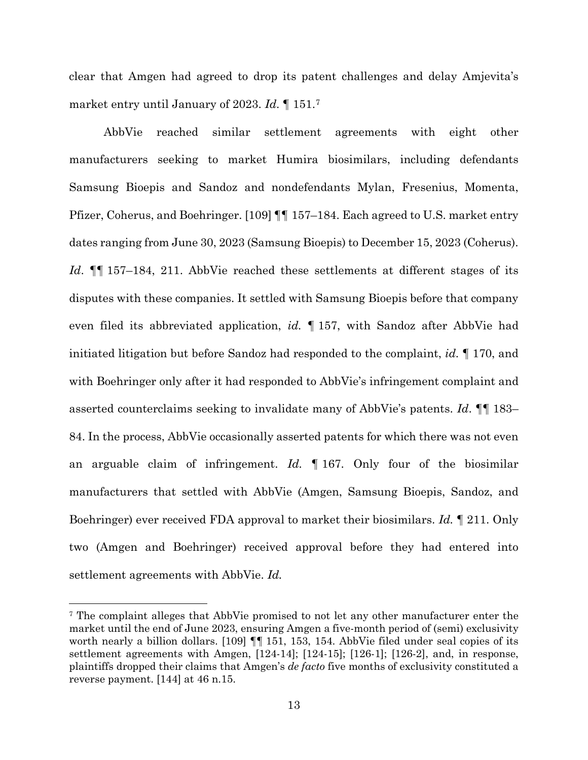clear that Amgen had agreed to drop its patent challenges and delay Amjevita's market entry until January of 2023. *Id*. ¶ 151.[7](#page-12-0)

AbbVie reached similar settlement agreements with eight other manufacturers seeking to market Humira biosimilars, including defendants Samsung Bioepis and Sandoz and nondefendants Mylan, Fresenius, Momenta, Pfizer, Coherus, and Boehringer. [109] ¶¶ 157–184. Each agreed to U.S. market entry dates ranging from June 30, 2023 (Samsung Bioepis) to December 15, 2023 (Coherus). *Id*. ¶¶ 157–184, 211. AbbVie reached these settlements at different stages of its disputes with these companies. It settled with Samsung Bioepis before that company even filed its abbreviated application, *id.* ¶ 157, with Sandoz after AbbVie had initiated litigation but before Sandoz had responded to the complaint, *id.* ¶ 170, and with Boehringer only after it had responded to AbbVie's infringement complaint and asserted counterclaims seeking to invalidate many of AbbVie's patents. *Id*. ¶¶ 183– 84. In the process, AbbVie occasionally asserted patents for which there was not even an arguable claim of infringement. *Id.* ¶ 167. Only four of the biosimilar manufacturers that settled with AbbVie (Amgen, Samsung Bioepis, Sandoz, and Boehringer) ever received FDA approval to market their biosimilars. *Id.* ¶ 211. Only two (Amgen and Boehringer) received approval before they had entered into settlement agreements with AbbVie. *Id.*

<span id="page-12-0"></span><sup>7</sup> The complaint alleges that AbbVie promised to not let any other manufacturer enter the market until the end of June 2023, ensuring Amgen a five-month period of (semi) exclusivity worth nearly a billion dollars. [109]  $\P\P$  151, 153, 154. AbbVie filed under seal copies of its settlement agreements with Amgen, [124-14]; [124-15]; [126-1]; [126-2], and, in response, plaintiffs dropped their claims that Amgen's *de facto* five months of exclusivity constituted a reverse payment. [144] at 46 n.15.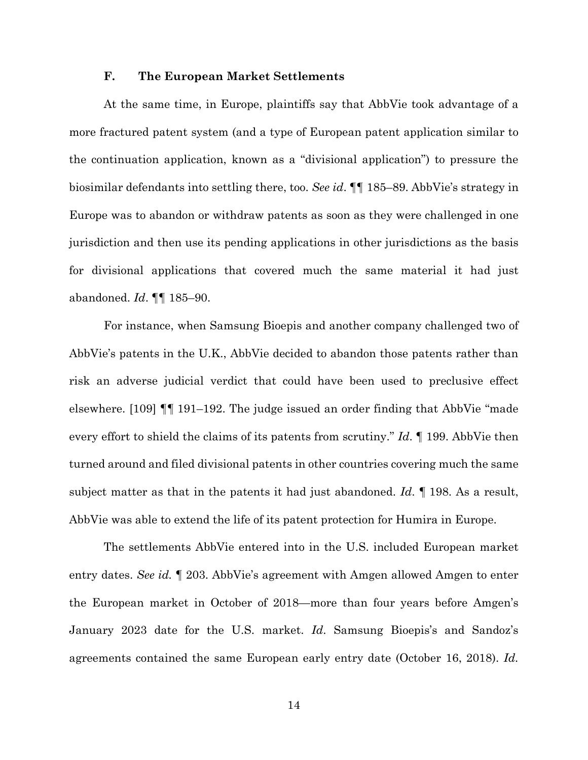### **F. The European Market Settlements**

At the same time, in Europe, plaintiffs say that AbbVie took advantage of a more fractured patent system (and a type of European patent application similar to the continuation application, known as a "divisional application") to pressure the biosimilar defendants into settling there, too. *See id*. ¶¶ 185–89. AbbVie's strategy in Europe was to abandon or withdraw patents as soon as they were challenged in one jurisdiction and then use its pending applications in other jurisdictions as the basis for divisional applications that covered much the same material it had just abandoned. *Id*. ¶¶ 185–90.

For instance, when Samsung Bioepis and another company challenged two of AbbVie's patents in the U.K., AbbVie decided to abandon those patents rather than risk an adverse judicial verdict that could have been used to preclusive effect elsewhere. [109] ¶¶ 191–192. The judge issued an order finding that AbbVie "made every effort to shield the claims of its patents from scrutiny." *Id*. ¶ 199. AbbVie then turned around and filed divisional patents in other countries covering much the same subject matter as that in the patents it had just abandoned. *Id*. ¶ 198. As a result, AbbVie was able to extend the life of its patent protection for Humira in Europe.

The settlements AbbVie entered into in the U.S. included European market entry dates. *See id.* ¶ 203. AbbVie's agreement with Amgen allowed Amgen to enter the European market in October of 2018—more than four years before Amgen's January 2023 date for the U.S. market. *Id*. Samsung Bioepis's and Sandoz's agreements contained the same European early entry date (October 16, 2018). *Id.*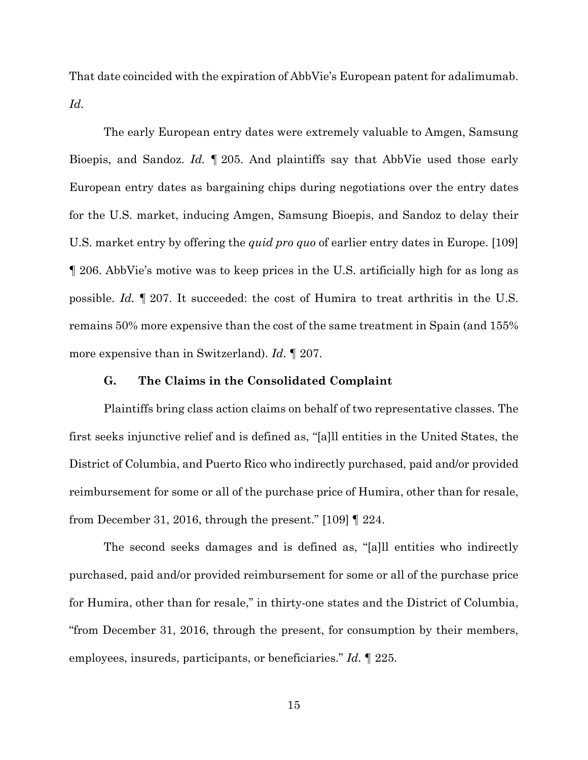That date coincided with the expiration of AbbVie's European patent for adalimumab. *Id.*

The early European entry dates were extremely valuable to Amgen, Samsung Bioepis, and Sandoz. *Id.* ¶ 205. And plaintiffs say that AbbVie used those early European entry dates as bargaining chips during negotiations over the entry dates for the U.S. market, inducing Amgen, Samsung Bioepis, and Sandoz to delay their U.S. market entry by offering the *quid pro quo* of earlier entry dates in Europe. [109] ¶ 206. AbbVie's motive was to keep prices in the U.S. artificially high for as long as possible. *Id.* ¶ 207. It succeeded: the cost of Humira to treat arthritis in the U.S. remains 50% more expensive than the cost of the same treatment in Spain (and 155% more expensive than in Switzerland). *Id.* ¶ 207.

#### **G. The Claims in the Consolidated Complaint**

Plaintiffs bring class action claims on behalf of two representative classes. The first seeks injunctive relief and is defined as, "[a]ll entities in the United States, the District of Columbia, and Puerto Rico who indirectly purchased, paid and/or provided reimbursement for some or all of the purchase price of Humira, other than for resale, from December 31, 2016, through the present." [109] ¶ 224.

The second seeks damages and is defined as, "[a]ll entities who indirectly purchased, paid and/or provided reimbursement for some or all of the purchase price for Humira, other than for resale," in thirty-one states and the District of Columbia, "from December 31, 2016, through the present, for consumption by their members, employees, insureds, participants, or beneficiaries." *Id.* ¶ 225.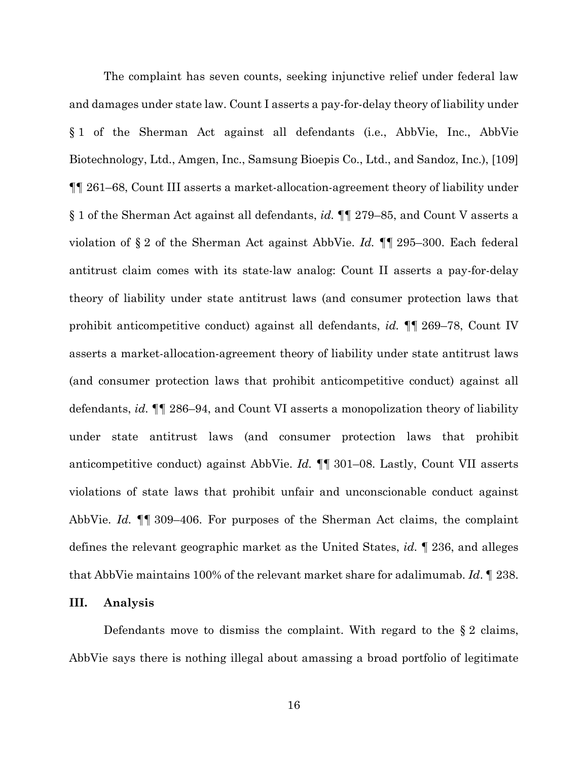The complaint has seven counts, seeking injunctive relief under federal law and damages under state law. Count I asserts a pay-for-delay theory of liability under § 1 of the Sherman Act against all defendants (i.e., AbbVie, Inc., AbbVie Biotechnology, Ltd., Amgen, Inc., Samsung Bioepis Co., Ltd., and Sandoz, Inc.), [109] ¶¶ 261–68, Count III asserts a market-allocation-agreement theory of liability under § 1 of the Sherman Act against all defendants, *id.* ¶¶ 279–85, and Count V asserts a violation of § 2 of the Sherman Act against AbbVie. *Id.* ¶¶ 295–300. Each federal antitrust claim comes with its state-law analog: Count II asserts a pay-for-delay theory of liability under state antitrust laws (and consumer protection laws that prohibit anticompetitive conduct) against all defendants, *id.* ¶¶ 269–78, Count IV asserts a market-allocation-agreement theory of liability under state antitrust laws (and consumer protection laws that prohibit anticompetitive conduct) against all defendants, *id.* ¶¶ 286–94, and Count VI asserts a monopolization theory of liability under state antitrust laws (and consumer protection laws that prohibit anticompetitive conduct) against AbbVie. *Id.* ¶¶ 301–08. Lastly, Count VII asserts violations of state laws that prohibit unfair and unconscionable conduct against AbbVie. *Id.* ¶¶ 309–406. For purposes of the Sherman Act claims, the complaint defines the relevant geographic market as the United States, *id.* ¶ 236, and alleges that AbbVie maintains 100% of the relevant market share for adalimumab. *Id*. ¶ 238.

### **III. Analysis**

Defendants move to dismiss the complaint. With regard to the § 2 claims, AbbVie says there is nothing illegal about amassing a broad portfolio of legitimate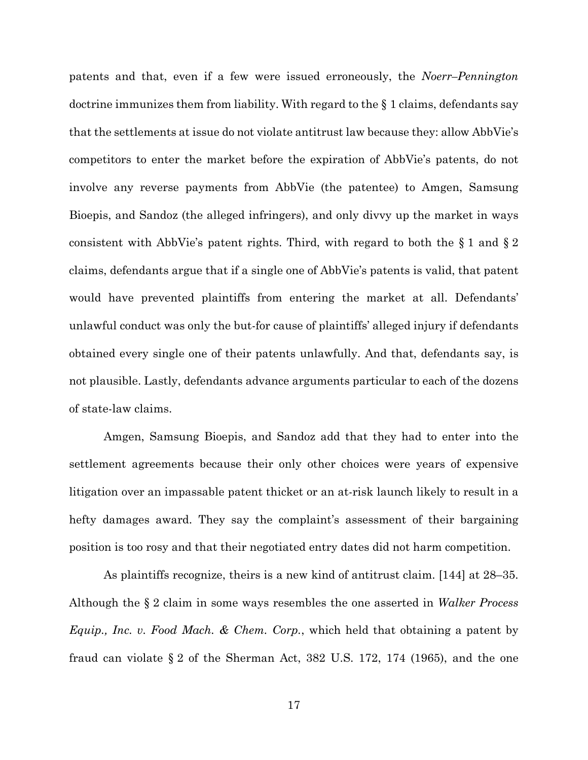patents and that, even if a few were issued erroneously, the *Noerr–Pennington*  doctrine immunizes them from liability. With regard to the § 1 claims, defendants say that the settlements at issue do not violate antitrust law because they: allow AbbVie's competitors to enter the market before the expiration of AbbVie's patents, do not involve any reverse payments from AbbVie (the patentee) to Amgen, Samsung Bioepis, and Sandoz (the alleged infringers), and only divvy up the market in ways consistent with AbbVie's patent rights. Third, with regard to both the § 1 and § 2 claims, defendants argue that if a single one of AbbVie's patents is valid, that patent would have prevented plaintiffs from entering the market at all. Defendants' unlawful conduct was only the but-for cause of plaintiffs' alleged injury if defendants obtained every single one of their patents unlawfully. And that, defendants say, is not plausible. Lastly, defendants advance arguments particular to each of the dozens of state-law claims.

Amgen, Samsung Bioepis, and Sandoz add that they had to enter into the settlement agreements because their only other choices were years of expensive litigation over an impassable patent thicket or an at-risk launch likely to result in a hefty damages award. They say the complaint's assessment of their bargaining position is too rosy and that their negotiated entry dates did not harm competition.

As plaintiffs recognize, theirs is a new kind of antitrust claim. [144] at 28–35. Although the § 2 claim in some ways resembles the one asserted in *Walker Process Equip., Inc. v. Food Mach. & Chem. Corp.*, which held that obtaining a patent by fraud can violate § 2 of the Sherman Act, 382 U.S. 172, 174 (1965), and the one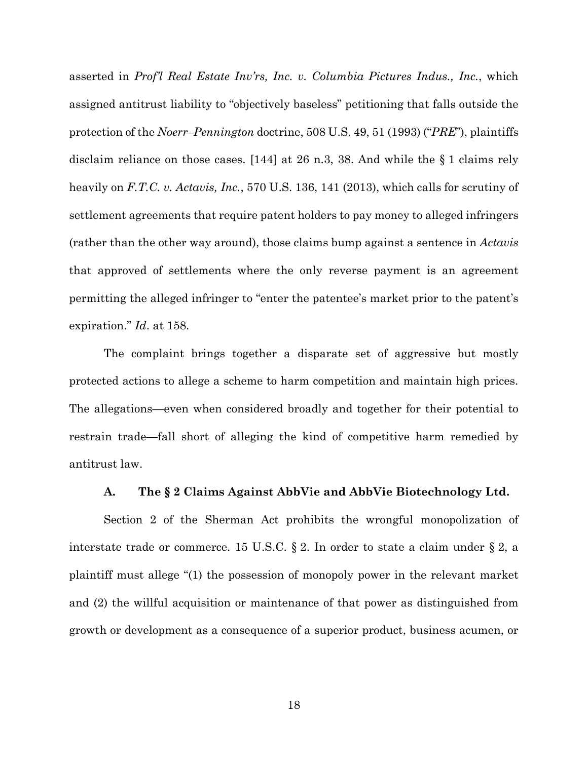asserted in *Prof'l Real Estate Inv'rs, Inc. v. Columbia Pictures Indus., Inc.*, which assigned antitrust liability to "objectively baseless" petitioning that falls outside the protection of the *Noerr–Pennington* doctrine, 508 U.S. 49, 51 (1993) ("*PRE*"), plaintiffs disclaim reliance on those cases. [144] at 26 n.3, 38. And while the § 1 claims rely heavily on *F.T.C. v. Actavis, Inc.*, 570 U.S. 136, 141 (2013), which calls for scrutiny of settlement agreements that require patent holders to pay money to alleged infringers (rather than the other way around), those claims bump against a sentence in *Actavis*  that approved of settlements where the only reverse payment is an agreement permitting the alleged infringer to "enter the patentee's market prior to the patent's expiration." *Id*. at 158.

The complaint brings together a disparate set of aggressive but mostly protected actions to allege a scheme to harm competition and maintain high prices. The allegations—even when considered broadly and together for their potential to restrain trade—fall short of alleging the kind of competitive harm remedied by antitrust law.

## **A. The § 2 Claims Against AbbVie and AbbVie Biotechnology Ltd.**

Section 2 of the Sherman Act prohibits the wrongful monopolization of interstate trade or commerce. 15 U.S.C. § 2. In order to state a claim under § 2, a plaintiff must allege "(1) the possession of monopoly power in the relevant market and (2) the willful acquisition or maintenance of that power as distinguished from growth or development as a consequence of a superior product, business acumen, or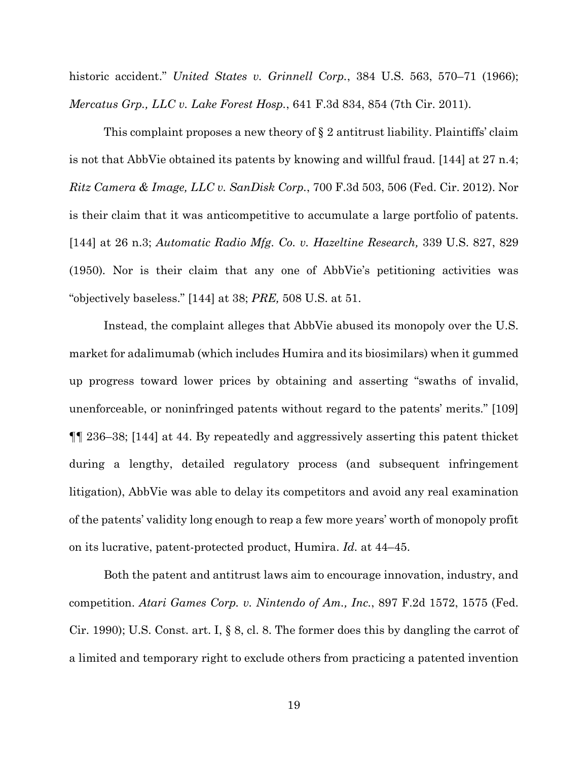historic accident." *United States v. Grinnell Corp.*, 384 U.S. 563, 570–71 (1966); *Mercatus Grp., LLC v. Lake Forest Hosp.*, 641 F.3d 834, 854 (7th Cir. 2011).

This complaint proposes a new theory of § 2 antitrust liability. Plaintiffs' claim is not that AbbVie obtained its patents by knowing and willful fraud. [144] at 27 n.4; *Ritz Camera & Image, LLC v. SanDisk Corp.*, 700 F.3d 503, 506 (Fed. Cir. 2012). Nor is their claim that it was anticompetitive to accumulate a large portfolio of patents. [144] at 26 n.3; *Automatic Radio Mfg. Co. v. Hazeltine Research,* 339 U.S. 827, 829 (1950)*.* Nor is their claim that any one of AbbVie's petitioning activities was "objectively baseless." [144] at 38; *PRE,* 508 U.S. at 51.

Instead, the complaint alleges that AbbVie abused its monopoly over the U.S. market for adalimumab (which includes Humira and its biosimilars) when it gummed up progress toward lower prices by obtaining and asserting "swaths of invalid, unenforceable, or noninfringed patents without regard to the patents' merits." [109] ¶¶ 236–38; [144] at 44. By repeatedly and aggressively asserting this patent thicket during a lengthy, detailed regulatory process (and subsequent infringement litigation), AbbVie was able to delay its competitors and avoid any real examination of the patents' validity long enough to reap a few more years' worth of monopoly profit on its lucrative, patent-protected product, Humira. *Id.* at 44–45.

Both the patent and antitrust laws aim to encourage innovation, industry, and competition. *Atari Games Corp. v. Nintendo of Am., Inc.*, 897 F.2d 1572, 1575 (Fed. Cir. 1990); U.S. Const. art. I, § 8, cl. 8. The former does this by dangling the carrot of a limited and temporary right to exclude others from practicing a patented invention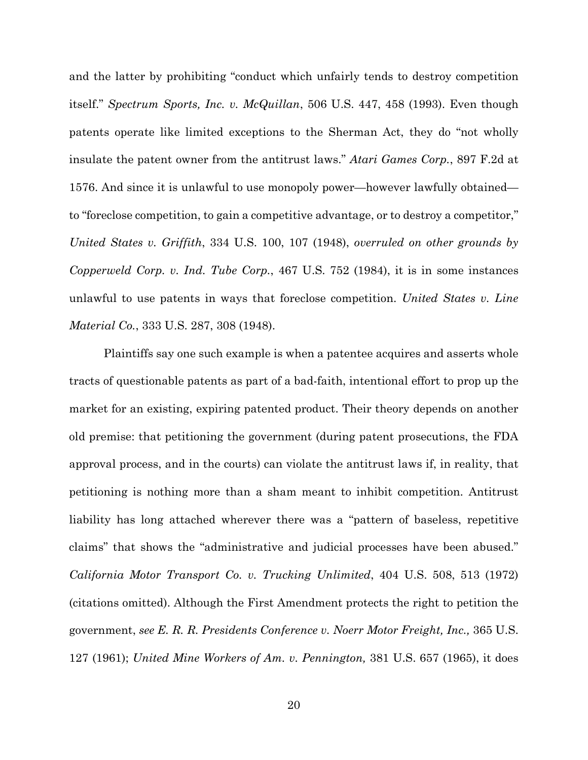and the latter by prohibiting "conduct which unfairly tends to destroy competition itself." *Spectrum Sports, Inc. v. McQuillan*, 506 U.S. 447, 458 (1993). Even though patents operate like limited exceptions to the Sherman Act, they do "not wholly insulate the patent owner from the antitrust laws." *Atari Games Corp.*, 897 F.2d at 1576. And since it is unlawful to use monopoly power—however lawfully obtained to "foreclose competition, to gain a competitive advantage, or to destroy a competitor," *United States v. Griffith*, 334 U.S. 100, 107 (1948), *overruled on other grounds by Copperweld Corp. v. Ind. Tube Corp.*, 467 U.S. 752 (1984), it is in some instances unlawful to use patents in ways that foreclose competition. *United States v. Line Material Co.*, 333 U.S. 287, 308 (1948).

Plaintiffs say one such example is when a patentee acquires and asserts whole tracts of questionable patents as part of a bad-faith, intentional effort to prop up the market for an existing, expiring patented product. Their theory depends on another old premise: that petitioning the government (during patent prosecutions, the FDA approval process, and in the courts) can violate the antitrust laws if, in reality, that petitioning is nothing more than a sham meant to inhibit competition. Antitrust liability has long attached wherever there was a "pattern of baseless, repetitive claims" that shows the "administrative and judicial processes have been abused." *California Motor Transport Co. v. Trucking Unlimited*, 404 U.S. 508, 513 (1972) (citations omitted). Although the First Amendment protects the right to petition the government, *see E. R. R. Presidents Conference v. Noerr Motor Freight, Inc.,* 365 U.S. 127 (1961); *United Mine Workers of Am. v. Pennington,* 381 U.S. 657 (1965), it does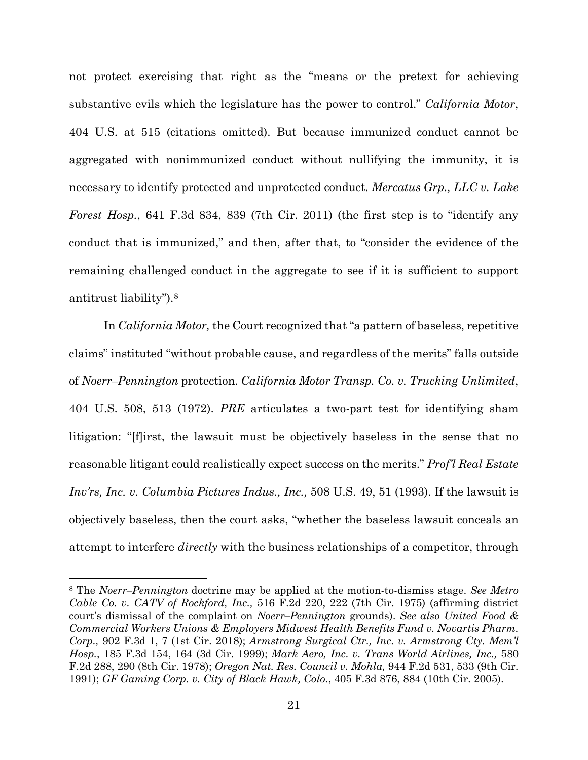not protect exercising that right as the "means or the pretext for achieving substantive evils which the legislature has the power to control." *California Motor*, 404 U.S. at 515 (citations omitted). But because immunized conduct cannot be aggregated with nonimmunized conduct without nullifying the immunity, it is necessary to identify protected and unprotected conduct. *Mercatus Grp., LLC v. Lake Forest Hosp.*, 641 F.3d 834, 839 (7th Cir. 2011) (the first step is to "identify any conduct that is immunized," and then, after that, to "consider the evidence of the remaining challenged conduct in the aggregate to see if it is sufficient to support antitrust liability").[8](#page-20-0)

In *California Motor,* the Court recognized that "a pattern of baseless, repetitive claims" instituted "without probable cause, and regardless of the merits" falls outside of *Noerr–Pennington* protection. *California Motor Transp. Co. v. Trucking Unlimited*, 404 U.S. 508, 513 (1972). *PRE* articulates a two-part test for identifying sham litigation: "[f]irst, the lawsuit must be objectively baseless in the sense that no reasonable litigant could realistically expect success on the merits." *Prof'l Real Estate Inv'rs, Inc. v. Columbia Pictures Indus., Inc.,* 508 U.S. 49, 51 (1993). If the lawsuit is objectively baseless, then the court asks, "whether the baseless lawsuit conceals an attempt to interfere *directly* with the business relationships of a competitor, through

<span id="page-20-0"></span><sup>8</sup> The *Noerr–Pennington* doctrine may be applied at the motion-to-dismiss stage. *See Metro Cable Co. v. CATV of Rockford, Inc.,* 516 F.2d 220, 222 (7th Cir. 1975) (affirming district court's dismissal of the complaint on *Noerr–Pennington* grounds). *See also United Food & Commercial Workers Unions & Employers Midwest Health Benefits Fund v. Novartis Pharm. Corp.,* 902 F.3d 1, 7 (1st Cir. 2018); *Armstrong Surgical Ctr., Inc. v. Armstrong Cty. Mem'l Hosp.*, 185 F.3d 154, 164 (3d Cir. 1999); *Mark Aero, Inc. v. Trans World Airlines, Inc.,* 580 F.2d 288, 290 (8th Cir. 1978); *Oregon Nat. Res. Council v. Mohla,* 944 F.2d 531, 533 (9th Cir. 1991); *GF Gaming Corp. v. City of Black Hawk, Colo.*, 405 F.3d 876, 884 (10th Cir. 2005).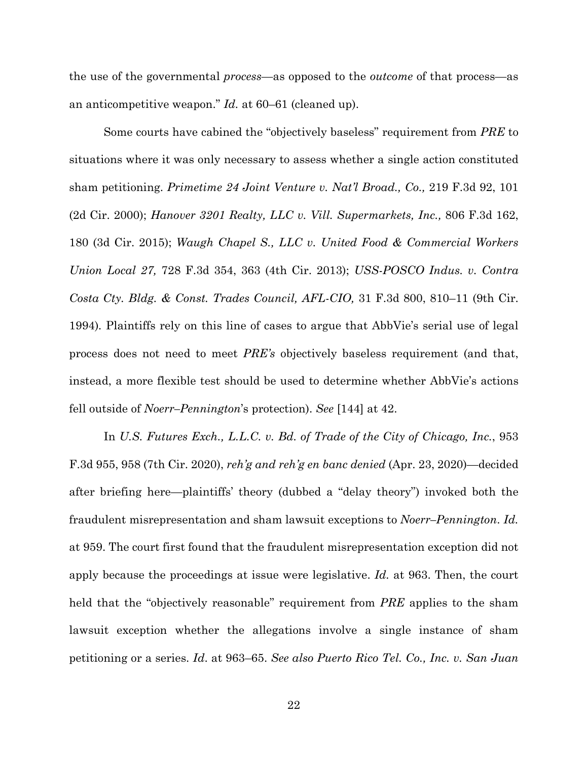the use of the governmental *process*—as opposed to the *outcome* of that process—as an anticompetitive weapon." *Id.* at 60–61 (cleaned up).

Some courts have cabined the "objectively baseless" requirement from *PRE* to situations where it was only necessary to assess whether a single action constituted sham petitioning. *Primetime 24 Joint Venture v. Nat'l Broad., Co.,* 219 F.3d 92, 101 (2d Cir. 2000); *Hanover 3201 Realty, LLC v. Vill. Supermarkets, Inc.,* 806 F.3d 162, 180 (3d Cir. 2015); *Waugh Chapel S., LLC v. United Food & Commercial Workers Union Local 27,* 728 F.3d 354, 363 (4th Cir. 2013); *USS-POSCO Indus. v. Contra Costa Cty. Bldg. & Const. Trades Council, AFL-CIO,* 31 F.3d 800, 810–11 (9th Cir. 1994)*.* Plaintiffs rely on this line of cases to argue that AbbVie's serial use of legal process does not need to meet *PRE's* objectively baseless requirement (and that, instead, a more flexible test should be used to determine whether AbbVie's actions fell outside of *Noerr–Pennington*'s protection). *See* [144] at 42.

In *U.S. Futures Exch., L.L.C. v. Bd. of Trade of the City of Chicago, Inc.*, 953 F.3d 955, 958 (7th Cir. 2020), *reh'g and reh'g en banc denied* (Apr. 23, 2020)—decided after briefing here—plaintiffs' theory (dubbed a "delay theory") invoked both the fraudulent misrepresentation and sham lawsuit exceptions to *Noerr–Pennington*. *Id.*  at 959. The court first found that the fraudulent misrepresentation exception did not apply because the proceedings at issue were legislative. *Id.* at 963. Then, the court held that the "objectively reasonable" requirement from *PRE* applies to the sham lawsuit exception whether the allegations involve a single instance of sham petitioning or a series. *Id*. at 963–65. *See also Puerto Rico Tel. Co., Inc. v. San Juan*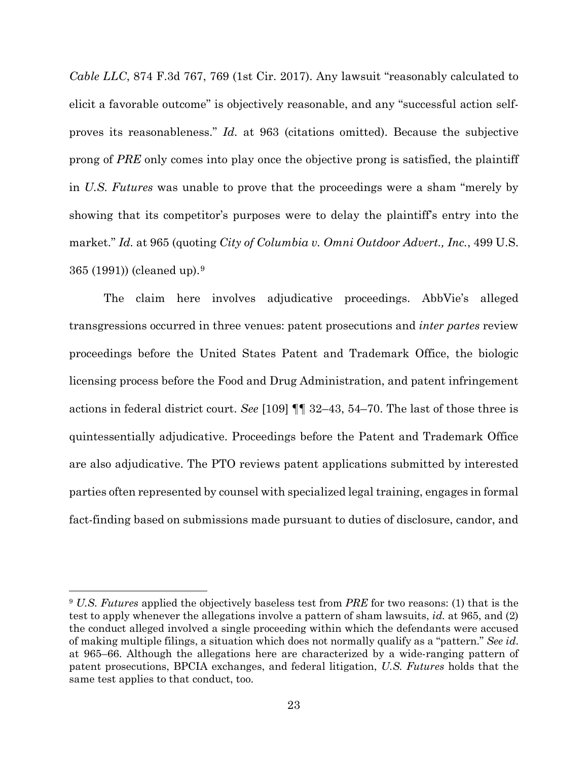*Cable LLC*, 874 F.3d 767, 769 (1st Cir. 2017). Any lawsuit "reasonably calculated to elicit a favorable outcome" is objectively reasonable, and any "successful action selfproves its reasonableness." *Id.* at 963 (citations omitted). Because the subjective prong of *PRE* only comes into play once the objective prong is satisfied, the plaintiff in *U.S. Futures* was unable to prove that the proceedings were a sham "merely by showing that its competitor's purposes were to delay the plaintiff's entry into the market." *Id.* at 965 (quoting *City of Columbia v. Omni Outdoor Advert., Inc.*, 499 U.S. 365 (1991)) (cleaned up).[9](#page-22-0)

The claim here involves adjudicative proceedings. AbbVie's alleged transgressions occurred in three venues: patent prosecutions and *inter partes* review proceedings before the United States Patent and Trademark Office, the biologic licensing process before the Food and Drug Administration, and patent infringement actions in federal district court. *See* [109] ¶¶ 32–43, 54–70. The last of those three is quintessentially adjudicative. Proceedings before the Patent and Trademark Office are also adjudicative. The PTO reviews patent applications submitted by interested parties often represented by counsel with specialized legal training, engages in formal fact-finding based on submissions made pursuant to duties of disclosure, candor, and

<span id="page-22-0"></span><sup>9</sup> *U.S. Futures* applied the objectively baseless test from *PRE* for two reasons: (1) that is the test to apply whenever the allegations involve a pattern of sham lawsuits, *id.* at 965, and (2) the conduct alleged involved a single proceeding within which the defendants were accused of making multiple filings, a situation which does not normally qualify as a "pattern." *See id*. at 965–66. Although the allegations here are characterized by a wide-ranging pattern of patent prosecutions, BPCIA exchanges, and federal litigation, *U.S. Futures* holds that the same test applies to that conduct, too.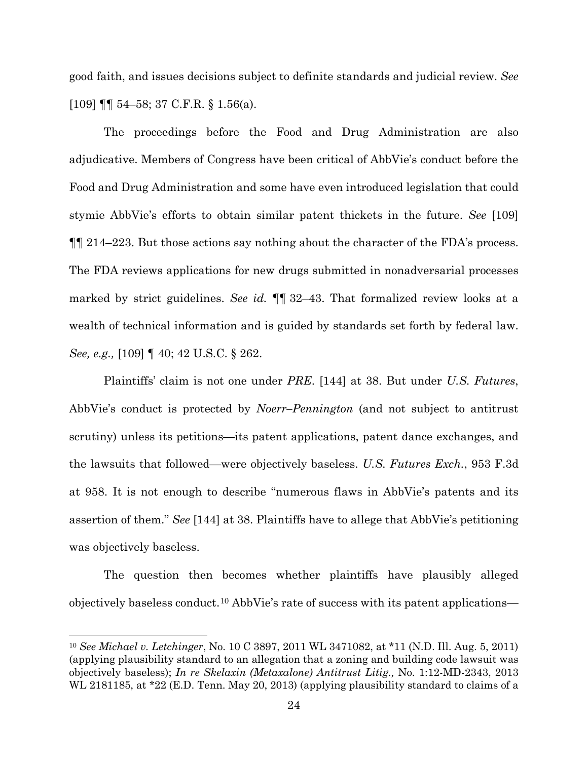good faith, and issues decisions subject to definite standards and judicial review. *See*  [109] ¶¶ 54–58; 37 C.F.R. § 1.56(a).

The proceedings before the Food and Drug Administration are also adjudicative. Members of Congress have been critical of AbbVie's conduct before the Food and Drug Administration and some have even introduced legislation that could stymie AbbVie's efforts to obtain similar patent thickets in the future. *See* [109] ¶¶ 214–223. But those actions say nothing about the character of the FDA's process. The FDA reviews applications for new drugs submitted in nonadversarial processes marked by strict guidelines. *See id.* ¶¶ 32–43. That formalized review looks at a wealth of technical information and is guided by standards set forth by federal law. *See, e.g.,* [109] ¶ 40; 42 U.S.C. § 262.

Plaintiffs' claim is not one under *PRE*. [144] at 38. But under *U.S. Futures*, AbbVie's conduct is protected by *Noerr–Pennington* (and not subject to antitrust scrutiny) unless its petitions—its patent applications, patent dance exchanges, and the lawsuits that followed—were objectively baseless. *U.S. Futures Exch.*, 953 F.3d at 958. It is not enough to describe "numerous flaws in AbbVie's patents and its assertion of them." *See* [144] at 38. Plaintiffs have to allege that AbbVie's petitioning was objectively baseless.

The question then becomes whether plaintiffs have plausibly alleged objectively baseless conduct.[10](#page-23-0) AbbVie's rate of success with its patent applications—

<span id="page-23-0"></span><sup>10</sup> *See Michael v. Letchinger*, No. 10 C 3897, 2011 WL 3471082, at \*11 (N.D. Ill. Aug. 5, 2011) (applying plausibility standard to an allegation that a zoning and building code lawsuit was objectively baseless); *In re Skelaxin (Metaxalone) Antitrust Litig.,* No. 1:12-MD-2343, 2013 WL 2181185, at \*22 (E.D. Tenn. May 20, 2013) (applying plausibility standard to claims of a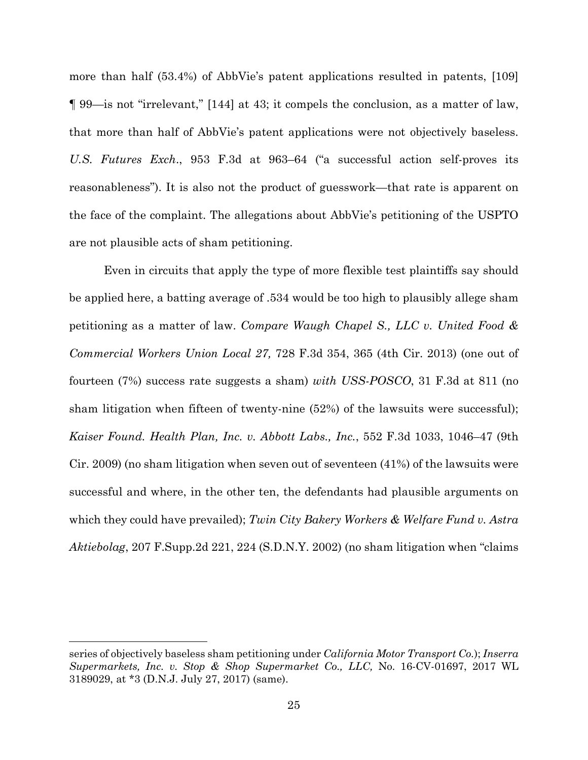more than half (53.4%) of AbbVie's patent applications resulted in patents, [109] ¶ 99—is not "irrelevant," [144] at 43; it compels the conclusion, as a matter of law, that more than half of AbbVie's patent applications were not objectively baseless. *U.S. Futures Exch*., 953 F.3d at 963–64 ("a successful action self-proves its reasonableness"). It is also not the product of guesswork—that rate is apparent on the face of the complaint. The allegations about AbbVie's petitioning of the USPTO are not plausible acts of sham petitioning.

Even in circuits that apply the type of more flexible test plaintiffs say should be applied here, a batting average of .534 would be too high to plausibly allege sham petitioning as a matter of law. *Compare Waugh Chapel S., LLC v. United Food & Commercial Workers Union Local 27,* 728 F.3d 354, 365 (4th Cir. 2013) (one out of fourteen (7%) success rate suggests a sham) *with USS-POSCO*, 31 F.3d at 811 (no sham litigation when fifteen of twenty-nine (52%) of the lawsuits were successful); *Kaiser Found. Health Plan, Inc. v. Abbott Labs., Inc.*, 552 F.3d 1033, 1046–47 (9th Cir. 2009) (no sham litigation when seven out of seventeen (41%) of the lawsuits were successful and where, in the other ten, the defendants had plausible arguments on which they could have prevailed); *Twin City Bakery Workers & Welfare Fund v. Astra Aktiebolag*, 207 F.Supp.2d 221, 224 (S.D.N.Y. 2002) (no sham litigation when "claims

series of objectively baseless sham petitioning under *California Motor Transport Co.*); *Inserra Supermarkets, Inc. v. Stop & Shop Supermarket Co., LLC,* No. 16-CV-01697, 2017 WL 3189029, at \*3 (D.N.J. July 27, 2017) (same).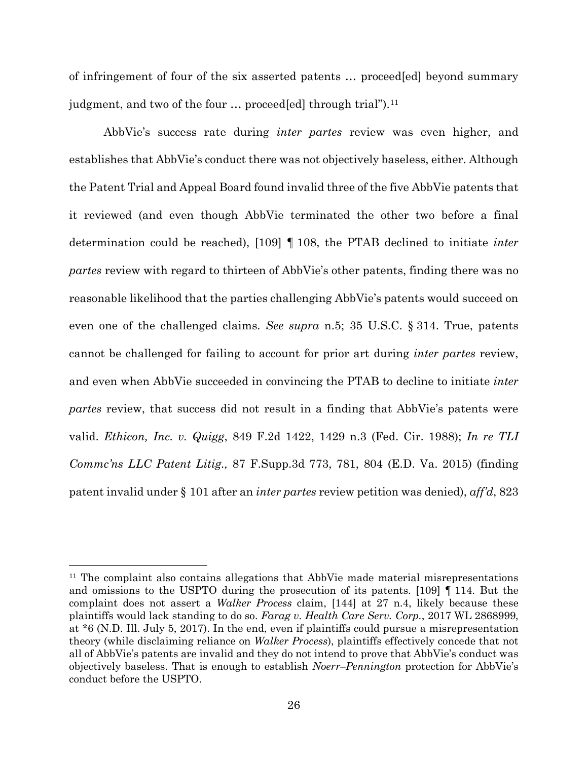of infringement of four of the six asserted patents … proceed[ed] beyond summary judgment, and two of the four ... proceed[ed] through trial").<sup>[11](#page-25-0)</sup>

AbbVie's success rate during *inter partes* review was even higher, and establishes that AbbVie's conduct there was not objectively baseless, either. Although the Patent Trial and Appeal Board found invalid three of the five AbbVie patents that it reviewed (and even though AbbVie terminated the other two before a final determination could be reached), [109] ¶ 108, the PTAB declined to initiate *inter partes* review with regard to thirteen of AbbVie's other patents, finding there was no reasonable likelihood that the parties challenging AbbVie's patents would succeed on even one of the challenged claims. *See supra* n.5; 35 U.S.C. § 314. True, patents cannot be challenged for failing to account for prior art during *inter partes* review, and even when AbbVie succeeded in convincing the PTAB to decline to initiate *inter partes* review, that success did not result in a finding that AbbVie's patents were valid. *Ethicon, Inc. v. Quigg*, 849 F.2d 1422, 1429 n.3 (Fed. Cir. 1988); *In re TLI Commc'ns LLC Patent Litig.,* 87 F.Supp.3d 773, 781, 804 (E.D. Va. 2015) (finding patent invalid under § 101 after an *inter partes* review petition was denied), *aff'd*, 823

<span id="page-25-0"></span><sup>&</sup>lt;sup>11</sup> The complaint also contains allegations that AbbVie made material misrepresentations and omissions to the USPTO during the prosecution of its patents. [109] ¶ 114. But the complaint does not assert a *Walker Process* claim, [144] at 27 n.4, likely because these plaintiffs would lack standing to do so. *Farag v. Health Care Serv. Corp.*, 2017 WL 2868999, at \*6 (N.D. Ill. July 5, 2017). In the end, even if plaintiffs could pursue a misrepresentation theory (while disclaiming reliance on *Walker Process*), plaintiffs effectively concede that not all of AbbVie's patents are invalid and they do not intend to prove that AbbVie's conduct was objectively baseless. That is enough to establish *Noerr–Pennington* protection for AbbVie's conduct before the USPTO.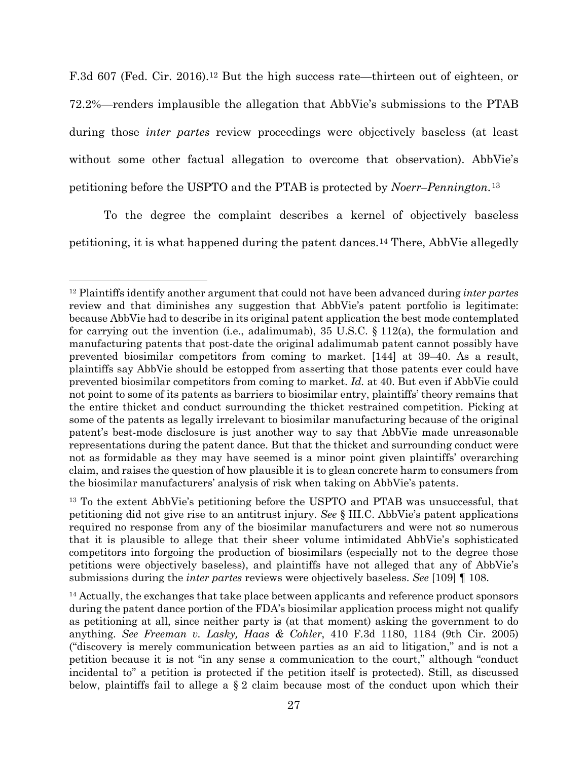F.3d 607 (Fed. Cir. 2016).<sup>[12](#page-26-0)</sup> But the high success rate—thirteen out of eighteen, or 72.2%—renders implausible the allegation that AbbVie's submissions to the PTAB during those *inter partes* review proceedings were objectively baseless (at least without some other factual allegation to overcome that observation). AbbVie's petitioning before the USPTO and the PTAB is protected by *Noerr–Pennington.*[13](#page-26-1)

To the degree the complaint describes a kernel of objectively baseless petitioning, it is what happened during the patent dances.[14](#page-26-2) There, AbbVie allegedly

<span id="page-26-0"></span><sup>12</sup> Plaintiffs identify another argument that could not have been advanced during *inter partes*  review and that diminishes any suggestion that AbbVie's patent portfolio is legitimate: because AbbVie had to describe in its original patent application the best mode contemplated for carrying out the invention (i.e., adalimumab),  $35 \text{ U.S.C.} \$   $112(a)$ , the formulation and manufacturing patents that post-date the original adalimumab patent cannot possibly have prevented biosimilar competitors from coming to market. [144] at 39–40. As a result, plaintiffs say AbbVie should be estopped from asserting that those patents ever could have prevented biosimilar competitors from coming to market. *Id.* at 40. But even if AbbVie could not point to some of its patents as barriers to biosimilar entry, plaintiffs' theory remains that the entire thicket and conduct surrounding the thicket restrained competition. Picking at some of the patents as legally irrelevant to biosimilar manufacturing because of the original patent's best-mode disclosure is just another way to say that AbbVie made unreasonable representations during the patent dance. But that the thicket and surrounding conduct were not as formidable as they may have seemed is a minor point given plaintiffs' overarching claim, and raises the question of how plausible it is to glean concrete harm to consumers from the biosimilar manufacturers' analysis of risk when taking on AbbVie's patents.

<span id="page-26-1"></span><sup>&</sup>lt;sup>13</sup> To the extent AbbVie's petitioning before the USPTO and PTAB was unsuccessful, that petitioning did not give rise to an antitrust injury. *See* § III.C. AbbVie's patent applications required no response from any of the biosimilar manufacturers and were not so numerous that it is plausible to allege that their sheer volume intimidated AbbVie's sophisticated competitors into forgoing the production of biosimilars (especially not to the degree those petitions were objectively baseless), and plaintiffs have not alleged that any of AbbVie's submissions during the *inter partes* reviews were objectively baseless. *See* [109] ¶ 108.

<span id="page-26-2"></span><sup>&</sup>lt;sup>14</sup> Actually, the exchanges that take place between applicants and reference product sponsors during the patent dance portion of the FDA's biosimilar application process might not qualify as petitioning at all, since neither party is (at that moment) asking the government to do anything. *See Freeman v. Lasky, Haas & Cohler*, 410 F.3d 1180, 1184 (9th Cir. 2005) ("discovery is merely communication between parties as an aid to litigation," and is not a petition because it is not "in any sense a communication to the court," although "conduct incidental to" a petition is protected if the petition itself is protected). Still, as discussed below, plaintiffs fail to allege a  $\S 2$  claim because most of the conduct upon which their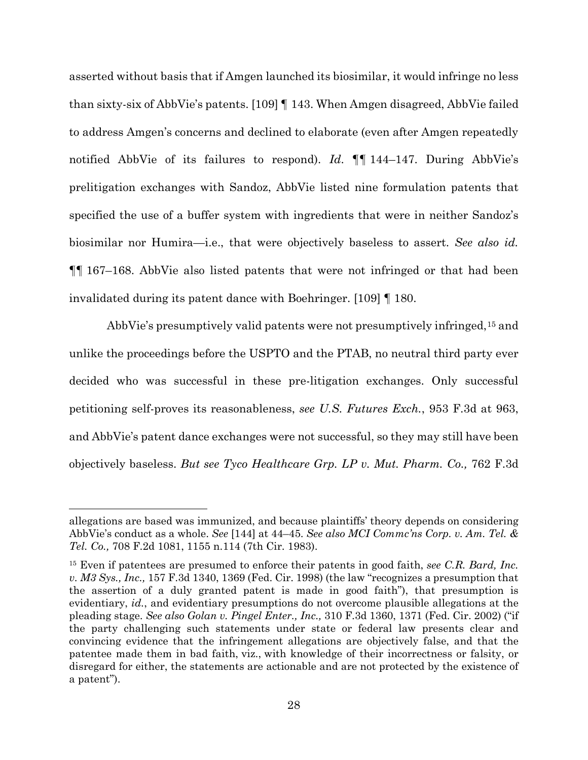asserted without basis that if Amgen launched its biosimilar, it would infringe no less than sixty-six of AbbVie's patents. [109] ¶ 143. When Amgen disagreed, AbbVie failed to address Amgen's concerns and declined to elaborate (even after Amgen repeatedly notified AbbVie of its failures to respond). *Id*. ¶¶ 144–147. During AbbVie's prelitigation exchanges with Sandoz, AbbVie listed nine formulation patents that specified the use of a buffer system with ingredients that were in neither Sandoz's biosimilar nor Humira—i.e., that were objectively baseless to assert. *See also id.* ¶¶ 167–168. AbbVie also listed patents that were not infringed or that had been invalidated during its patent dance with Boehringer. [109] ¶ 180.

AbbVie's presumptively valid patents were not presumptively infringed,[15](#page-27-0) and unlike the proceedings before the USPTO and the PTAB, no neutral third party ever decided who was successful in these pre-litigation exchanges. Only successful petitioning self-proves its reasonableness, *see U.S. Futures Exch.*, 953 F.3d at 963, and AbbVie's patent dance exchanges were not successful, so they may still have been objectively baseless. *But see Tyco Healthcare Grp. LP v. Mut. Pharm. Co.,* 762 F.3d

allegations are based was immunized, and because plaintiffs' theory depends on considering AbbVie's conduct as a whole. *See* [144] at 44–45. *See also MCI Commc'ns Corp. v. Am. Tel. & Tel. Co.,* 708 F.2d 1081, 1155 n.114 (7th Cir. 1983).

<span id="page-27-0"></span><sup>15</sup> Even if patentees are presumed to enforce their patents in good faith, *see C.R. Bard, Inc. v. M3 Sys., Inc.,* 157 F.3d 1340, 1369 (Fed. Cir. 1998) (the law "recognizes a presumption that the assertion of a duly granted patent is made in good faith"), that presumption is evidentiary, *id.*, and evidentiary presumptions do not overcome plausible allegations at the pleading stage. *See also Golan v. Pingel Enter., Inc.,* 310 F.3d 1360, 1371 (Fed. Cir. 2002) ("if the party challenging such statements under state or federal law presents clear and convincing evidence that the infringement allegations are objectively false, and that the patentee made them in bad faith, viz., with knowledge of their incorrectness or falsity, or disregard for either, the statements are actionable and are not protected by the existence of a patent").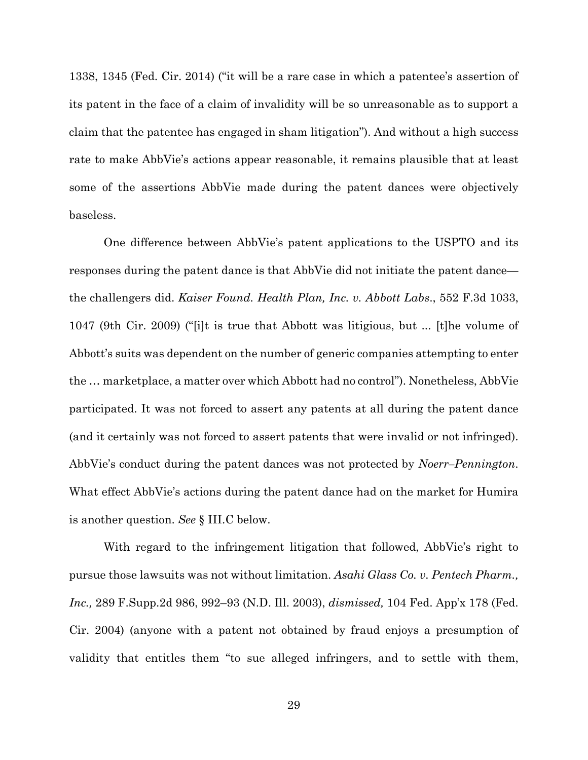1338, 1345 (Fed. Cir. 2014) ("it will be a rare case in which a patentee's assertion of its patent in the face of a claim of invalidity will be so unreasonable as to support a claim that the patentee has engaged in sham litigation"). And without a high success rate to make AbbVie's actions appear reasonable, it remains plausible that at least some of the assertions AbbVie made during the patent dances were objectively baseless.

One difference between AbbVie's patent applications to the USPTO and its responses during the patent dance is that AbbVie did not initiate the patent dance the challengers did. *Kaiser Found. Health Plan, Inc. v. Abbott Labs*., 552 F.3d 1033, 1047 (9th Cir. 2009) ("[i]t is true that Abbott was litigious, but ... [t]he volume of Abbott's suits was dependent on the number of generic companies attempting to enter the … marketplace, a matter over which Abbott had no control"). Nonetheless, AbbVie participated. It was not forced to assert any patents at all during the patent dance (and it certainly was not forced to assert patents that were invalid or not infringed). AbbVie's conduct during the patent dances was not protected by *Noerr–Pennington*. What effect AbbVie's actions during the patent dance had on the market for Humira is another question. *See* § III.C below.

With regard to the infringement litigation that followed, AbbVie's right to pursue those lawsuits was not without limitation. *Asahi Glass Co. v. Pentech Pharm., Inc.,* 289 F.Supp.2d 986, 992–93 (N.D. Ill. 2003), *dismissed,* 104 Fed. App'x 178 (Fed. Cir. 2004) (anyone with a patent not obtained by fraud enjoys a presumption of validity that entitles them "to sue alleged infringers, and to settle with them,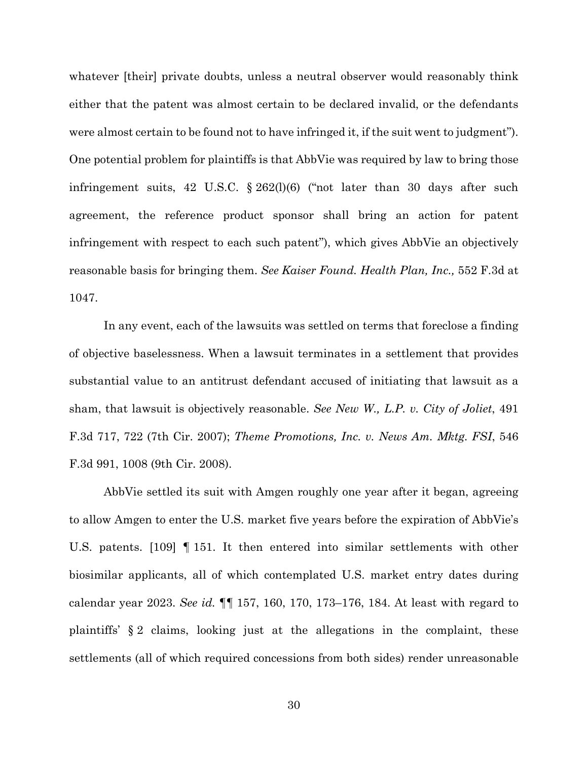whatever [their] private doubts, unless a neutral observer would reasonably think either that the patent was almost certain to be declared invalid, or the defendants were almost certain to be found not to have infringed it, if the suit went to judgment"). One potential problem for plaintiffs is that AbbVie was required by law to bring those infringement suits, 42 U.S.C. § 262(l)(6) ("not later than 30 days after such agreement, the reference product sponsor shall bring an action for patent infringement with respect to each such patent"), which gives AbbVie an objectively reasonable basis for bringing them. *See Kaiser Found. Health Plan, Inc.,* 552 F.3d at 1047.

In any event, each of the lawsuits was settled on terms that foreclose a finding of objective baselessness. When a lawsuit terminates in a settlement that provides substantial value to an antitrust defendant accused of initiating that lawsuit as a sham, that lawsuit is objectively reasonable. *See New W., L.P. v. City of Joliet*, 491 F.3d 717, 722 (7th Cir. 2007); *Theme Promotions, Inc. v. News Am. Mktg. FSI*, 546 F.3d 991, 1008 (9th Cir. 2008).

AbbVie settled its suit with Amgen roughly one year after it began, agreeing to allow Amgen to enter the U.S. market five years before the expiration of AbbVie's U.S. patents. [109] ¶ 151. It then entered into similar settlements with other biosimilar applicants, all of which contemplated U.S. market entry dates during calendar year 2023. *See id.* ¶¶ 157, 160, 170, 173–176, 184. At least with regard to plaintiffs' § 2 claims, looking just at the allegations in the complaint, these settlements (all of which required concessions from both sides) render unreasonable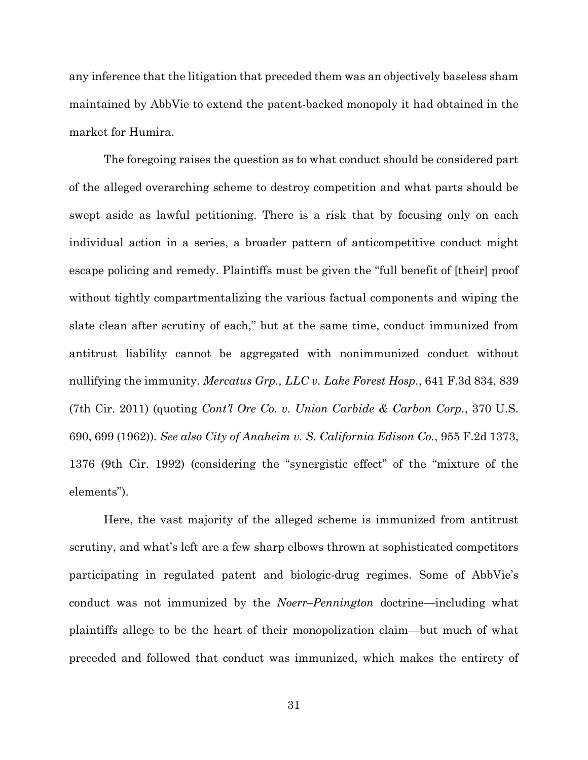any inference that the litigation that preceded them was an objectively baseless sham maintained by AbbVie to extend the patent-backed monopoly it had obtained in the market for Humira.

The foregoing raises the question as to what conduct should be considered part of the alleged overarching scheme to destroy competition and what parts should be swept aside as lawful petitioning. There is a risk that by focusing only on each individual action in a series, a broader pattern of anticompetitive conduct might escape policing and remedy. Plaintiffs must be given the "full benefit of [their] proof without tightly compartmentalizing the various factual components and wiping the slate clean after scrutiny of each," but at the same time, conduct immunized from antitrust liability cannot be aggregated with nonimmunized conduct without nullifying the immunity. *Mercatus Grp., LLC v. Lake Forest Hosp.*, 641 F.3d 834, 839 (7th Cir. 2011) (quoting *Cont'l Ore Co. v. Union Carbide & Carbon Corp.*, 370 U.S. 690, 699 (1962))*. See also City of Anaheim v. S. California Edison Co.*, 955 F.2d 1373, 1376 (9th Cir. 1992) (considering the "synergistic effect" of the "mixture of the elements").

Here, the vast majority of the alleged scheme is immunized from antitrust scrutiny, and what's left are a few sharp elbows thrown at sophisticated competitors participating in regulated patent and biologic-drug regimes. Some of AbbVie's conduct was not immunized by the *Noerr–Pennington* doctrine—including what plaintiffs allege to be the heart of their monopolization claim—but much of what preceded and followed that conduct was immunized, which makes the entirety of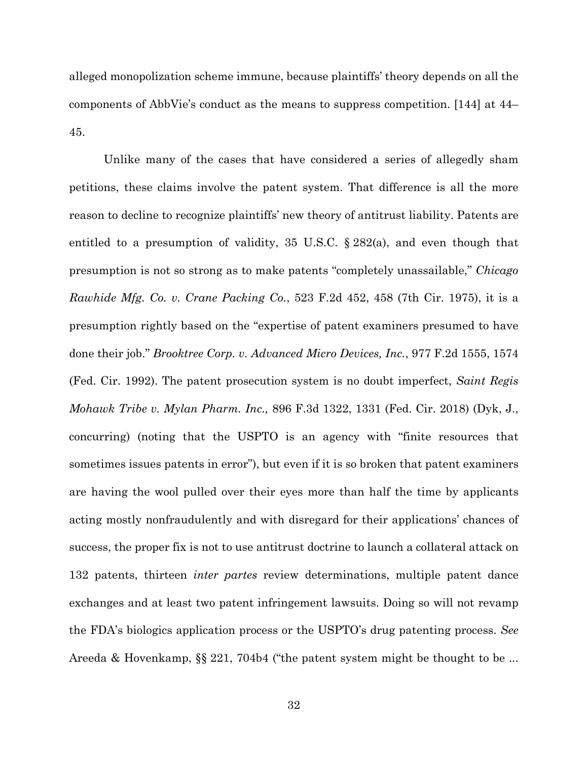alleged monopolization scheme immune, because plaintiffs' theory depends on all the components of AbbVie's conduct as the means to suppress competition. [144] at 44– 45.

Unlike many of the cases that have considered a series of allegedly sham petitions, these claims involve the patent system. That difference is all the more reason to decline to recognize plaintiffs' new theory of antitrust liability. Patents are entitled to a presumption of validity, 35 U.S.C. § 282(a), and even though that presumption is not so strong as to make patents "completely unassailable," *Chicago Rawhide Mfg. Co. v. Crane Packing Co.*, 523 F.2d 452, 458 (7th Cir. 1975), it is a presumption rightly based on the "expertise of patent examiners presumed to have done their job." *Brooktree Corp. v. Advanced Micro Devices, Inc.*, 977 F.2d 1555, 1574 (Fed. Cir. 1992). The patent prosecution system is no doubt imperfect, *Saint Regis Mohawk Tribe v. Mylan Pharm. Inc.,* 896 F.3d 1322, 1331 (Fed. Cir. 2018) (Dyk, J., concurring) (noting that the USPTO is an agency with "finite resources that sometimes issues patents in error"), but even if it is so broken that patent examiners are having the wool pulled over their eyes more than half the time by applicants acting mostly nonfraudulently and with disregard for their applications' chances of success, the proper fix is not to use antitrust doctrine to launch a collateral attack on 132 patents, thirteen *inter partes* review determinations, multiple patent dance exchanges and at least two patent infringement lawsuits. Doing so will not revamp the FDA's biologics application process or the USPTO's drug patenting process. *See*  Areeda & Hovenkamp, §§ 221, 704b4 ("the patent system might be thought to be ...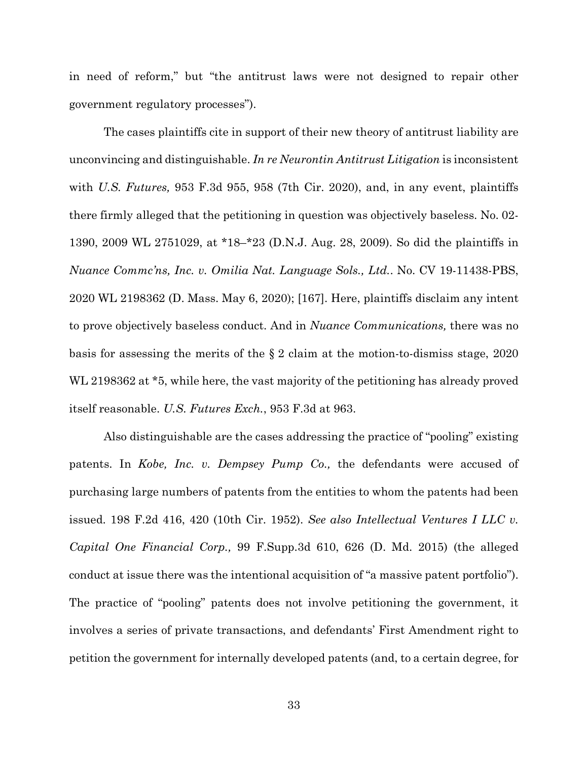in need of reform," but "the antitrust laws were not designed to repair other government regulatory processes").

The cases plaintiffs cite in support of their new theory of antitrust liability are unconvincing and distinguishable. *In re Neurontin Antitrust Litigation* is inconsistent with *U.S. Futures,* 953 F.3d 955, 958 (7th Cir. 2020), and, in any event, plaintiffs there firmly alleged that the petitioning in question was objectively baseless. No. 02- 1390, 2009 WL 2751029, at \*18–\*23 (D.N.J. Aug. 28, 2009). So did the plaintiffs in *Nuance Commc'ns, Inc. v. Omilia Nat. Language Sols., Ltd.*. No. CV 19-11438-PBS, 2020 WL 2198362 (D. Mass. May 6, 2020); [167]. Here, plaintiffs disclaim any intent to prove objectively baseless conduct. And in *Nuance Communications,* there was no basis for assessing the merits of the § 2 claim at the motion-to-dismiss stage, 2020 WL 2198362 at \*5, while here, the vast majority of the petitioning has already proved itself reasonable. *U.S. Futures Exch.*, 953 F.3d at 963.

Also distinguishable are the cases addressing the practice of "pooling" existing patents. In *Kobe, Inc. v. Dempsey Pump Co.,* the defendants were accused of purchasing large numbers of patents from the entities to whom the patents had been issued. 198 F.2d 416, 420 (10th Cir. 1952). *See also Intellectual Ventures I LLC v. Capital One Financial Corp.,* 99 F.Supp.3d 610, 626 (D. Md. 2015) (the alleged conduct at issue there was the intentional acquisition of "a massive patent portfolio"). The practice of "pooling" patents does not involve petitioning the government, it involves a series of private transactions, and defendants' First Amendment right to petition the government for internally developed patents (and, to a certain degree, for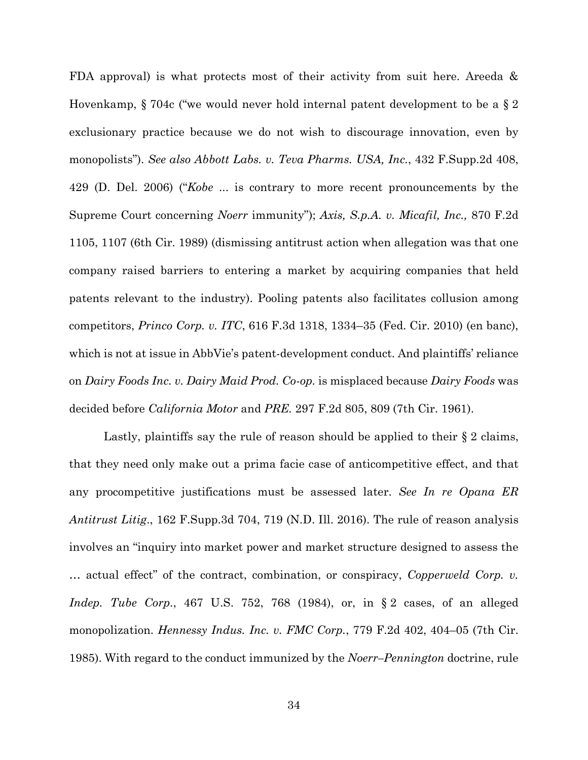FDA approval) is what protects most of their activity from suit here. Areeda & Hovenkamp, § 704c ("we would never hold internal patent development to be a § 2 exclusionary practice because we do not wish to discourage innovation, even by monopolists"). *See also Abbott Labs. v. Teva Pharms. USA, Inc.*, 432 F.Supp.2d 408, 429 (D. Del. 2006) ("*Kobe* ... is contrary to more recent pronouncements by the Supreme Court concerning *Noerr* immunity"); *Axis, S.p.A. v. Micafil, Inc.,* 870 F.2d 1105, 1107 (6th Cir. 1989) (dismissing antitrust action when allegation was that one company raised barriers to entering a market by acquiring companies that held patents relevant to the industry). Pooling patents also facilitates collusion among competitors, *Princo Corp. v. ITC*, 616 F.3d 1318, 1334–35 (Fed. Cir. 2010) (en banc), which is not at issue in AbbVie's patent-development conduct. And plaintiffs' reliance on *Dairy Foods Inc. v. Dairy Maid Prod. Co-op.* is misplaced because *Dairy Foods* was decided before *California Motor* and *PRE.* 297 F.2d 805, 809 (7th Cir. 1961).

Lastly, plaintiffs say the rule of reason should be applied to their § 2 claims, that they need only make out a prima facie case of anticompetitive effect, and that any procompetitive justifications must be assessed later. *See In re Opana ER Antitrust Litig*., 162 F.Supp.3d 704, 719 (N.D. Ill. 2016). The rule of reason analysis involves an "inquiry into market power and market structure designed to assess the … actual effect" of the contract, combination, or conspiracy, *Copperweld Corp. v. Indep. Tube Corp*., 467 U.S. 752, 768 (1984), or, in § 2 cases, of an alleged monopolization. *Hennessy Indus. Inc. v. FMC Corp.*, 779 F.2d 402, 404–05 (7th Cir. 1985). With regard to the conduct immunized by the *Noerr–Pennington* doctrine, rule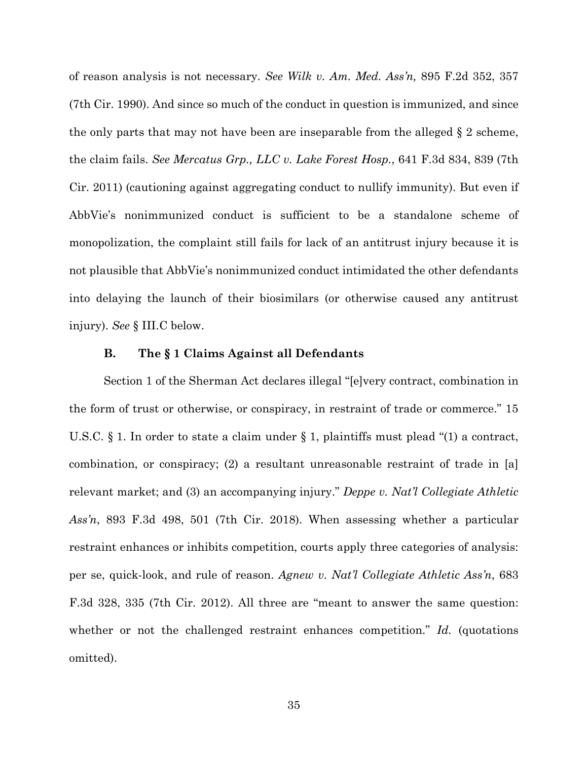of reason analysis is not necessary. *See Wilk v. Am. Med. Ass'n,* 895 F.2d 352, 357 (7th Cir. 1990). And since so much of the conduct in question is immunized, and since the only parts that may not have been are inseparable from the alleged  $\S 2$  scheme, the claim fails. *See Mercatus Grp., LLC v. Lake Forest Hosp.*, 641 F.3d 834, 839 (7th Cir. 2011) (cautioning against aggregating conduct to nullify immunity). But even if AbbVie's nonimmunized conduct is sufficient to be a standalone scheme of monopolization, the complaint still fails for lack of an antitrust injury because it is not plausible that AbbVie's nonimmunized conduct intimidated the other defendants into delaying the launch of their biosimilars (or otherwise caused any antitrust injury). *See* § III.C below.

## **B. The § 1 Claims Against all Defendants**

Section 1 of the Sherman Act declares illegal "[e]very contract, combination in the form of trust or otherwise, or conspiracy, in restraint of trade or commerce." 15 U.S.C. § 1. In order to state a claim under § 1, plaintiffs must plead "(1) a contract, combination, or conspiracy; (2) a resultant unreasonable restraint of trade in [a] relevant market; and (3) an accompanying injury." *Deppe v. Nat'l Collegiate Athletic Ass'n*, 893 F.3d 498, 501 (7th Cir. 2018). When assessing whether a particular restraint enhances or inhibits competition, courts apply three categories of analysis: per se, quick-look, and rule of reason. *Agnew v. Nat'l Collegiate Athletic Ass'n*, 683 F.3d 328, 335 (7th Cir. 2012). All three are "meant to answer the same question: whether or not the challenged restraint enhances competition." *Id.* (quotations omitted).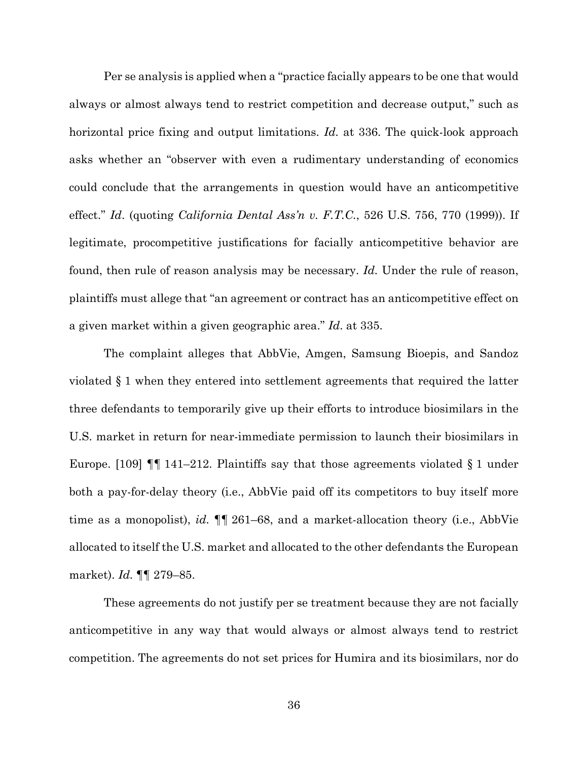Per se analysis is applied when a "practice facially appears to be one that would always or almost always tend to restrict competition and decrease output," such as horizontal price fixing and output limitations. *Id.* at 336. The quick-look approach asks whether an "observer with even a rudimentary understanding of economics could conclude that the arrangements in question would have an anticompetitive effect." *Id*. (quoting *California Dental Ass'n v. F.T.C.*, 526 U.S. 756, 770 (1999)). If legitimate, procompetitive justifications for facially anticompetitive behavior are found, then rule of reason analysis may be necessary. *Id.* Under the rule of reason, plaintiffs must allege that "an agreement or contract has an anticompetitive effect on a given market within a given geographic area." *Id*. at 335.

The complaint alleges that AbbVie, Amgen, Samsung Bioepis, and Sandoz violated § 1 when they entered into settlement agreements that required the latter three defendants to temporarily give up their efforts to introduce biosimilars in the U.S. market in return for near-immediate permission to launch their biosimilars in Europe. [109]  $\P$  141–212. Plaintiffs say that those agreements violated § 1 under both a pay-for-delay theory (i.e., AbbVie paid off its competitors to buy itself more time as a monopolist), *id.* ¶¶ 261–68, and a market-allocation theory (i.e., AbbVie allocated to itself the U.S. market and allocated to the other defendants the European market). *Id.* ¶¶ 279–85.

These agreements do not justify per se treatment because they are not facially anticompetitive in any way that would always or almost always tend to restrict competition. The agreements do not set prices for Humira and its biosimilars, nor do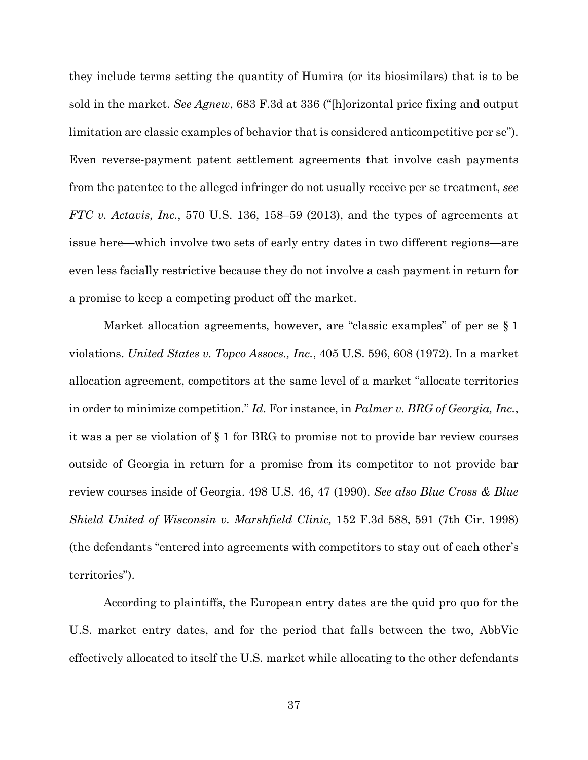they include terms setting the quantity of Humira (or its biosimilars) that is to be sold in the market. *See Agnew*, 683 F.3d at 336 ("[h]orizontal price fixing and output limitation are classic examples of behavior that is considered anticompetitive per se"). Even reverse-payment patent settlement agreements that involve cash payments from the patentee to the alleged infringer do not usually receive per se treatment, *see FTC v. Actavis, Inc.*, 570 U.S. 136, 158–59 (2013), and the types of agreements at issue here—which involve two sets of early entry dates in two different regions—are even less facially restrictive because they do not involve a cash payment in return for a promise to keep a competing product off the market.

Market allocation agreements, however, are "classic examples" of per se § 1 violations. *United States v. Topco Assocs., Inc.*, 405 U.S. 596, 608 (1972). In a market allocation agreement, competitors at the same level of a market "allocate territories in order to minimize competition." *Id.* For instance, in *Palmer v. BRG of Georgia, Inc.*, it was a per se violation of § 1 for BRG to promise not to provide bar review courses outside of Georgia in return for a promise from its competitor to not provide bar review courses inside of Georgia. 498 U.S. 46, 47 (1990). *See also Blue Cross & Blue Shield United of Wisconsin v. Marshfield Clinic,* 152 F.3d 588, 591 (7th Cir. 1998) (the defendants "entered into agreements with competitors to stay out of each other's territories").

According to plaintiffs, the European entry dates are the quid pro quo for the U.S. market entry dates, and for the period that falls between the two, AbbVie effectively allocated to itself the U.S. market while allocating to the other defendants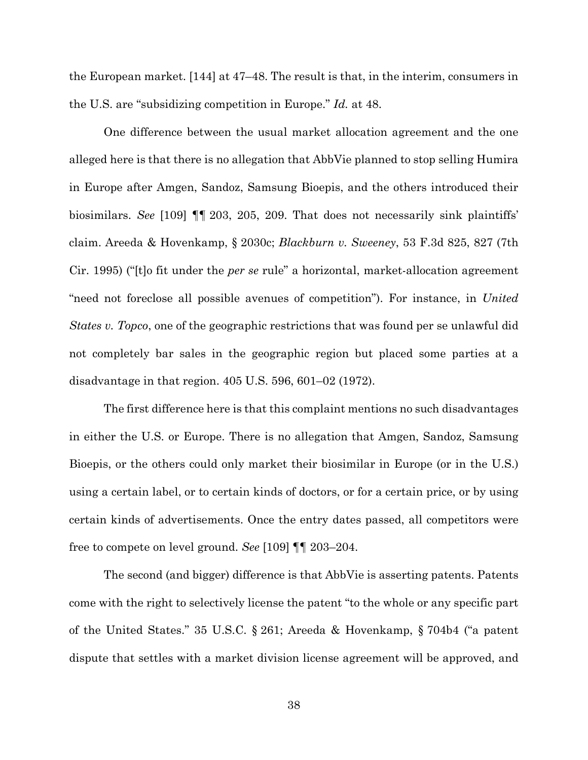the European market. [144] at 47–48. The result is that, in the interim, consumers in the U.S. are "subsidizing competition in Europe." *Id.* at 48.

One difference between the usual market allocation agreement and the one alleged here is that there is no allegation that AbbVie planned to stop selling Humira in Europe after Amgen, Sandoz, Samsung Bioepis, and the others introduced their biosimilars. *See* [109] ¶¶ 203, 205, 209. That does not necessarily sink plaintiffs' claim. Areeda & Hovenkamp, § 2030c; *Blackburn v. Sweeney*, 53 F.3d 825, 827 (7th Cir. 1995) ("[t]o fit under the *per se* rule" a horizontal, market-allocation agreement "need not foreclose all possible avenues of competition"). For instance, in *United States v. Topco*, one of the geographic restrictions that was found per se unlawful did not completely bar sales in the geographic region but placed some parties at a disadvantage in that region. 405 U.S. 596, 601–02 (1972).

The first difference here is that this complaint mentions no such disadvantages in either the U.S. or Europe. There is no allegation that Amgen, Sandoz, Samsung Bioepis, or the others could only market their biosimilar in Europe (or in the U.S.) using a certain label, or to certain kinds of doctors, or for a certain price, or by using certain kinds of advertisements. Once the entry dates passed, all competitors were free to compete on level ground. *See* [109] ¶¶ 203–204.

The second (and bigger) difference is that AbbVie is asserting patents. Patents come with the right to selectively license the patent "to the whole or any specific part of the United States." 35 U.S.C. § 261; Areeda & Hovenkamp, § 704b4 ("a patent dispute that settles with a market division license agreement will be approved, and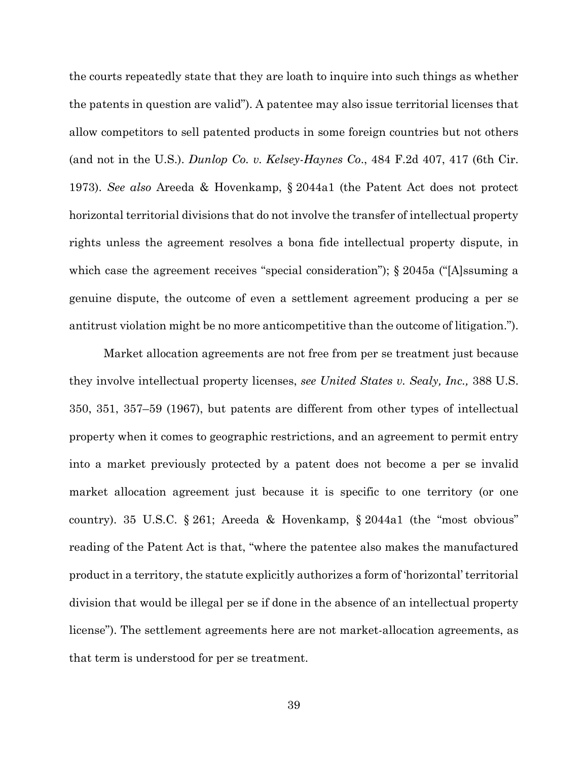the courts repeatedly state that they are loath to inquire into such things as whether the patents in question are valid"). A patentee may also issue territorial licenses that allow competitors to sell patented products in some foreign countries but not others (and not in the U.S.). *Dunlop Co. v. Kelsey-Haynes Co*., 484 F.2d 407, 417 (6th Cir. 1973). *See also* Areeda & Hovenkamp, § 2044a1 (the Patent Act does not protect horizontal territorial divisions that do not involve the transfer of intellectual property rights unless the agreement resolves a bona fide intellectual property dispute, in which case the agreement receives "special consideration"); § 2045a ("[A]ssuming a genuine dispute, the outcome of even a settlement agreement producing a per se antitrust violation might be no more anticompetitive than the outcome of litigation.").

Market allocation agreements are not free from per se treatment just because they involve intellectual property licenses, *see United States v. Sealy, Inc.,* 388 U.S. 350, 351, 357–59 (1967), but patents are different from other types of intellectual property when it comes to geographic restrictions, and an agreement to permit entry into a market previously protected by a patent does not become a per se invalid market allocation agreement just because it is specific to one territory (or one country). 35 U.S.C. § 261; Areeda & Hovenkamp, § 2044a1 (the "most obvious" reading of the Patent Act is that, "where the patentee also makes the manufactured product in a territory, the statute explicitly authorizes a form of 'horizontal' territorial division that would be illegal per se if done in the absence of an intellectual property license"). The settlement agreements here are not market-allocation agreements, as that term is understood for per se treatment.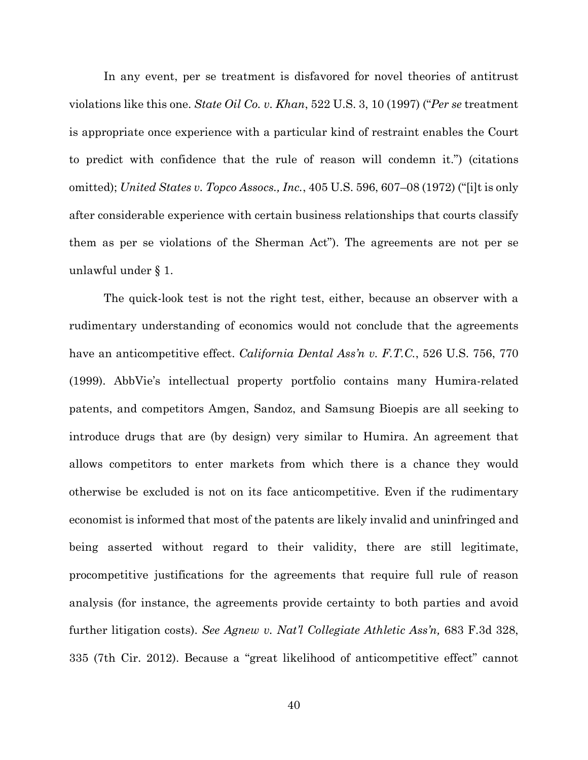In any event, per se treatment is disfavored for novel theories of antitrust violations like this one. *State Oil Co. v. Khan*, 522 U.S. 3, 10 (1997) ("*Per se* treatment is appropriate once experience with a particular kind of restraint enables the Court to predict with confidence that the rule of reason will condemn it.") (citations omitted); *United States v. Topco Assocs., Inc.*, 405 U.S. 596, 607–08 (1972) ("[i]t is only after considerable experience with certain business relationships that courts classify them as per se violations of the Sherman Act"). The agreements are not per se unlawful under § 1.

The quick-look test is not the right test, either, because an observer with a rudimentary understanding of economics would not conclude that the agreements have an anticompetitive effect. *California Dental Ass'n v. F.T.C.*, 526 U.S. 756, 770 (1999). AbbVie's intellectual property portfolio contains many Humira-related patents, and competitors Amgen, Sandoz, and Samsung Bioepis are all seeking to introduce drugs that are (by design) very similar to Humira. An agreement that allows competitors to enter markets from which there is a chance they would otherwise be excluded is not on its face anticompetitive. Even if the rudimentary economist is informed that most of the patents are likely invalid and uninfringed and being asserted without regard to their validity, there are still legitimate, procompetitive justifications for the agreements that require full rule of reason analysis (for instance, the agreements provide certainty to both parties and avoid further litigation costs). *See Agnew v. Nat'l Collegiate Athletic Ass'n,* 683 F.3d 328, 335 (7th Cir. 2012). Because a "great likelihood of anticompetitive effect" cannot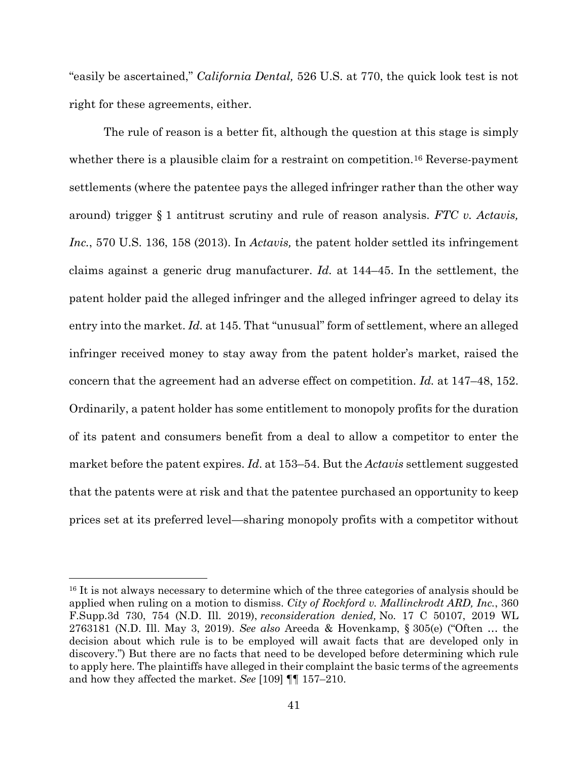"easily be ascertained," *California Dental,* 526 U.S. at 770, the quick look test is not right for these agreements, either.

The rule of reason is a better fit, although the question at this stage is simply whether there is a plausible claim for a restraint on competition.<sup>[16](#page-40-0)</sup> Reverse-payment settlements (where the patentee pays the alleged infringer rather than the other way around) trigger § 1 antitrust scrutiny and rule of reason analysis. *FTC v. Actavis, Inc.*, 570 U.S. 136, 158 (2013). In *Actavis,* the patent holder settled its infringement claims against a generic drug manufacturer. *Id.* at 144–45. In the settlement, the patent holder paid the alleged infringer and the alleged infringer agreed to delay its entry into the market. *Id.* at 145. That "unusual" form of settlement, where an alleged infringer received money to stay away from the patent holder's market, raised the concern that the agreement had an adverse effect on competition. *Id.* at 147–48, 152. Ordinarily, a patent holder has some entitlement to monopoly profits for the duration of its patent and consumers benefit from a deal to allow a competitor to enter the market before the patent expires. *Id*. at 153–54. But the *Actavis* settlement suggested that the patents were at risk and that the patentee purchased an opportunity to keep prices set at its preferred level—sharing monopoly profits with a competitor without

<span id="page-40-0"></span><sup>&</sup>lt;sup>16</sup> It is not always necessary to determine which of the three categories of analysis should be applied when ruling on a motion to dismiss. *City of Rockford v. Mallinckrodt ARD, Inc.*, 360 F.Supp.3d 730, 754 (N.D. Ill. 2019), *reconsideration denied,* No. 17 C 50107, 2019 WL 2763181 (N.D. Ill. May 3, 2019). *See also* Areeda & Hovenkamp, § 305(e) ("Often … the decision about which rule is to be employed will await facts that are developed only in discovery.") But there are no facts that need to be developed before determining which rule to apply here. The plaintiffs have alleged in their complaint the basic terms of the agreements and how they affected the market. *See* [109] ¶¶ 157–210.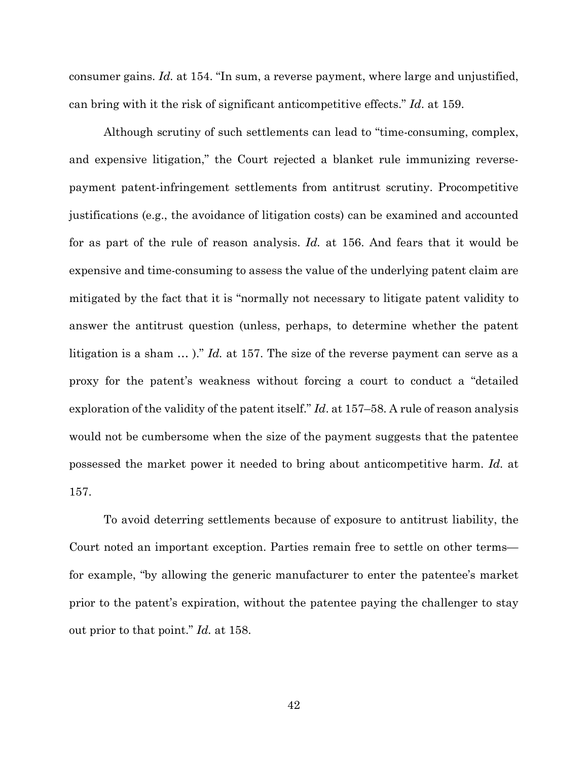consumer gains. *Id.* at 154. "In sum, a reverse payment, where large and unjustified, can bring with it the risk of significant anticompetitive effects." *Id*. at 159.

Although scrutiny of such settlements can lead to "time-consuming, complex, and expensive litigation," the Court rejected a blanket rule immunizing reversepayment patent-infringement settlements from antitrust scrutiny. Procompetitive justifications (e.g., the avoidance of litigation costs) can be examined and accounted for as part of the rule of reason analysis. *Id.* at 156. And fears that it would be expensive and time-consuming to assess the value of the underlying patent claim are mitigated by the fact that it is "normally not necessary to litigate patent validity to answer the antitrust question (unless, perhaps, to determine whether the patent litigation is a sham … )." *Id.* at 157. The size of the reverse payment can serve as a proxy for the patent's weakness without forcing a court to conduct a "detailed exploration of the validity of the patent itself." *Id*. at 157–58. A rule of reason analysis would not be cumbersome when the size of the payment suggests that the patentee possessed the market power it needed to bring about anticompetitive harm. *Id.* at 157.

To avoid deterring settlements because of exposure to antitrust liability, the Court noted an important exception. Parties remain free to settle on other terms for example, "by allowing the generic manufacturer to enter the patentee's market prior to the patent's expiration, without the patentee paying the challenger to stay out prior to that point." *Id.* at 158.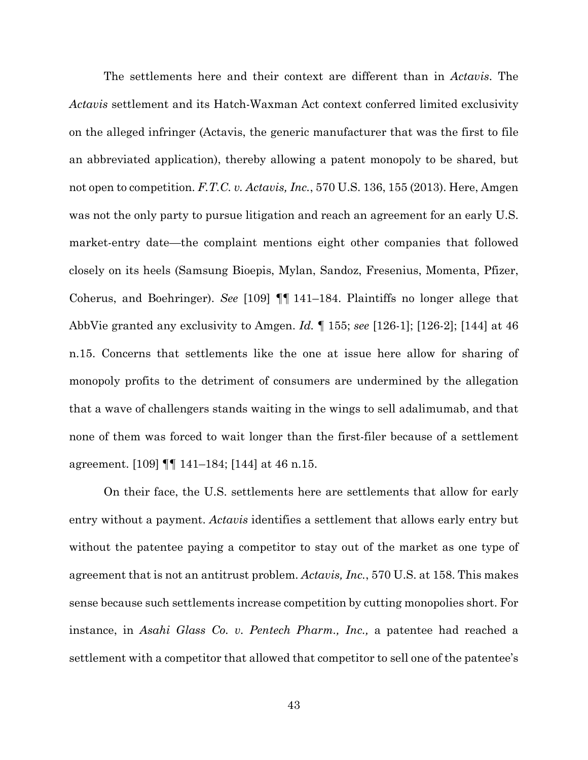The settlements here and their context are different than in *Actavis*. The *Actavis* settlement and its Hatch-Waxman Act context conferred limited exclusivity on the alleged infringer (Actavis, the generic manufacturer that was the first to file an abbreviated application), thereby allowing a patent monopoly to be shared, but not open to competition. *F.T.C. v. Actavis, Inc.*, 570 U.S. 136, 155 (2013). Here, Amgen was not the only party to pursue litigation and reach an agreement for an early U.S. market-entry date—the complaint mentions eight other companies that followed closely on its heels (Samsung Bioepis, Mylan, Sandoz, Fresenius, Momenta, Pfizer, Coherus, and Boehringer). *See* [109] ¶¶ 141–184. Plaintiffs no longer allege that AbbVie granted any exclusivity to Amgen. *Id.* ¶ 155; *see* [126-1]; [126-2]; [144] at 46 n.15. Concerns that settlements like the one at issue here allow for sharing of monopoly profits to the detriment of consumers are undermined by the allegation that a wave of challengers stands waiting in the wings to sell adalimumab, and that none of them was forced to wait longer than the first-filer because of a settlement agreement. [109] ¶¶ 141–184; [144] at 46 n.15.

On their face, the U.S. settlements here are settlements that allow for early entry without a payment. *Actavis* identifies a settlement that allows early entry but without the patentee paying a competitor to stay out of the market as one type of agreement that is not an antitrust problem. *Actavis, Inc.*, 570 U.S. at 158. This makes sense because such settlements increase competition by cutting monopolies short. For instance, in *Asahi Glass Co. v. Pentech Pharm., Inc.,* a patentee had reached a settlement with a competitor that allowed that competitor to sell one of the patentee's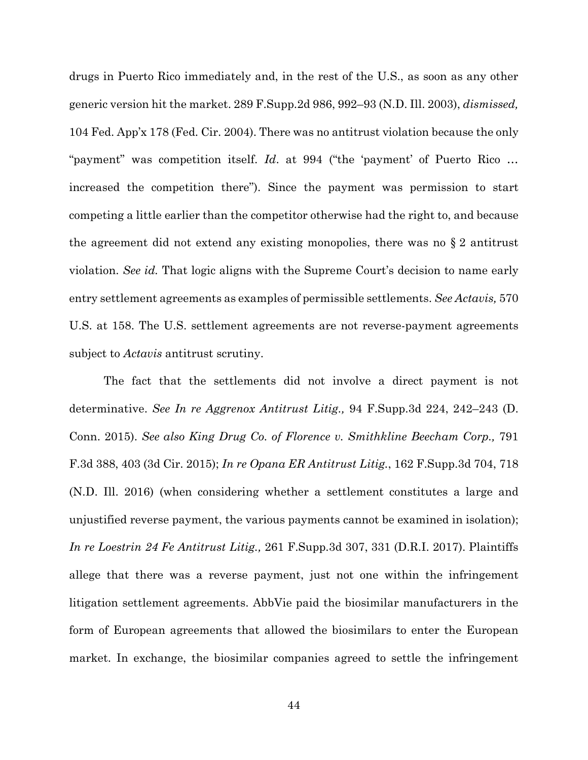drugs in Puerto Rico immediately and, in the rest of the U.S., as soon as any other generic version hit the market. 289 F.Supp.2d 986, 992–93 (N.D. Ill. 2003), *dismissed,* 104 Fed. App'x 178 (Fed. Cir. 2004). There was no antitrust violation because the only "payment" was competition itself. *Id*. at 994 ("the 'payment' of Puerto Rico … increased the competition there"). Since the payment was permission to start competing a little earlier than the competitor otherwise had the right to, and because the agreement did not extend any existing monopolies, there was no § 2 antitrust violation. *See id.* That logic aligns with the Supreme Court's decision to name early entry settlement agreements as examples of permissible settlements. *See Actavis,* 570 U.S. at 158. The U.S. settlement agreements are not reverse-payment agreements subject to *Actavis* antitrust scrutiny.

The fact that the settlements did not involve a direct payment is not determinative. *See In re Aggrenox Antitrust Litig.,* 94 F.Supp.3d 224, 242–243 (D. Conn. 2015). *See also King Drug Co. of Florence v. Smithkline Beecham Corp.,* 791 F.3d 388, 403 (3d Cir. 2015); *In re Opana ER Antitrust Litig.*, 162 F.Supp.3d 704, 718 (N.D. Ill. 2016) (when considering whether a settlement constitutes a large and unjustified reverse payment, the various payments cannot be examined in isolation); *In re Loestrin 24 Fe Antitrust Litig.,* 261 F.Supp.3d 307, 331 (D.R.I. 2017). Plaintiffs allege that there was a reverse payment, just not one within the infringement litigation settlement agreements. AbbVie paid the biosimilar manufacturers in the form of European agreements that allowed the biosimilars to enter the European market. In exchange, the biosimilar companies agreed to settle the infringement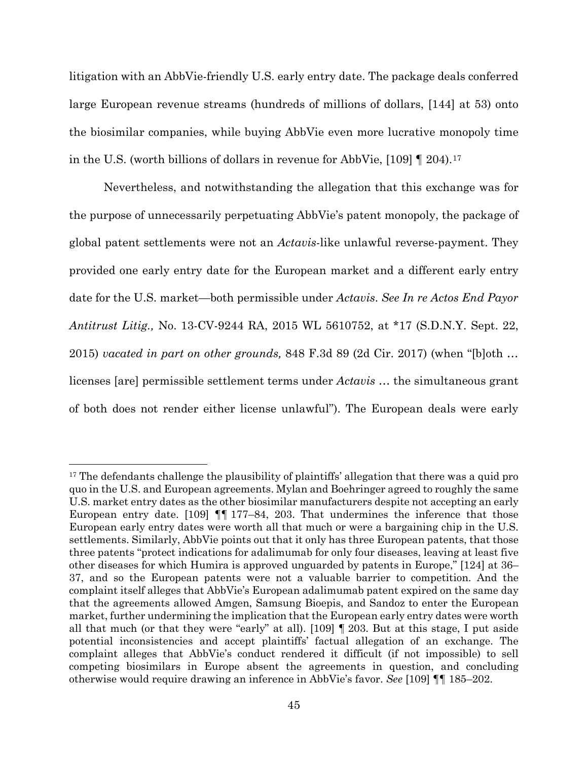litigation with an AbbVie-friendly U.S. early entry date. The package deals conferred large European revenue streams (hundreds of millions of dollars, [144] at 53) onto the biosimilar companies, while buying AbbVie even more lucrative monopoly time in the U.S. (worth billions of dollars in revenue for AbbVie, [109] ¶ 204).[17](#page-44-0)

Nevertheless, and notwithstanding the allegation that this exchange was for the purpose of unnecessarily perpetuating AbbVie's patent monopoly, the package of global patent settlements were not an *Actavis*-like unlawful reverse-payment. They provided one early entry date for the European market and a different early entry date for the U.S. market—both permissible under *Actavis*. *See In re Actos End Payor Antitrust Litig.,* No. 13-CV-9244 RA, 2015 WL 5610752, at \*17 (S.D.N.Y. Sept. 22, 2015) *vacated in part on other grounds,* 848 F.3d 89 (2d Cir. 2017) (when "[b]oth … licenses [are] permissible settlement terms under *Actavis* … the simultaneous grant of both does not render either license unlawful"). The European deals were early

<span id="page-44-0"></span><sup>&</sup>lt;sup>17</sup> The defendants challenge the plausibility of plaintiffs' allegation that there was a quid pro quo in the U.S. and European agreements. Mylan and Boehringer agreed to roughly the same U.S. market entry dates as the other biosimilar manufacturers despite not accepting an early European entry date. [109] ¶¶ 177–84, 203. That undermines the inference that those European early entry dates were worth all that much or were a bargaining chip in the U.S. settlements. Similarly, AbbVie points out that it only has three European patents, that those three patents "protect indications for adalimumab for only four diseases, leaving at least five other diseases for which Humira is approved unguarded by patents in Europe," [124] at 36– 37, and so the European patents were not a valuable barrier to competition. And the complaint itself alleges that AbbVie's European adalimumab patent expired on the same day that the agreements allowed Amgen, Samsung Bioepis, and Sandoz to enter the European market, further undermining the implication that the European early entry dates were worth all that much (or that they were "early" at all). [109]  $\parallel$  203. But at this stage, I put aside potential inconsistencies and accept plaintiffs' factual allegation of an exchange. The complaint alleges that AbbVie's conduct rendered it difficult (if not impossible) to sell competing biosimilars in Europe absent the agreements in question, and concluding otherwise would require drawing an inference in AbbVie's favor. *See* [109] ¶¶ 185–202.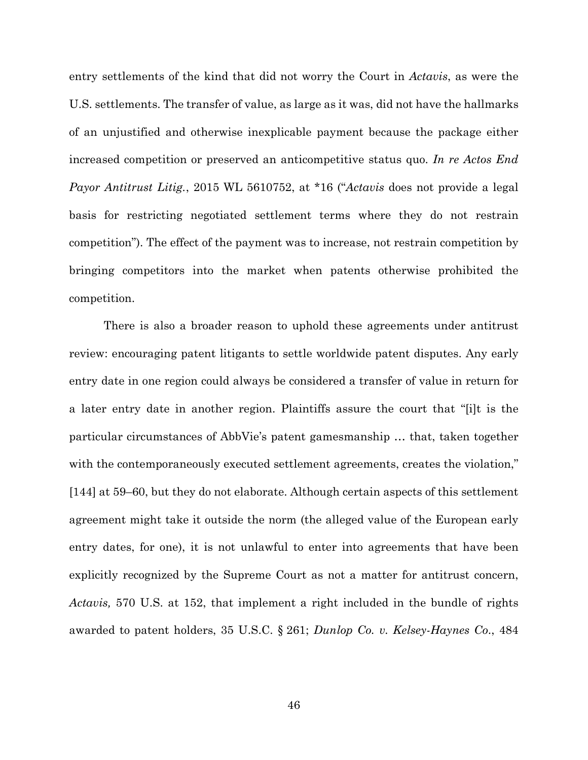entry settlements of the kind that did not worry the Court in *Actavis*, as were the U.S. settlements. The transfer of value, as large as it was, did not have the hallmarks of an unjustified and otherwise inexplicable payment because the package either increased competition or preserved an anticompetitive status quo. *In re Actos End Payor Antitrust Litig.*, 2015 WL 5610752, at \*16 ("*Actavis* does not provide a legal basis for restricting negotiated settlement terms where they do not restrain competition"). The effect of the payment was to increase, not restrain competition by bringing competitors into the market when patents otherwise prohibited the competition.

There is also a broader reason to uphold these agreements under antitrust review: encouraging patent litigants to settle worldwide patent disputes. Any early entry date in one region could always be considered a transfer of value in return for a later entry date in another region. Plaintiffs assure the court that "[i]t is the particular circumstances of AbbVie's patent gamesmanship … that, taken together with the contemporaneously executed settlement agreements, creates the violation," [144] at 59–60, but they do not elaborate. Although certain aspects of this settlement agreement might take it outside the norm (the alleged value of the European early entry dates, for one), it is not unlawful to enter into agreements that have been explicitly recognized by the Supreme Court as not a matter for antitrust concern, *Actavis,* 570 U.S. at 152, that implement a right included in the bundle of rights awarded to patent holders, 35 U.S.C. § 261; *Dunlop Co. v. Kelsey-Haynes Co*., 484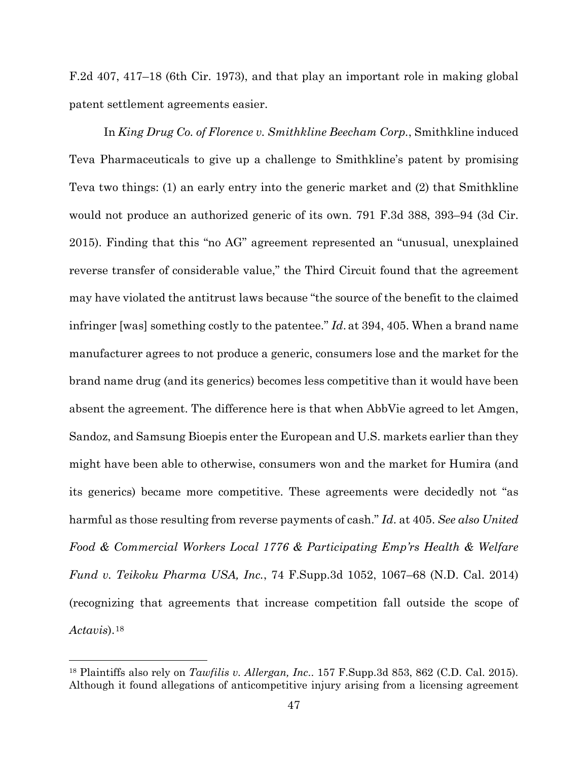F.2d 407, 417–18 (6th Cir. 1973), and that play an important role in making global patent settlement agreements easier.

In *King Drug Co. of Florence v. Smithkline Beecham Corp.*, Smithkline induced Teva Pharmaceuticals to give up a challenge to Smithkline's patent by promising Teva two things: (1) an early entry into the generic market and (2) that Smithkline would not produce an authorized generic of its own. 791 F.3d 388, 393–94 (3d Cir. 2015). Finding that this "no AG" agreement represented an "unusual, unexplained reverse transfer of considerable value," the Third Circuit found that the agreement may have violated the antitrust laws because "the source of the benefit to the claimed infringer [was] something costly to the patentee." *Id*. at 394, 405. When a brand name manufacturer agrees to not produce a generic, consumers lose and the market for the brand name drug (and its generics) becomes less competitive than it would have been absent the agreement. The difference here is that when AbbVie agreed to let Amgen, Sandoz, and Samsung Bioepis enter the European and U.S. markets earlier than they might have been able to otherwise, consumers won and the market for Humira (and its generics) became more competitive. These agreements were decidedly not "as harmful as those resulting from reverse payments of cash." *Id*. at 405. *See also United Food & Commercial Workers Local 1776 & Participating Emp'rs Health & Welfare Fund v. Teikoku Pharma USA, Inc.*, 74 F.Supp.3d 1052, 1067–68 (N.D. Cal. 2014) (recognizing that agreements that increase competition fall outside the scope of *Actavis*).[18](#page-46-0)

<span id="page-46-0"></span><sup>18</sup> Plaintiffs also rely on *Tawfilis v. Allergan, Inc*.. 157 F.Supp.3d 853, 862 (C.D. Cal. 2015). Although it found allegations of anticompetitive injury arising from a licensing agreement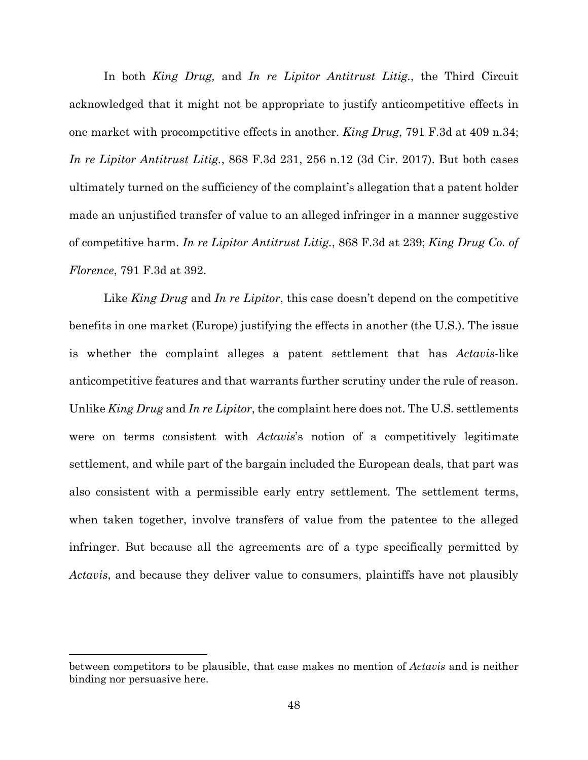In both *King Drug,* and *In re Lipitor Antitrust Litig.*, the Third Circuit acknowledged that it might not be appropriate to justify anticompetitive effects in one market with procompetitive effects in another. *King Drug*, 791 F.3d at 409 n.34; *In re Lipitor Antitrust Litig.*, 868 F.3d 231, 256 n.12 (3d Cir. 2017). But both cases ultimately turned on the sufficiency of the complaint's allegation that a patent holder made an unjustified transfer of value to an alleged infringer in a manner suggestive of competitive harm. *In re Lipitor Antitrust Litig.*, 868 F.3d at 239; *King Drug Co. of Florence*, 791 F.3d at 392.

Like *King Drug* and *In re Lipitor*, this case doesn't depend on the competitive benefits in one market (Europe) justifying the effects in another (the U.S.). The issue is whether the complaint alleges a patent settlement that has *Actavis*-like anticompetitive features and that warrants further scrutiny under the rule of reason. Unlike *King Drug* and *In re Lipitor*, the complaint here does not. The U.S. settlements were on terms consistent with *Actavis*'s notion of a competitively legitimate settlement, and while part of the bargain included the European deals, that part was also consistent with a permissible early entry settlement. The settlement terms, when taken together, involve transfers of value from the patentee to the alleged infringer. But because all the agreements are of a type specifically permitted by *Actavis*, and because they deliver value to consumers, plaintiffs have not plausibly

between competitors to be plausible, that case makes no mention of *Actavis* and is neither binding nor persuasive here.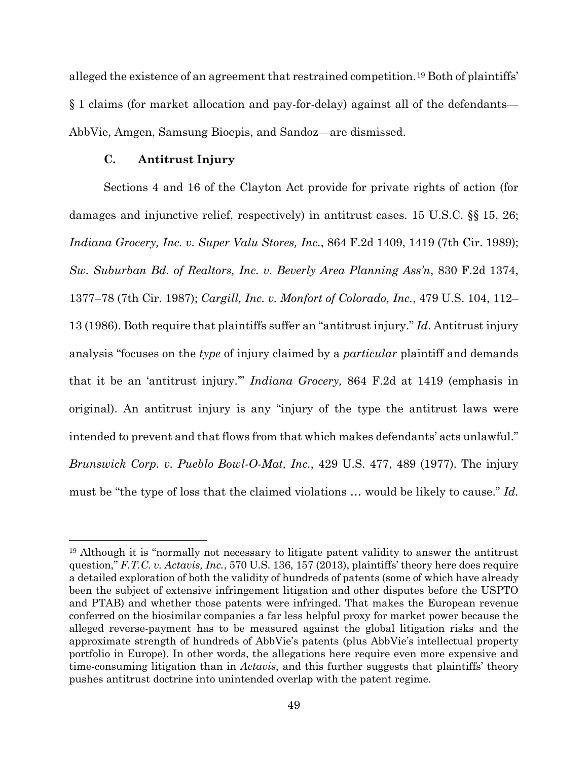alleged the existence of an agreement that restrained competition.[19](#page-48-0) Both of plaintiffs' § 1 claims (for market allocation and pay-for-delay) against all of the defendants— AbbVie, Amgen, Samsung Bioepis, and Sandoz—are dismissed.

# **C. Antitrust Injury**

Sections 4 and 16 of the Clayton Act provide for private rights of action (for damages and injunctive relief, respectively) in antitrust cases. 15 U.S.C. §§ 15, 26; *Indiana Grocery, Inc. v. Super Valu Stores, Inc.*, 864 F.2d 1409, 1419 (7th Cir. 1989); *Sw. Suburban Bd. of Realtors, Inc. v. Beverly Area Planning Ass'n*, 830 F.2d 1374, 1377–78 (7th Cir. 1987); *Cargill, Inc. v. Monfort of Colorado, Inc.*, 479 U.S. 104, 112– 13 (1986). Both require that plaintiffs suffer an "antitrust injury." *Id*. Antitrust injury analysis "focuses on the *type* of injury claimed by a *particular* plaintiff and demands that it be an 'antitrust injury.'" *Indiana Grocery,* 864 F.2d at 1419 (emphasis in original). An antitrust injury is any "injury of the type the antitrust laws were intended to prevent and that flows from that which makes defendants' acts unlawful." *Brunswick Corp. v. Pueblo Bowl-O-Mat, Inc.*, 429 U.S. 477, 489 (1977). The injury must be "the type of loss that the claimed violations … would be likely to cause." *Id.* 

<span id="page-48-0"></span><sup>19</sup> Although it is "normally not necessary to litigate patent validity to answer the antitrust question," *F.T.C. v. Actavis, Inc.*, 570 U.S. 136, 157 (2013), plaintiffs' theory here does require a detailed exploration of both the validity of hundreds of patents (some of which have already been the subject of extensive infringement litigation and other disputes before the USPTO and PTAB) and whether those patents were infringed. That makes the European revenue conferred on the biosimilar companies a far less helpful proxy for market power because the alleged reverse-payment has to be measured against the global litigation risks and the approximate strength of hundreds of AbbVie's patents (plus AbbVie's intellectual property portfolio in Europe). In other words, the allegations here require even more expensive and time-consuming litigation than in *Actavis*, and this further suggests that plaintiffs' theory pushes antitrust doctrine into unintended overlap with the patent regime.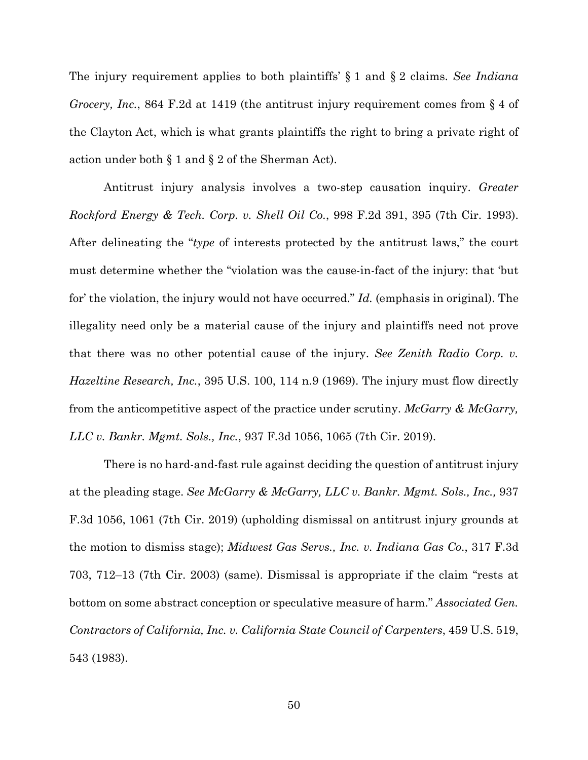The injury requirement applies to both plaintiffs' § 1 and § 2 claims. *See Indiana Grocery, Inc.*, 864 F.2d at 1419 (the antitrust injury requirement comes from § 4 of the Clayton Act, which is what grants plaintiffs the right to bring a private right of action under both § 1 and § 2 of the Sherman Act).

Antitrust injury analysis involves a two-step causation inquiry. *Greater Rockford Energy & Tech. Corp. v. Shell Oil Co.*, 998 F.2d 391, 395 (7th Cir. 1993). After delineating the "*type* of interests protected by the antitrust laws," the court must determine whether the "violation was the cause-in-fact of the injury: that 'but for' the violation, the injury would not have occurred." *Id.* (emphasis in original). The illegality need only be a material cause of the injury and plaintiffs need not prove that there was no other potential cause of the injury. *See Zenith Radio Corp. v. Hazeltine Research, Inc.*, 395 U.S. 100, 114 n.9 (1969). The injury must flow directly from the anticompetitive aspect of the practice under scrutiny. *McGarry & McGarry, LLC v. Bankr. Mgmt. Sols., Inc.*, 937 F.3d 1056, 1065 (7th Cir. 2019).

There is no hard-and-fast rule against deciding the question of antitrust injury at the pleading stage. *See McGarry & McGarry, LLC v. Bankr. Mgmt. Sols., Inc.,* 937 F.3d 1056, 1061 (7th Cir. 2019) (upholding dismissal on antitrust injury grounds at the motion to dismiss stage); *Midwest Gas Servs., Inc. v. Indiana Gas Co*., 317 F.3d 703, 712–13 (7th Cir. 2003) (same). Dismissal is appropriate if the claim "rests at bottom on some abstract conception or speculative measure of harm." *Associated Gen. Contractors of California, Inc. v. California State Council of Carpenters*, 459 U.S. 519, 543 (1983).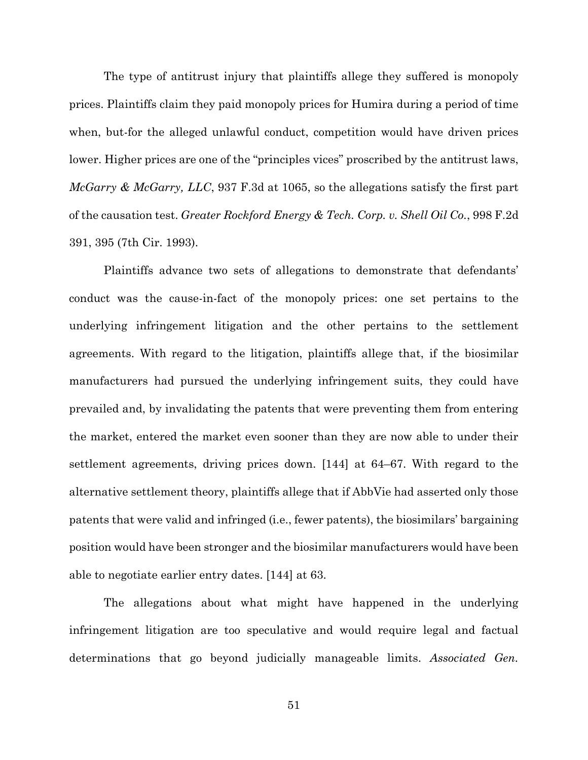The type of antitrust injury that plaintiffs allege they suffered is monopoly prices. Plaintiffs claim they paid monopoly prices for Humira during a period of time when, but-for the alleged unlawful conduct, competition would have driven prices lower. Higher prices are one of the "principles vices" proscribed by the antitrust laws, *McGarry & McGarry, LLC*, 937 F.3d at 1065, so the allegations satisfy the first part of the causation test. *Greater Rockford Energy & Tech. Corp. v. Shell Oil Co.*, 998 F.2d 391, 395 (7th Cir. 1993).

Plaintiffs advance two sets of allegations to demonstrate that defendants' conduct was the cause-in-fact of the monopoly prices: one set pertains to the underlying infringement litigation and the other pertains to the settlement agreements. With regard to the litigation, plaintiffs allege that, if the biosimilar manufacturers had pursued the underlying infringement suits, they could have prevailed and, by invalidating the patents that were preventing them from entering the market, entered the market even sooner than they are now able to under their settlement agreements, driving prices down. [144] at 64–67. With regard to the alternative settlement theory, plaintiffs allege that if AbbVie had asserted only those patents that were valid and infringed (i.e., fewer patents), the biosimilars' bargaining position would have been stronger and the biosimilar manufacturers would have been able to negotiate earlier entry dates. [144] at 63.

The allegations about what might have happened in the underlying infringement litigation are too speculative and would require legal and factual determinations that go beyond judicially manageable limits. *Associated Gen.* 

51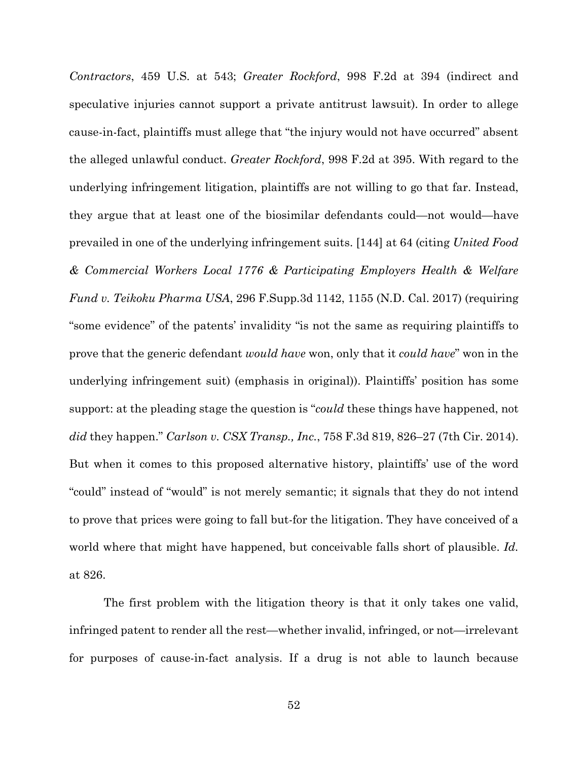*Contractors*, 459 U.S. at 543; *Greater Rockford*, 998 F.2d at 394 (indirect and speculative injuries cannot support a private antitrust lawsuit). In order to allege cause-in-fact, plaintiffs must allege that "the injury would not have occurred" absent the alleged unlawful conduct. *Greater Rockford*, 998 F.2d at 395. With regard to the underlying infringement litigation, plaintiffs are not willing to go that far. Instead, they argue that at least one of the biosimilar defendants could—not would—have prevailed in one of the underlying infringement suits. [144] at 64 (citing *United Food & Commercial Workers Local 1776 & Participating Employers Health & Welfare Fund v. Teikoku Pharma USA*, 296 F.Supp.3d 1142, 1155 (N.D. Cal. 2017) (requiring "some evidence" of the patents' invalidity "is not the same as requiring plaintiffs to prove that the generic defendant *would have* won, only that it *could have*" won in the underlying infringement suit) (emphasis in original)). Plaintiffs' position has some support: at the pleading stage the question is "*could* these things have happened, not *did* they happen." *Carlson v. CSX Transp., Inc.*, 758 F.3d 819, 826–27 (7th Cir. 2014). But when it comes to this proposed alternative history, plaintiffs' use of the word "could" instead of "would" is not merely semantic; it signals that they do not intend to prove that prices were going to fall but-for the litigation. They have conceived of a world where that might have happened, but conceivable falls short of plausible. *Id.* at 826.

The first problem with the litigation theory is that it only takes one valid, infringed patent to render all the rest—whether invalid, infringed, or not—irrelevant for purposes of cause-in-fact analysis. If a drug is not able to launch because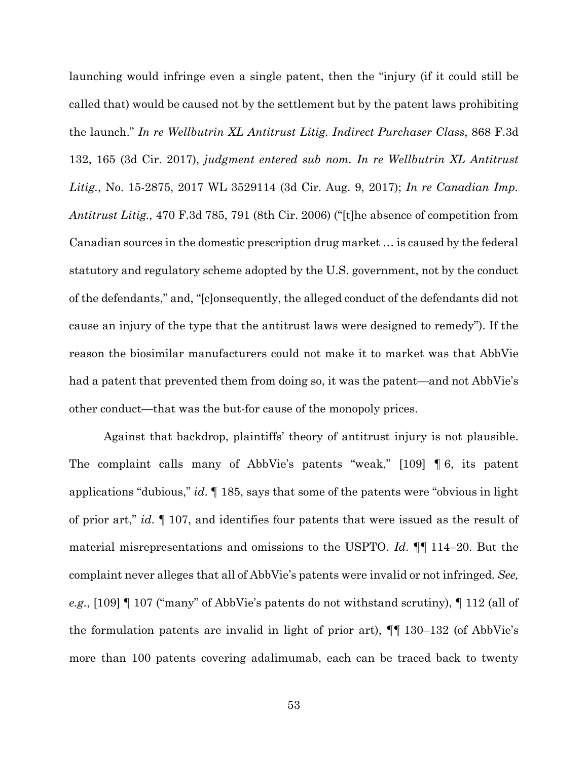launching would infringe even a single patent, then the "injury (if it could still be called that) would be caused not by the settlement but by the patent laws prohibiting the launch." *In re Wellbutrin XL Antitrust Litig. Indirect Purchaser Class*, 868 F.3d 132, 165 (3d Cir. 2017), *judgment entered sub nom. In re Wellbutrin XL Antitrust Litig.*, No. 15-2875, 2017 WL 3529114 (3d Cir. Aug. 9, 2017); *In re Canadian Imp. Antitrust Litig.,* 470 F.3d 785, 791 (8th Cir. 2006) ("[t]he absence of competition from Canadian sources in the domestic prescription drug market … is caused by the federal statutory and regulatory scheme adopted by the U.S. government, not by the conduct of the defendants," and, "[c]onsequently, the alleged conduct of the defendants did not cause an injury of the type that the antitrust laws were designed to remedy"). If the reason the biosimilar manufacturers could not make it to market was that AbbVie had a patent that prevented them from doing so, it was the patent—and not AbbVie's other conduct—that was the but-for cause of the monopoly prices.

Against that backdrop, plaintiffs' theory of antitrust injury is not plausible. The complaint calls many of AbbVie's patents "weak," [109] ¶ 6, its patent applications "dubious," *id*. ¶ 185, says that some of the patents were "obvious in light of prior art," *id*. ¶ 107, and identifies four patents that were issued as the result of material misrepresentations and omissions to the USPTO. *Id*. ¶¶ 114–20. But the complaint never alleges that all of AbbVie's patents were invalid or not infringed. *See, e.g.*, [109] ¶ 107 ("many" of AbbVie's patents do not withstand scrutiny), ¶ 112 (all of the formulation patents are invalid in light of prior art), ¶¶ 130–132 (of AbbVie's more than 100 patents covering adalimumab, each can be traced back to twenty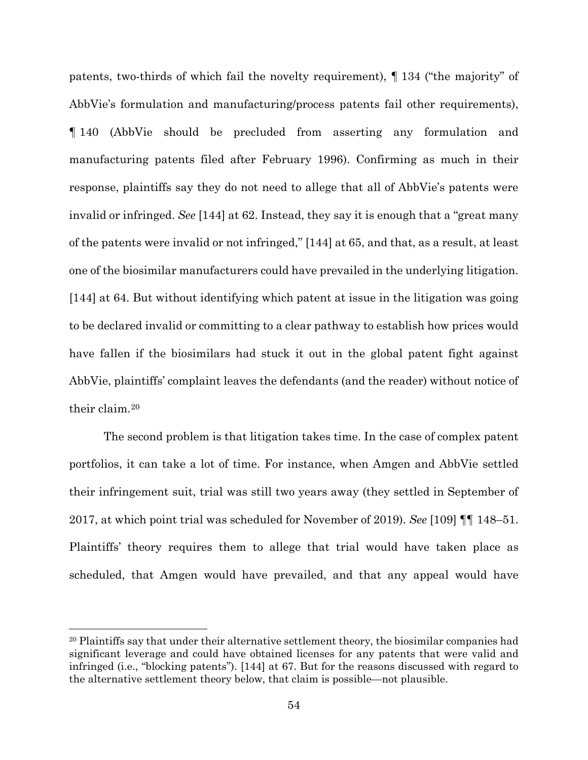patents, two-thirds of which fail the novelty requirement), ¶ 134 ("the majority" of AbbVie's formulation and manufacturing/process patents fail other requirements), ¶ 140 (AbbVie should be precluded from asserting any formulation and manufacturing patents filed after February 1996). Confirming as much in their response, plaintiffs say they do not need to allege that all of AbbVie's patents were invalid or infringed. *See* [144] at 62. Instead, they say it is enough that a "great many of the patents were invalid or not infringed," [144] at 65, and that, as a result, at least one of the biosimilar manufacturers could have prevailed in the underlying litigation. [144] at 64. But without identifying which patent at issue in the litigation was going to be declared invalid or committing to a clear pathway to establish how prices would have fallen if the biosimilars had stuck it out in the global patent fight against AbbVie, plaintiffs' complaint leaves the defendants (and the reader) without notice of their claim<sup>[20](#page-53-0)</sup>

The second problem is that litigation takes time. In the case of complex patent portfolios, it can take a lot of time. For instance, when Amgen and AbbVie settled their infringement suit, trial was still two years away (they settled in September of 2017, at which point trial was scheduled for November of 2019). *See* [109] ¶¶ 148–51. Plaintiffs' theory requires them to allege that trial would have taken place as scheduled, that Amgen would have prevailed, and that any appeal would have

<span id="page-53-0"></span><sup>&</sup>lt;sup>20</sup> Plaintiffs say that under their alternative settlement theory, the biosimilar companies had significant leverage and could have obtained licenses for any patents that were valid and infringed (i.e., "blocking patents"). [144] at 67. But for the reasons discussed with regard to the alternative settlement theory below, that claim is possible—not plausible.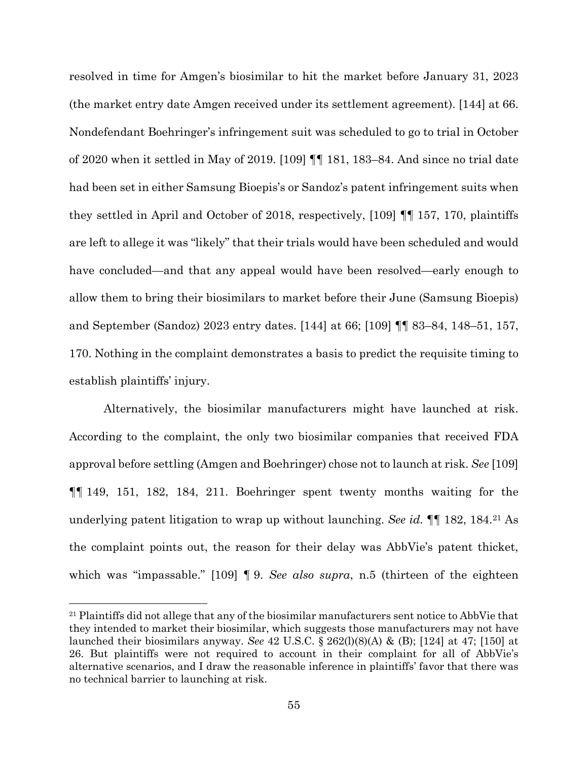resolved in time for Amgen's biosimilar to hit the market before January 31, 2023 (the market entry date Amgen received under its settlement agreement). [144] at 66. Nondefendant Boehringer's infringement suit was scheduled to go to trial in October of 2020 when it settled in May of 2019. [109] ¶¶ 181, 183–84. And since no trial date had been set in either Samsung Bioepis's or Sandoz's patent infringement suits when they settled in April and October of 2018, respectively, [109] ¶¶ 157, 170, plaintiffs are left to allege it was "likely" that their trials would have been scheduled and would have concluded—and that any appeal would have been resolved—early enough to allow them to bring their biosimilars to market before their June (Samsung Bioepis) and September (Sandoz) 2023 entry dates. [144] at 66; [109] ¶¶ 83–84, 148–51, 157, 170. Nothing in the complaint demonstrates a basis to predict the requisite timing to establish plaintiffs' injury.

Alternatively, the biosimilar manufacturers might have launched at risk. According to the complaint, the only two biosimilar companies that received FDA approval before settling (Amgen and Boehringer) chose not to launch at risk. *See* [109] ¶¶ 149, 151, 182, 184, 211. Boehringer spent twenty months waiting for the underlying patent litigation to wrap up without launching. *See id.* ¶¶ 182, 184.[21](#page-54-0) As the complaint points out, the reason for their delay was AbbVie's patent thicket, which was "impassable." [109] ¶ 9. *See also supra*, n.5 (thirteen of the eighteen

<span id="page-54-0"></span><sup>&</sup>lt;sup>21</sup> Plaintiffs did not allege that any of the biosimilar manufacturers sent notice to AbbVie that they intended to market their biosimilar, which suggests those manufacturers may not have launched their biosimilars anyway. *See* 42 U.S.C. § 262(l)(8)(A) & (B); [124] at 47; [150] at 26. But plaintiffs were not required to account in their complaint for all of AbbVie's alternative scenarios, and I draw the reasonable inference in plaintiffs' favor that there was no technical barrier to launching at risk.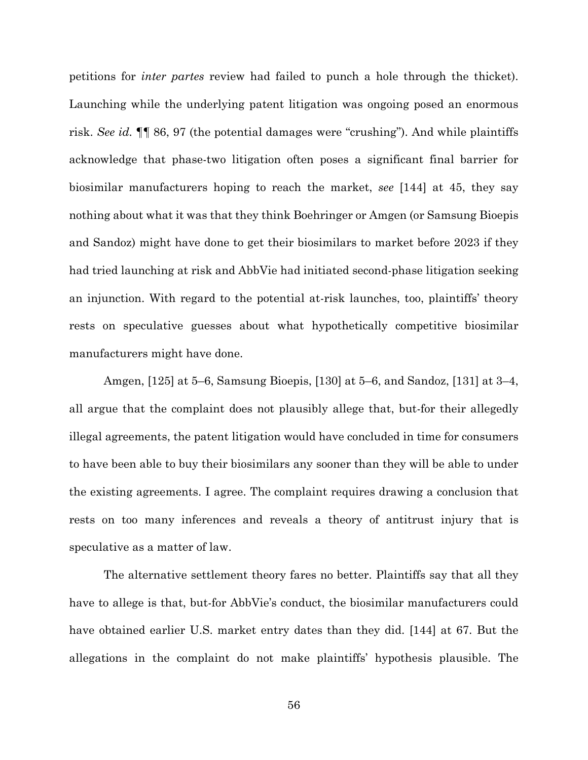petitions for *inter partes* review had failed to punch a hole through the thicket). Launching while the underlying patent litigation was ongoing posed an enormous risk. *See id.* ¶¶ 86, 97 (the potential damages were "crushing"). And while plaintiffs acknowledge that phase-two litigation often poses a significant final barrier for biosimilar manufacturers hoping to reach the market, *see* [144] at 45, they say nothing about what it was that they think Boehringer or Amgen (or Samsung Bioepis and Sandoz) might have done to get their biosimilars to market before 2023 if they had tried launching at risk and AbbVie had initiated second-phase litigation seeking an injunction. With regard to the potential at-risk launches, too, plaintiffs' theory rests on speculative guesses about what hypothetically competitive biosimilar manufacturers might have done.

Amgen, [125] at 5–6, Samsung Bioepis, [130] at 5–6, and Sandoz, [131] at 3–4, all argue that the complaint does not plausibly allege that, but-for their allegedly illegal agreements, the patent litigation would have concluded in time for consumers to have been able to buy their biosimilars any sooner than they will be able to under the existing agreements. I agree. The complaint requires drawing a conclusion that rests on too many inferences and reveals a theory of antitrust injury that is speculative as a matter of law.

The alternative settlement theory fares no better. Plaintiffs say that all they have to allege is that, but-for AbbVie's conduct, the biosimilar manufacturers could have obtained earlier U.S. market entry dates than they did. [144] at 67. But the allegations in the complaint do not make plaintiffs' hypothesis plausible. The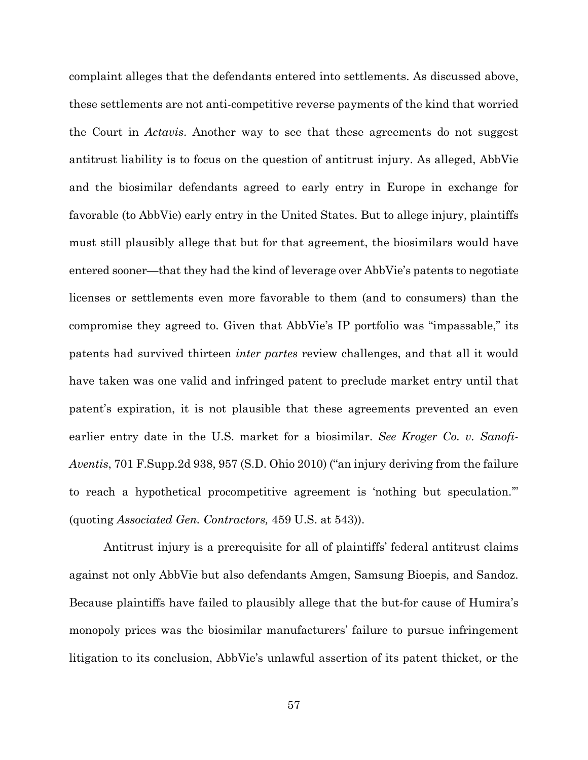complaint alleges that the defendants entered into settlements. As discussed above, these settlements are not anti-competitive reverse payments of the kind that worried the Court in *Actavis*. Another way to see that these agreements do not suggest antitrust liability is to focus on the question of antitrust injury. As alleged, AbbVie and the biosimilar defendants agreed to early entry in Europe in exchange for favorable (to AbbVie) early entry in the United States. But to allege injury, plaintiffs must still plausibly allege that but for that agreement, the biosimilars would have entered sooner—that they had the kind of leverage over AbbVie's patents to negotiate licenses or settlements even more favorable to them (and to consumers) than the compromise they agreed to. Given that AbbVie's IP portfolio was "impassable," its patents had survived thirteen *inter partes* review challenges, and that all it would have taken was one valid and infringed patent to preclude market entry until that patent's expiration, it is not plausible that these agreements prevented an even earlier entry date in the U.S. market for a biosimilar. *See Kroger Co. v. Sanofi-Aventis*, 701 F.Supp.2d 938, 957 (S.D. Ohio 2010) ("an injury deriving from the failure to reach a hypothetical procompetitive agreement is 'nothing but speculation.'" (quoting *Associated Gen. Contractors,* 459 U.S. at 543)).

Antitrust injury is a prerequisite for all of plaintiffs' federal antitrust claims against not only AbbVie but also defendants Amgen, Samsung Bioepis, and Sandoz. Because plaintiffs have failed to plausibly allege that the but-for cause of Humira's monopoly prices was the biosimilar manufacturers' failure to pursue infringement litigation to its conclusion, AbbVie's unlawful assertion of its patent thicket, or the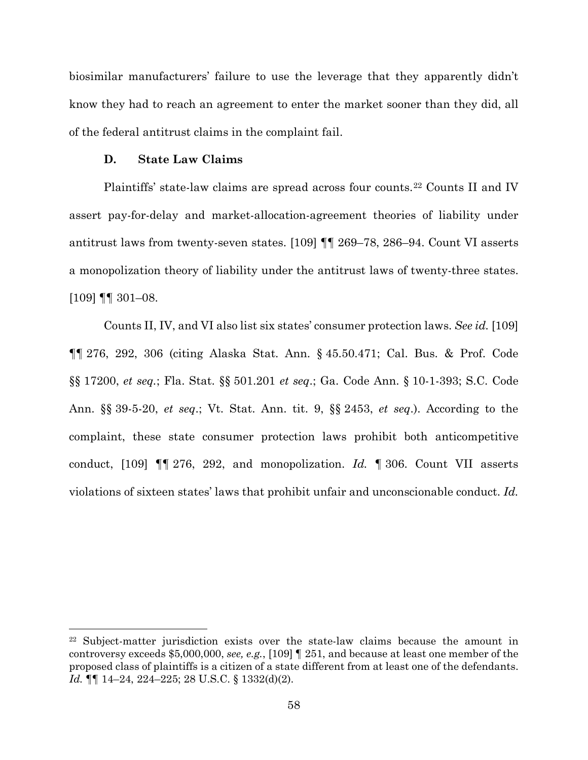biosimilar manufacturers' failure to use the leverage that they apparently didn't know they had to reach an agreement to enter the market sooner than they did, all of the federal antitrust claims in the complaint fail.

# **D. State Law Claims**

Plaintiffs' state-law claims are spread across four counts.[22](#page-57-0) Counts II and IV assert pay-for-delay and market-allocation-agreement theories of liability under antitrust laws from twenty-seven states. [109] ¶¶ 269–78, 286–94. Count VI asserts a monopolization theory of liability under the antitrust laws of twenty-three states.  $[109]$  ¶¶ 301–08.

Counts II, IV, and VI also list six states' consumer protection laws. *See id.* [109] ¶¶ 276, 292, 306 (citing Alaska Stat. Ann. § 45.50.471; Cal. Bus. & Prof. Code §§ 17200, *et seq.*; Fla. Stat. §§ 501.201 *et seq*.; Ga. Code Ann. § 10-1-393; S.C. Code Ann. §§ 39-5-20, *et seq*.; Vt. Stat. Ann. tit. 9, §§ 2453, *et seq*.). According to the complaint, these state consumer protection laws prohibit both anticompetitive conduct, [109] ¶¶ 276, 292, and monopolization. *Id.* ¶ 306. Count VII asserts violations of sixteen states' laws that prohibit unfair and unconscionable conduct. *Id.*

<span id="page-57-0"></span><sup>22</sup> Subject-matter jurisdiction exists over the state-law claims because the amount in controversy exceeds \$5,000,000, *see, e.g.*, [109] ¶ 251, and because at least one member of the proposed class of plaintiffs is a citizen of a state different from at least one of the defendants. *Id.* ¶¶ 14–24, 224–225; 28 U.S.C. § 1332(d)(2).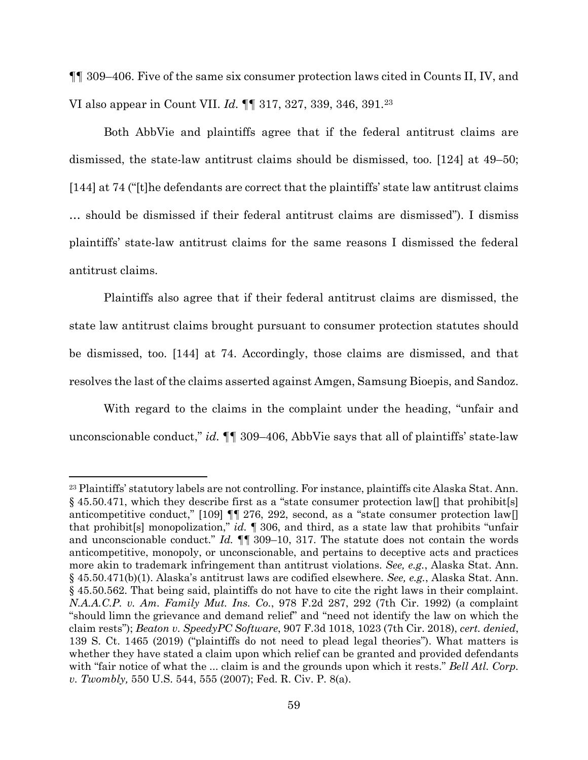¶¶ 309–406. Five of the same six consumer protection laws cited in Counts II, IV, and VI also appear in Count VII. *Id.* ¶¶ 317, 327, 339, 346, 391.[23](#page-58-0)

Both AbbVie and plaintiffs agree that if the federal antitrust claims are dismissed, the state-law antitrust claims should be dismissed, too. [124] at 49–50; [144] at 74 ("[t]he defendants are correct that the plaintiffs' state law antitrust claims … should be dismissed if their federal antitrust claims are dismissed"). I dismiss plaintiffs' state-law antitrust claims for the same reasons I dismissed the federal antitrust claims.

Plaintiffs also agree that if their federal antitrust claims are dismissed, the state law antitrust claims brought pursuant to consumer protection statutes should be dismissed, too. [144] at 74. Accordingly, those claims are dismissed, and that resolves the last of the claims asserted against Amgen, Samsung Bioepis, and Sandoz.

With regard to the claims in the complaint under the heading, "unfair and unconscionable conduct," *id.* ¶¶ 309–406, AbbVie says that all of plaintiffs' state-law

<span id="page-58-0"></span><sup>23</sup> Plaintiffs' statutory labels are not controlling. For instance, plaintiffs cite Alaska Stat. Ann. § 45.50.471, which they describe first as a "state consumer protection law  $\parallel$  that prohibit [s] anticompetitive conduct," [109]  $\P$  276, 292, second, as a "state consumer protection law[] that prohibit[s] monopolization," *id.* ¶ 306, and third, as a state law that prohibits "unfair and unconscionable conduct." *Id.* ¶¶ 309–10, 317. The statute does not contain the words anticompetitive, monopoly, or unconscionable, and pertains to deceptive acts and practices more akin to trademark infringement than antitrust violations. *See, e.g.*, Alaska Stat. Ann. § 45.50.471(b)(1). Alaska's antitrust laws are codified elsewhere. *See, e.g.*, Alaska Stat. Ann. § 45.50.562. That being said, plaintiffs do not have to cite the right laws in their complaint. *N.A.A.C.P. v. Am. Family Mut. Ins. Co.*, 978 F.2d 287, 292 (7th Cir. 1992) (a complaint "should limn the grievance and demand relief" and "need not identify the law on which the claim rests"); *Beaton v. SpeedyPC Software*, 907 F.3d 1018, 1023 (7th Cir. 2018), *cert. denied*, 139 S. Ct. 1465 (2019) ("plaintiffs do not need to plead legal theories"). What matters is whether they have stated a claim upon which relief can be granted and provided defendants with "fair notice of what the ... claim is and the grounds upon which it rests." *Bell Atl. Corp. v. Twombly,* 550 U.S. 544, 555 (2007); Fed. R. Civ. P. 8(a).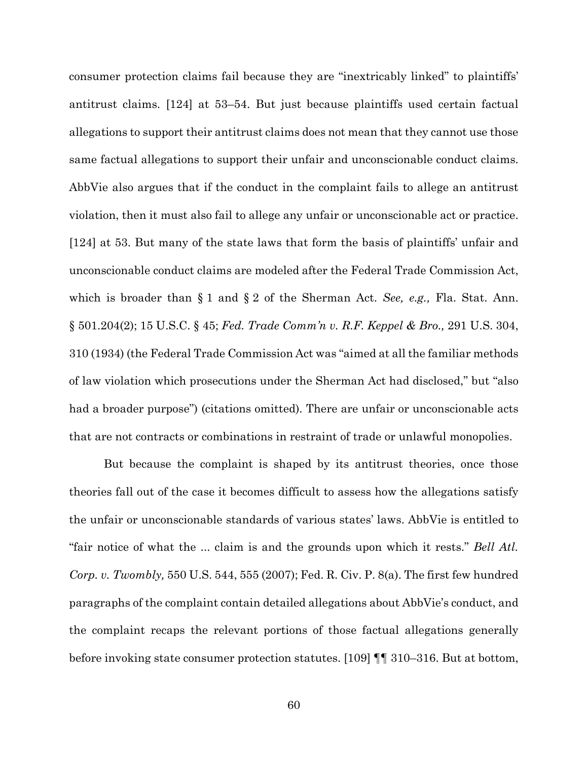consumer protection claims fail because they are "inextricably linked" to plaintiffs' antitrust claims. [124] at 53–54. But just because plaintiffs used certain factual allegations to support their antitrust claims does not mean that they cannot use those same factual allegations to support their unfair and unconscionable conduct claims. AbbVie also argues that if the conduct in the complaint fails to allege an antitrust violation, then it must also fail to allege any unfair or unconscionable act or practice. [124] at 53. But many of the state laws that form the basis of plaintiffs' unfair and unconscionable conduct claims are modeled after the Federal Trade Commission Act, which is broader than § 1 and § 2 of the Sherman Act. *See, e.g.,* Fla. Stat. Ann. § 501.204(2); 15 U.S.C. § 45; *Fed. Trade Comm'n v. R.F. Keppel & Bro.,* 291 U.S. 304, 310 (1934) (the Federal Trade Commission Act was "aimed at all the familiar methods of law violation which prosecutions under the Sherman Act had disclosed," but "also had a broader purpose") (citations omitted). There are unfair or unconscionable acts that are not contracts or combinations in restraint of trade or unlawful monopolies.

But because the complaint is shaped by its antitrust theories, once those theories fall out of the case it becomes difficult to assess how the allegations satisfy the unfair or unconscionable standards of various states' laws. AbbVie is entitled to "fair notice of what the ... claim is and the grounds upon which it rests." *Bell Atl. Corp. v. Twombly,* 550 U.S. 544, 555 (2007); Fed. R. Civ. P. 8(a). The first few hundred paragraphs of the complaint contain detailed allegations about AbbVie's conduct, and the complaint recaps the relevant portions of those factual allegations generally before invoking state consumer protection statutes. [109] ¶¶ 310–316. But at bottom,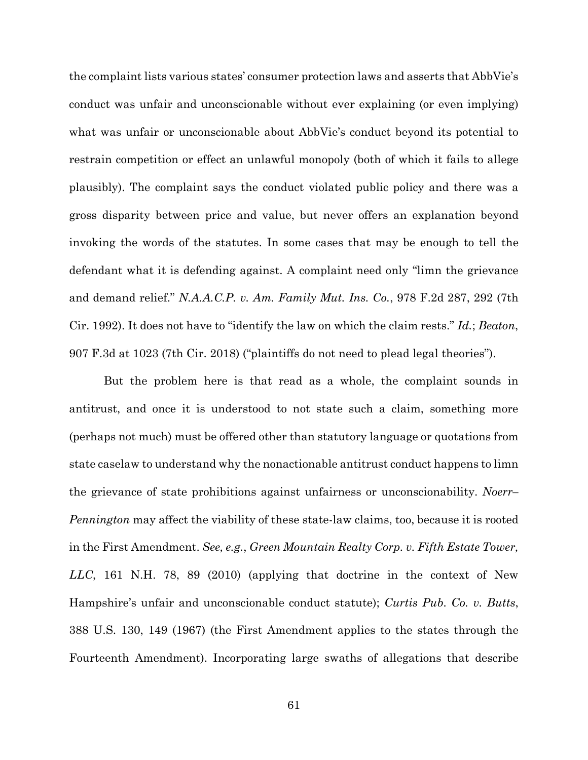the complaint lists various states' consumer protection laws and asserts that AbbVie's conduct was unfair and unconscionable without ever explaining (or even implying) what was unfair or unconscionable about AbbVie's conduct beyond its potential to restrain competition or effect an unlawful monopoly (both of which it fails to allege plausibly). The complaint says the conduct violated public policy and there was a gross disparity between price and value, but never offers an explanation beyond invoking the words of the statutes. In some cases that may be enough to tell the defendant what it is defending against. A complaint need only "limn the grievance and demand relief." *N.A.A.C.P. v. Am. Family Mut. Ins. Co.*, 978 F.2d 287, 292 (7th Cir. 1992). It does not have to "identify the law on which the claim rests." *Id.*; *Beaton*, 907 F.3d at 1023 (7th Cir. 2018) ("plaintiffs do not need to plead legal theories").

But the problem here is that read as a whole, the complaint sounds in antitrust, and once it is understood to not state such a claim, something more (perhaps not much) must be offered other than statutory language or quotations from state caselaw to understand why the nonactionable antitrust conduct happens to limn the grievance of state prohibitions against unfairness or unconscionability. *Noerr– Pennington* may affect the viability of these state-law claims, too, because it is rooted in the First Amendment. *See, e.g.*, *Green Mountain Realty Corp. v. Fifth Estate Tower, LLC*, 161 N.H. 78, 89 (2010) (applying that doctrine in the context of New Hampshire's unfair and unconscionable conduct statute); *Curtis Pub. Co. v. Butts*, 388 U.S. 130, 149 (1967) (the First Amendment applies to the states through the Fourteenth Amendment). Incorporating large swaths of allegations that describe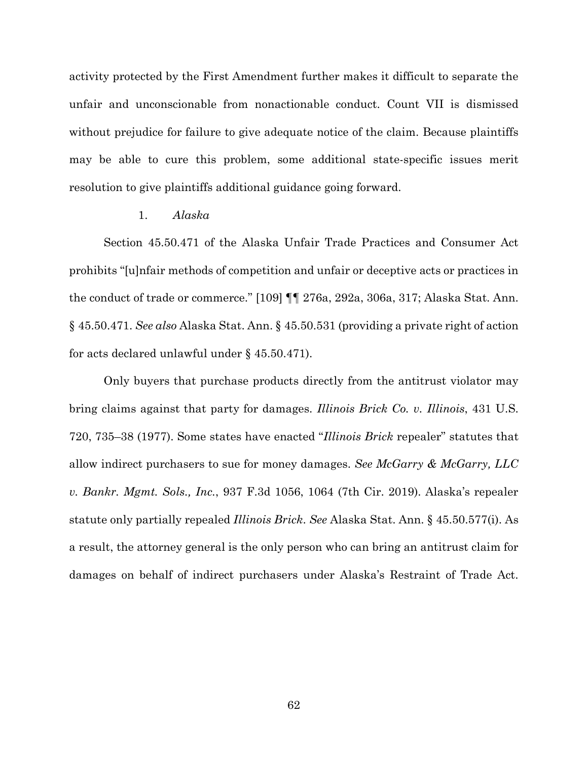activity protected by the First Amendment further makes it difficult to separate the unfair and unconscionable from nonactionable conduct. Count VII is dismissed without prejudice for failure to give adequate notice of the claim. Because plaintiffs may be able to cure this problem, some additional state-specific issues merit resolution to give plaintiffs additional guidance going forward.

### 1. *Alaska*

Section 45.50.471 of the Alaska Unfair Trade Practices and Consumer Act prohibits "[u]nfair methods of competition and unfair or deceptive acts or practices in the conduct of trade or commerce." [109] ¶¶ 276a, 292a, 306a, 317; Alaska Stat. Ann. § 45.50.471. *See also* Alaska Stat. Ann. § 45.50.531 (providing a private right of action for acts declared unlawful under § 45.50.471).

Only buyers that purchase products directly from the antitrust violator may bring claims against that party for damages. *Illinois Brick Co. v. Illinois*, 431 U.S. 720, 735–38 (1977). Some states have enacted "*Illinois Brick* repealer" statutes that allow indirect purchasers to sue for money damages. *See McGarry & McGarry, LLC v. Bankr. Mgmt. Sols., Inc.*, 937 F.3d 1056, 1064 (7th Cir. 2019). Alaska's repealer statute only partially repealed *Illinois Brick*. *See* Alaska Stat. Ann. § 45.50.577(i). As a result, the attorney general is the only person who can bring an antitrust claim for damages on behalf of indirect purchasers under Alaska's Restraint of Trade Act.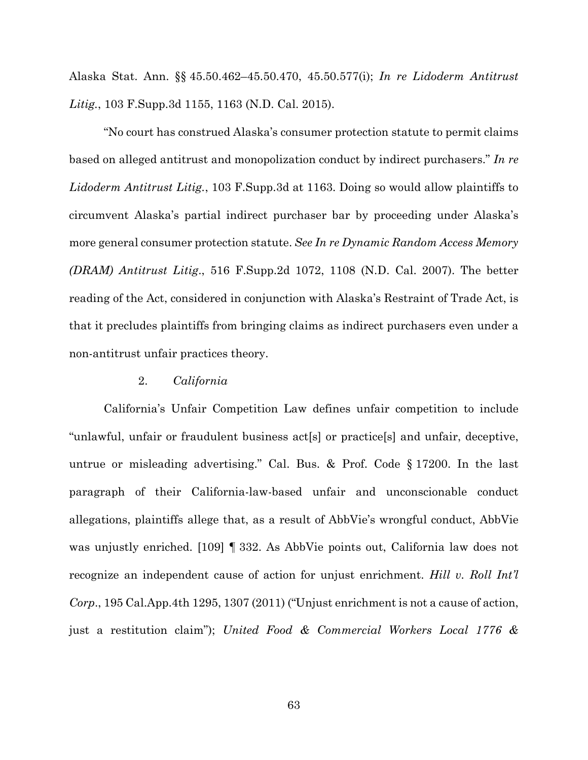Alaska Stat. Ann. §§ 45.50.462–45.50.470, 45.50.577(i); *In re Lidoderm Antitrust Litig.*, 103 F.Supp.3d 1155, 1163 (N.D. Cal. 2015).

"No court has construed Alaska's consumer protection statute to permit claims based on alleged antitrust and monopolization conduct by indirect purchasers." *In re Lidoderm Antitrust Litig.*, 103 F.Supp.3d at 1163. Doing so would allow plaintiffs to circumvent Alaska's partial indirect purchaser bar by proceeding under Alaska's more general consumer protection statute. *See In re Dynamic Random Access Memory (DRAM) Antitrust Litig*., 516 F.Supp.2d 1072, 1108 (N.D. Cal. 2007). The better reading of the Act, considered in conjunction with Alaska's Restraint of Trade Act, is that it precludes plaintiffs from bringing claims as indirect purchasers even under a non-antitrust unfair practices theory.

### 2. *California*

California's Unfair Competition Law defines unfair competition to include "unlawful, unfair or fraudulent business act[s] or practice[s] and unfair, deceptive, untrue or misleading advertising." Cal. Bus. & Prof. Code § 17200. In the last paragraph of their California-law-based unfair and unconscionable conduct allegations, plaintiffs allege that, as a result of AbbVie's wrongful conduct, AbbVie was unjustly enriched. [109] ¶ 332. As AbbVie points out, California law does not recognize an independent cause of action for unjust enrichment. *Hill v. Roll Int'l Corp*., 195 Cal.App.4th 1295, 1307 (2011) ("Unjust enrichment is not a cause of action, just a restitution claim"); *United Food & Commercial Workers Local 1776 &*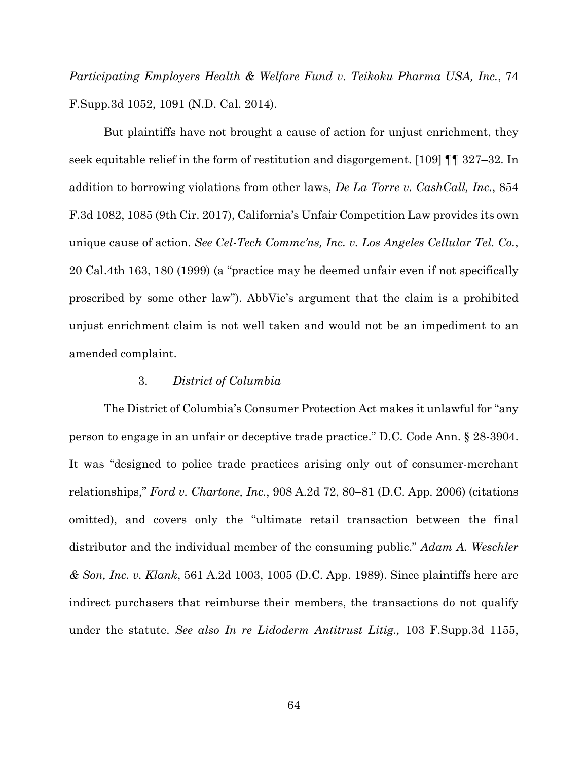*Participating Employers Health & Welfare Fund v. Teikoku Pharma USA, Inc.*, 74 F.Supp.3d 1052, 1091 (N.D. Cal. 2014).

But plaintiffs have not brought a cause of action for unjust enrichment, they seek equitable relief in the form of restitution and disgorgement. [109] ¶¶ 327–32. In addition to borrowing violations from other laws, *De La Torre v. CashCall, Inc.*, 854 F.3d 1082, 1085 (9th Cir. 2017), California's Unfair Competition Law provides its own unique cause of action. *See Cel-Tech Commc'ns, Inc. v. Los Angeles Cellular Tel. Co.*, 20 Cal.4th 163, 180 (1999) (a "practice may be deemed unfair even if not specifically proscribed by some other law"). AbbVie's argument that the claim is a prohibited unjust enrichment claim is not well taken and would not be an impediment to an amended complaint.

### 3. *District of Columbia*

The District of Columbia's Consumer Protection Act makes it unlawful for "any person to engage in an unfair or deceptive trade practice." D.C. Code Ann. § 28-3904. It was "designed to police trade practices arising only out of consumer-merchant relationships," *Ford v. Chartone, Inc.*, 908 A.2d 72, 80–81 (D.C. App. 2006) (citations omitted), and covers only the "ultimate retail transaction between the final distributor and the individual member of the consuming public." *Adam A. Weschler & Son, Inc. v. Klank*, 561 A.2d 1003, 1005 (D.C. App. 1989). Since plaintiffs here are indirect purchasers that reimburse their members, the transactions do not qualify under the statute. *See also In re Lidoderm Antitrust Litig.,* 103 F.Supp.3d 1155,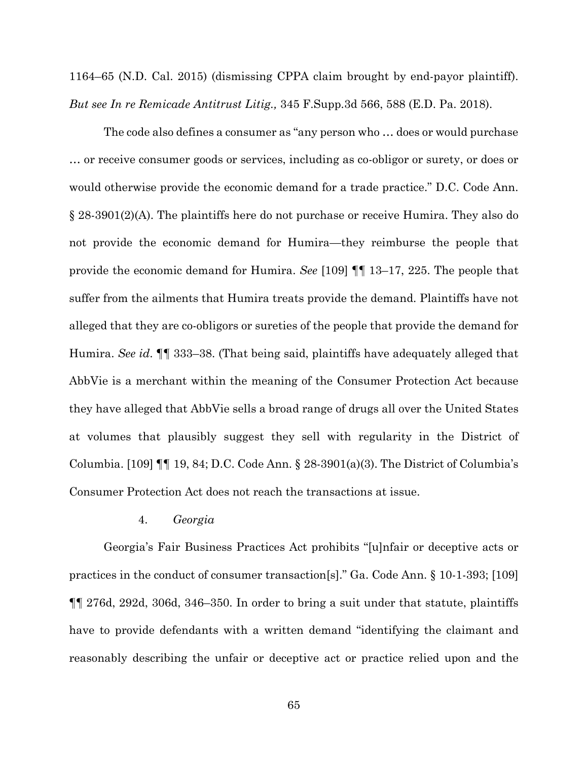1164–65 (N.D. Cal. 2015) (dismissing CPPA claim brought by end-payor plaintiff). *But see In re Remicade Antitrust Litig.,* 345 F.Supp.3d 566, 588 (E.D. Pa. 2018).

The code also defines a consumer as "any person who … does or would purchase … or receive consumer goods or services, including as co-obligor or surety, or does or would otherwise provide the economic demand for a trade practice." D.C. Code Ann. § 28-3901(2)(A). The plaintiffs here do not purchase or receive Humira. They also do not provide the economic demand for Humira—they reimburse the people that provide the economic demand for Humira. *See* [109] ¶¶ 13–17, 225. The people that suffer from the ailments that Humira treats provide the demand. Plaintiffs have not alleged that they are co-obligors or sureties of the people that provide the demand for Humira. *See id*. ¶¶ 333–38. (That being said, plaintiffs have adequately alleged that AbbVie is a merchant within the meaning of the Consumer Protection Act because they have alleged that AbbVie sells a broad range of drugs all over the United States at volumes that plausibly suggest they sell with regularity in the District of Columbia. [109]  $\P\P$  19, 84; D.C. Code Ann. § 28-3901(a)(3). The District of Columbia's Consumer Protection Act does not reach the transactions at issue.

### 4. *Georgia*

Georgia's Fair Business Practices Act prohibits "[u]nfair or deceptive acts or practices in the conduct of consumer transaction[s]." Ga. Code Ann. § 10-1-393; [109] ¶¶ 276d, 292d, 306d, 346–350. In order to bring a suit under that statute, plaintiffs have to provide defendants with a written demand "identifying the claimant and reasonably describing the unfair or deceptive act or practice relied upon and the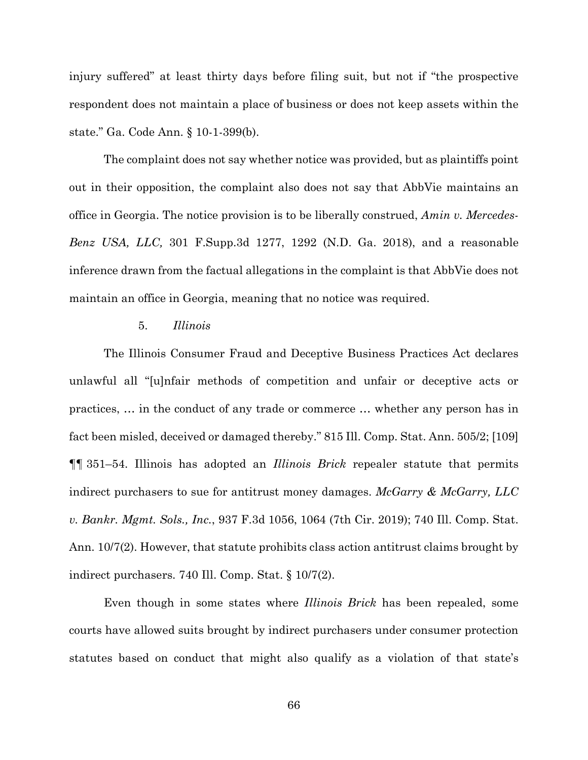injury suffered" at least thirty days before filing suit, but not if "the prospective respondent does not maintain a place of business or does not keep assets within the state." Ga. Code Ann. § 10-1-399(b).

The complaint does not say whether notice was provided, but as plaintiffs point out in their opposition, the complaint also does not say that AbbVie maintains an office in Georgia. The notice provision is to be liberally construed, *Amin v. Mercedes-Benz USA, LLC,* 301 F.Supp.3d 1277, 1292 (N.D. Ga. 2018), and a reasonable inference drawn from the factual allegations in the complaint is that AbbVie does not maintain an office in Georgia, meaning that no notice was required.

# 5. *Illinois*

The Illinois Consumer Fraud and Deceptive Business Practices Act declares unlawful all "[u]nfair methods of competition and unfair or deceptive acts or practices, … in the conduct of any trade or commerce … whether any person has in fact been misled, deceived or damaged thereby." 815 Ill. Comp. Stat. Ann. 505/2; [109] ¶¶ 351–54. Illinois has adopted an *Illinois Brick* repealer statute that permits indirect purchasers to sue for antitrust money damages. *McGarry & McGarry, LLC v. Bankr. Mgmt. Sols., Inc.*, 937 F.3d 1056, 1064 (7th Cir. 2019); 740 Ill. Comp. Stat. Ann. 10/7(2). However, that statute prohibits class action antitrust claims brought by indirect purchasers. 740 Ill. Comp. Stat. § 10/7(2).

Even though in some states where *Illinois Brick* has been repealed, some courts have allowed suits brought by indirect purchasers under consumer protection statutes based on conduct that might also qualify as a violation of that state's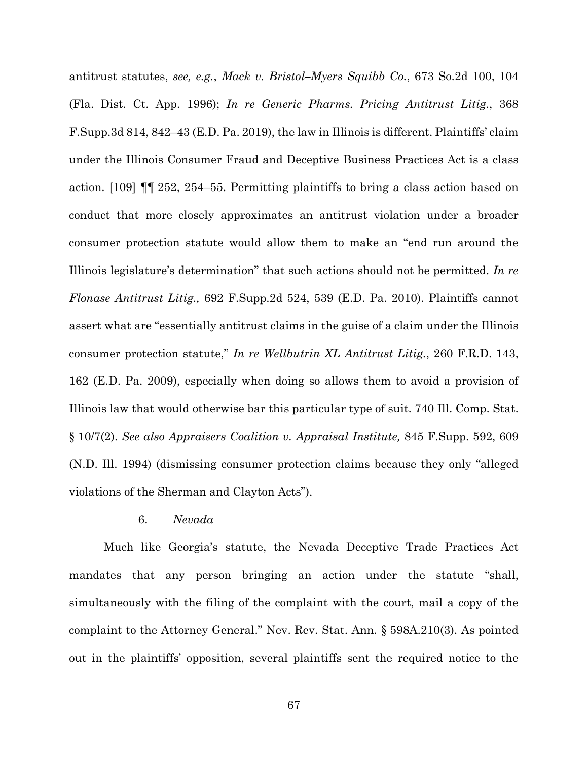antitrust statutes, *see, e.g.*, *Mack v. Bristol–Myers Squibb Co.*, 673 So.2d 100, 104 (Fla. Dist. Ct. App. 1996); *In re Generic Pharms. Pricing Antitrust Litig.*, 368 F.Supp.3d 814, 842–43 (E.D. Pa. 2019), the law in Illinois is different. Plaintiffs' claim under the Illinois Consumer Fraud and Deceptive Business Practices Act is a class action. [109] ¶¶ 252, 254–55. Permitting plaintiffs to bring a class action based on conduct that more closely approximates an antitrust violation under a broader consumer protection statute would allow them to make an "end run around the Illinois legislature's determination" that such actions should not be permitted. *In re Flonase Antitrust Litig.,* 692 F.Supp.2d 524, 539 (E.D. Pa. 2010). Plaintiffs cannot assert what are "essentially antitrust claims in the guise of a claim under the Illinois consumer protection statute," *In re Wellbutrin XL Antitrust Litig.*, 260 F.R.D. 143, 162 (E.D. Pa. 2009), especially when doing so allows them to avoid a provision of Illinois law that would otherwise bar this particular type of suit. 740 Ill. Comp. Stat. § 10/7(2). *See also Appraisers Coalition v. Appraisal Institute,* 845 F.Supp. 592, 609 (N.D. Ill. 1994) (dismissing consumer protection claims because they only "alleged violations of the Sherman and Clayton Acts").

# 6. *Nevada*

Much like Georgia's statute, the Nevada Deceptive Trade Practices Act mandates that any person bringing an action under the statute "shall, simultaneously with the filing of the complaint with the court, mail a copy of the complaint to the Attorney General." Nev. Rev. Stat. Ann. § 598A.210(3). As pointed out in the plaintiffs' opposition, several plaintiffs sent the required notice to the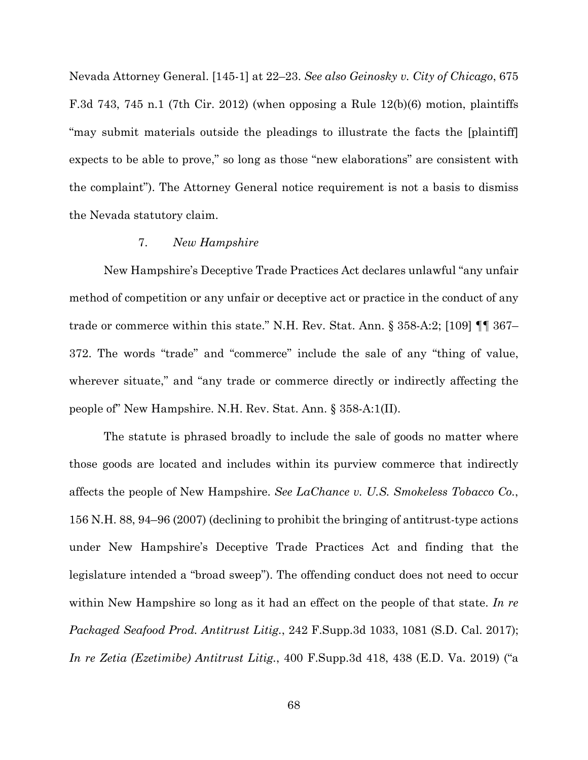Nevada Attorney General. [145-1] at 22–23. *See also Geinosky v. City of Chicago*, 675 F.3d 743, 745 n.1 (7th Cir. 2012) (when opposing a Rule 12(b)(6) motion, plaintiffs "may submit materials outside the pleadings to illustrate the facts the [plaintiff] expects to be able to prove," so long as those "new elaborations" are consistent with the complaint"). The Attorney General notice requirement is not a basis to dismiss the Nevada statutory claim.

# 7. *New Hampshire*

New Hampshire's Deceptive Trade Practices Act declares unlawful "any unfair method of competition or any unfair or deceptive act or practice in the conduct of any trade or commerce within this state." N.H. Rev. Stat. Ann. § 358-A:2; [109] ¶¶ 367– 372. The words "trade" and "commerce" include the sale of any "thing of value, wherever situate," and "any trade or commerce directly or indirectly affecting the people of" New Hampshire. N.H. Rev. Stat. Ann. § 358-A:1(II).

The statute is phrased broadly to include the sale of goods no matter where those goods are located and includes within its purview commerce that indirectly affects the people of New Hampshire. *See LaChance v. U.S. Smokeless Tobacco Co.*, 156 N.H. 88, 94–96 (2007) (declining to prohibit the bringing of antitrust-type actions under New Hampshire's Deceptive Trade Practices Act and finding that the legislature intended a "broad sweep"). The offending conduct does not need to occur within New Hampshire so long as it had an effect on the people of that state. *In re Packaged Seafood Prod. Antitrust Litig.*, 242 F.Supp.3d 1033, 1081 (S.D. Cal. 2017); *In re Zetia (Ezetimibe) Antitrust Litig.*, 400 F.Supp.3d 418, 438 (E.D. Va. 2019) ("a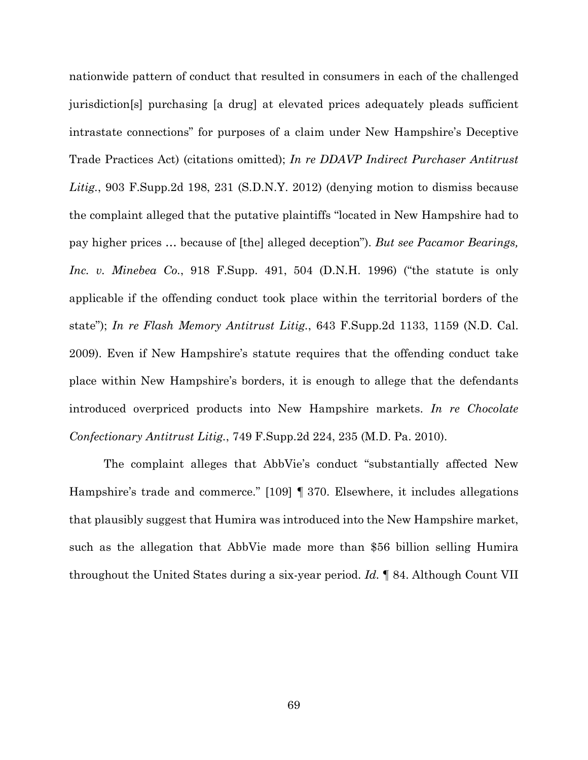nationwide pattern of conduct that resulted in consumers in each of the challenged jurisdiction[s] purchasing [a drug] at elevated prices adequately pleads sufficient intrastate connections" for purposes of a claim under New Hampshire's Deceptive Trade Practices Act) (citations omitted); *In re DDAVP Indirect Purchaser Antitrust Litig.*, 903 F.Supp.2d 198, 231 (S.D.N.Y. 2012) (denying motion to dismiss because the complaint alleged that the putative plaintiffs "located in New Hampshire had to pay higher prices … because of [the] alleged deception"). *But see Pacamor Bearings, Inc. v. Minebea Co.*, 918 F.Supp. 491, 504 (D.N.H. 1996) ("the statute is only applicable if the offending conduct took place within the territorial borders of the state"); *In re Flash Memory Antitrust Litig.*, 643 F.Supp.2d 1133, 1159 (N.D. Cal. 2009). Even if New Hampshire's statute requires that the offending conduct take place within New Hampshire's borders, it is enough to allege that the defendants introduced overpriced products into New Hampshire markets. *In re Chocolate Confectionary Antitrust Litig.*, 749 F.Supp.2d 224, 235 (M.D. Pa. 2010).

The complaint alleges that AbbVie's conduct "substantially affected New Hampshire's trade and commerce." [109] ¶ 370. Elsewhere, it includes allegations that plausibly suggest that Humira was introduced into the New Hampshire market, such as the allegation that AbbVie made more than \$56 billion selling Humira throughout the United States during a six-year period. *Id.* ¶ 84. Although Count VII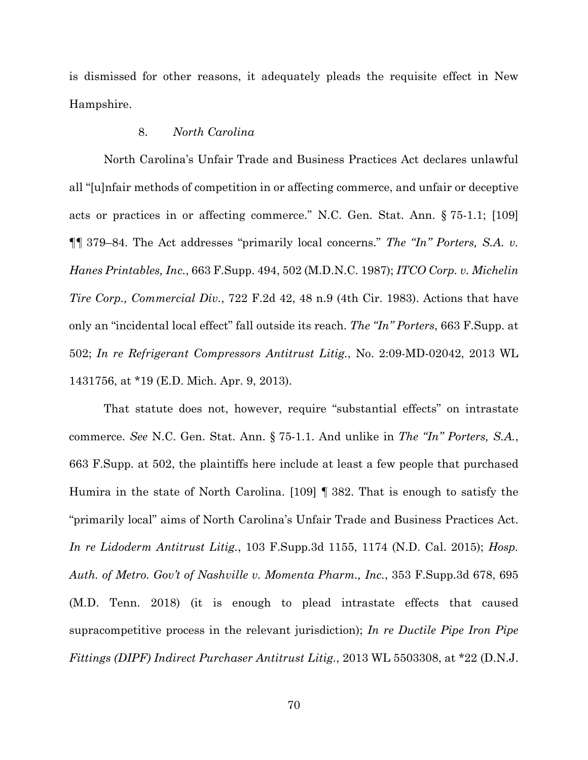is dismissed for other reasons, it adequately pleads the requisite effect in New Hampshire.

# 8. *North Carolina*

North Carolina's Unfair Trade and Business Practices Act declares unlawful all "[u]nfair methods of competition in or affecting commerce, and unfair or deceptive acts or practices in or affecting commerce." N.C. Gen. Stat. Ann. § 75-1.1; [109] ¶¶ 379–84. The Act addresses "primarily local concerns." *The "In" Porters, S.A. v. Hanes Printables, Inc.*, 663 F.Supp. 494, 502 (M.D.N.C. 1987); *ITCO Corp. v. Michelin Tire Corp., Commercial Div.*, 722 F.2d 42, 48 n.9 (4th Cir. 1983). Actions that have only an "incidental local effect" fall outside its reach. *The "In" Porters*, 663 F.Supp. at 502; *In re Refrigerant Compressors Antitrust Litig.*, No. 2:09-MD-02042, 2013 WL 1431756, at \*19 (E.D. Mich. Apr. 9, 2013).

That statute does not, however, require "substantial effects" on intrastate commerce. *See* N.C. Gen. Stat. Ann. § 75-1.1. And unlike in *The "In" Porters, S.A.*, 663 F.Supp. at 502, the plaintiffs here include at least a few people that purchased Humira in the state of North Carolina. [109] ¶ 382. That is enough to satisfy the "primarily local" aims of North Carolina's Unfair Trade and Business Practices Act. *In re Lidoderm Antitrust Litig.*, 103 F.Supp.3d 1155, 1174 (N.D. Cal. 2015); *Hosp. Auth. of Metro. Gov't of Nashville v. Momenta Pharm., Inc.*, 353 F.Supp.3d 678, 695 (M.D. Tenn. 2018) (it is enough to plead intrastate effects that caused supracompetitive process in the relevant jurisdiction); *In re Ductile Pipe Iron Pipe Fittings (DIPF) Indirect Purchaser Antitrust Litig.*, 2013 WL 5503308, at \*22 (D.N.J.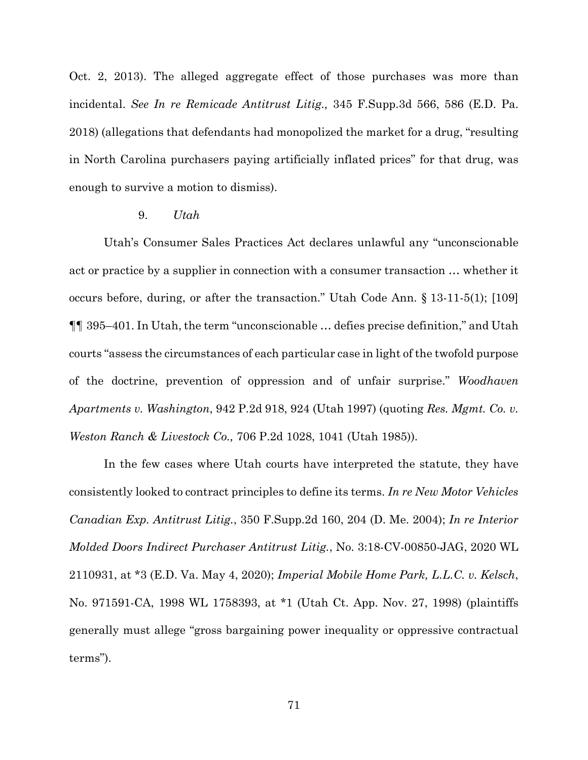Oct. 2, 2013). The alleged aggregate effect of those purchases was more than incidental. *See In re Remicade Antitrust Litig.,* 345 F.Supp.3d 566, 586 (E.D. Pa. 2018) (allegations that defendants had monopolized the market for a drug, "resulting in North Carolina purchasers paying artificially inflated prices" for that drug, was enough to survive a motion to dismiss).

#### 9. *Utah*

Utah's Consumer Sales Practices Act declares unlawful any "unconscionable act or practice by a supplier in connection with a consumer transaction … whether it occurs before, during, or after the transaction." Utah Code Ann. § 13-11-5(1); [109] ¶¶ 395–401. In Utah, the term "unconscionable … defies precise definition," and Utah courts "assess the circumstances of each particular case in light of the twofold purpose of the doctrine, prevention of oppression and of unfair surprise." *Woodhaven Apartments v. Washington*, 942 P.2d 918, 924 (Utah 1997) (quoting *Res. Mgmt. Co. v. Weston Ranch & Livestock Co.,* 706 P.2d 1028, 1041 (Utah 1985)).

In the few cases where Utah courts have interpreted the statute, they have consistently looked to contract principles to define its terms. *In re New Motor Vehicles Canadian Exp. Antitrust Litig.*, 350 F.Supp.2d 160, 204 (D. Me. 2004); *In re Interior Molded Doors Indirect Purchaser Antitrust Litig.*, No. 3:18-CV-00850-JAG, 2020 WL 2110931, at \*3 (E.D. Va. May 4, 2020); *Imperial Mobile Home Park, L.L.C. v. Kelsch*, No. 971591-CA, 1998 WL 1758393, at \*1 (Utah Ct. App. Nov. 27, 1998) (plaintiffs generally must allege "gross bargaining power inequality or oppressive contractual terms").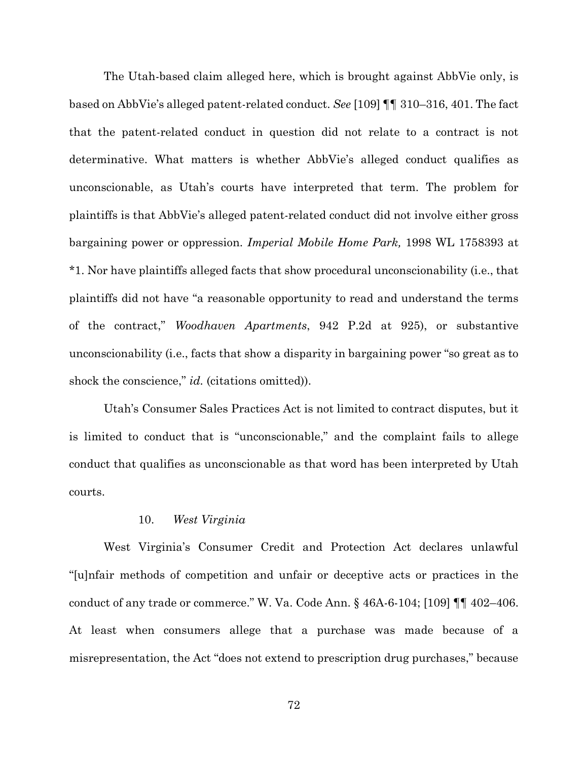The Utah-based claim alleged here, which is brought against AbbVie only, is based on AbbVie's alleged patent-related conduct. *See* [109] ¶¶ 310–316, 401. The fact that the patent-related conduct in question did not relate to a contract is not determinative. What matters is whether AbbVie's alleged conduct qualifies as unconscionable, as Utah's courts have interpreted that term. The problem for plaintiffs is that AbbVie's alleged patent-related conduct did not involve either gross bargaining power or oppression. *Imperial Mobile Home Park,* 1998 WL 1758393 at \*1. Nor have plaintiffs alleged facts that show procedural unconscionability (i.e., that plaintiffs did not have "a reasonable opportunity to read and understand the terms of the contract," *Woodhaven Apartments*, 942 P.2d at 925), or substantive unconscionability (i.e., facts that show a disparity in bargaining power "so great as to shock the conscience," *id.* (citations omitted)).

Utah's Consumer Sales Practices Act is not limited to contract disputes, but it is limited to conduct that is "unconscionable," and the complaint fails to allege conduct that qualifies as unconscionable as that word has been interpreted by Utah courts.

# 10. *West Virginia*

West Virginia's Consumer Credit and Protection Act declares unlawful "[u]nfair methods of competition and unfair or deceptive acts or practices in the conduct of any trade or commerce." W. Va. Code Ann. § 46A-6-104; [109] ¶¶ 402–406. At least when consumers allege that a purchase was made because of a misrepresentation, the Act "does not extend to prescription drug purchases," because

72